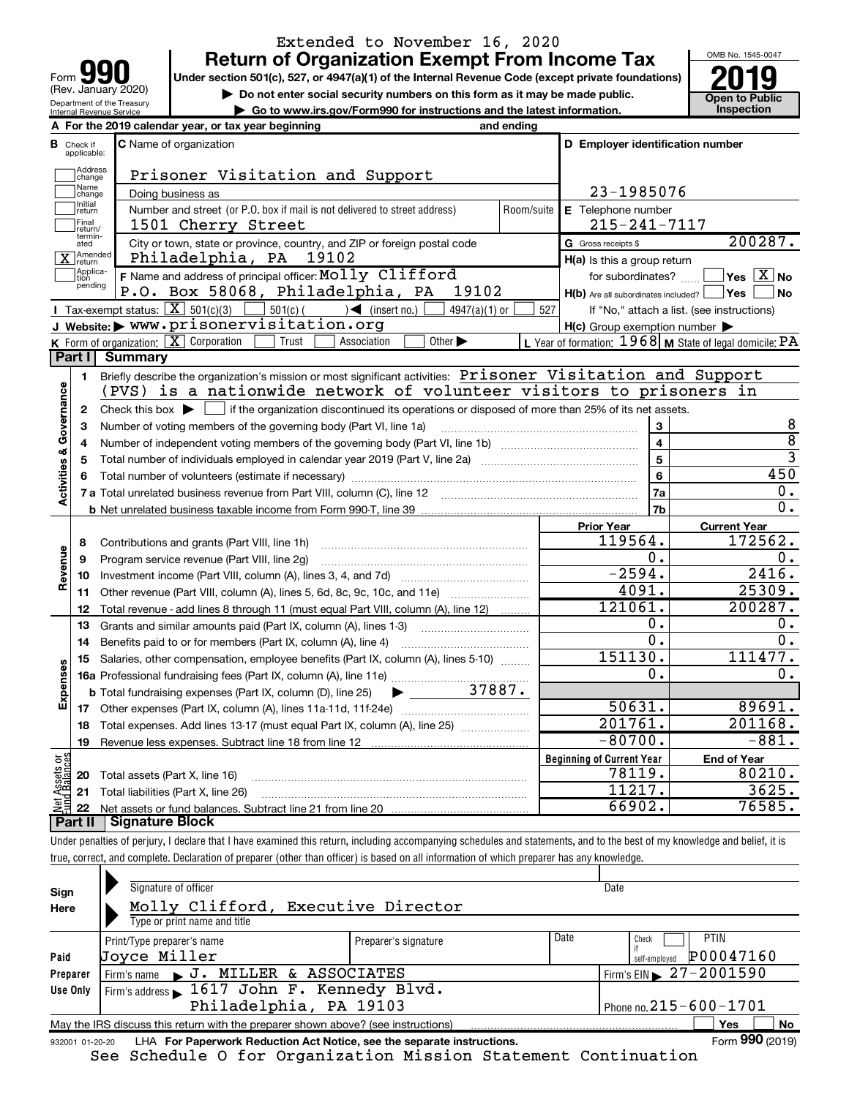| lqi                        |
|----------------------------|
| Form                       |
| (Rev. January 2020)        |
| Department of the Treasury |
| Internal Revenue Service   |

# **Return of Organization Exempt From Income Tax** Extended to November 16, 2020

**Under section 501(c), 527, or 4947(a)(1) of the Internal Revenue Code (except private foundations) Example 10. Example 10. Solution 501(c), 527, or 4947(a)(1) of the Internal Revenue Code (except private foundations)<br>
in Do not enter social security numbers on this form as it may be made public.<br>
<b>Community on the Solu** 

**| Go to www.irs.gov/Form990 for instructions and the latest information. Inspection**



| <b>C</b> Name of organization<br>D Employer identification number<br>В<br>Check if<br>applicable:<br>Address<br>Prisoner Visitation and Support<br>change<br>Name<br>23-1985076<br>Doing business as<br>change<br>Initial<br>Number and street (or P.O. box if mail is not delivered to street address)<br>Room/suite<br>E Telephone number<br>return<br>Final<br>$215 - 241 - 7117$<br>1501 Cherry Street<br>return/<br>termin-<br>City or town, state or province, country, and ZIP or foreign postal code<br>G Gross receipts \$<br>ated<br>Amended<br>Philadelphia, PA<br>19102<br>$H(a)$ is this a group return<br>return<br>Applica-<br>F Name and address of principal officer: Molly Clifford<br>for subordinates?<br>tion<br>pending<br>P.O. Box 58068, Philadelphia, PA<br>19102<br>$H(b)$ Are all subordinates included? $\Box$ Yes $\Box$<br>Tax-exempt status: $\boxed{\mathbf{X}}$ 501(c)(3)<br>$501(c)$ (<br>$\leq$ (insert no.)<br>$4947(a)(1)$ or<br>527<br>If "No," attach a list. (see instructions)<br>J Website: > www.prisonervisitation.org<br>$H(c)$ Group exemption number $\blacktriangleright$<br><b>K</b> Form of organization: $\boxed{\mathbf{X}}$ Corporation<br>Other $\blacktriangleright$<br>L Year of formation: 1968 M State of legal domicile: PA<br>Trust<br>Association<br>Part I<br><b>Summary</b><br>Briefly describe the organization's mission or most significant activities: Prisoner Visitation and Support<br>1<br><b>Activities &amp; Governance</b><br>(PVS) is a nationwide network of volunteer visitors to prisoners in<br>Check this box $\blacktriangleright$ $\blacksquare$ if the organization discontinued its operations or disposed of more than 25% of its net assets.<br>$\mathbf{2}$ | 200287.<br>$Yes \; X \; No$<br>  No<br>8 |
|----------------------------------------------------------------------------------------------------------------------------------------------------------------------------------------------------------------------------------------------------------------------------------------------------------------------------------------------------------------------------------------------------------------------------------------------------------------------------------------------------------------------------------------------------------------------------------------------------------------------------------------------------------------------------------------------------------------------------------------------------------------------------------------------------------------------------------------------------------------------------------------------------------------------------------------------------------------------------------------------------------------------------------------------------------------------------------------------------------------------------------------------------------------------------------------------------------------------------------------------------------------------------------------------------------------------------------------------------------------------------------------------------------------------------------------------------------------------------------------------------------------------------------------------------------------------------------------------------------------------------------------------------------------------------------------------------------------------------------------------------|------------------------------------------|
|                                                                                                                                                                                                                                                                                                                                                                                                                                                                                                                                                                                                                                                                                                                                                                                                                                                                                                                                                                                                                                                                                                                                                                                                                                                                                                                                                                                                                                                                                                                                                                                                                                                                                                                                                    |                                          |
|                                                                                                                                                                                                                                                                                                                                                                                                                                                                                                                                                                                                                                                                                                                                                                                                                                                                                                                                                                                                                                                                                                                                                                                                                                                                                                                                                                                                                                                                                                                                                                                                                                                                                                                                                    |                                          |
|                                                                                                                                                                                                                                                                                                                                                                                                                                                                                                                                                                                                                                                                                                                                                                                                                                                                                                                                                                                                                                                                                                                                                                                                                                                                                                                                                                                                                                                                                                                                                                                                                                                                                                                                                    |                                          |
|                                                                                                                                                                                                                                                                                                                                                                                                                                                                                                                                                                                                                                                                                                                                                                                                                                                                                                                                                                                                                                                                                                                                                                                                                                                                                                                                                                                                                                                                                                                                                                                                                                                                                                                                                    |                                          |
|                                                                                                                                                                                                                                                                                                                                                                                                                                                                                                                                                                                                                                                                                                                                                                                                                                                                                                                                                                                                                                                                                                                                                                                                                                                                                                                                                                                                                                                                                                                                                                                                                                                                                                                                                    |                                          |
|                                                                                                                                                                                                                                                                                                                                                                                                                                                                                                                                                                                                                                                                                                                                                                                                                                                                                                                                                                                                                                                                                                                                                                                                                                                                                                                                                                                                                                                                                                                                                                                                                                                                                                                                                    |                                          |
|                                                                                                                                                                                                                                                                                                                                                                                                                                                                                                                                                                                                                                                                                                                                                                                                                                                                                                                                                                                                                                                                                                                                                                                                                                                                                                                                                                                                                                                                                                                                                                                                                                                                                                                                                    |                                          |
|                                                                                                                                                                                                                                                                                                                                                                                                                                                                                                                                                                                                                                                                                                                                                                                                                                                                                                                                                                                                                                                                                                                                                                                                                                                                                                                                                                                                                                                                                                                                                                                                                                                                                                                                                    |                                          |
|                                                                                                                                                                                                                                                                                                                                                                                                                                                                                                                                                                                                                                                                                                                                                                                                                                                                                                                                                                                                                                                                                                                                                                                                                                                                                                                                                                                                                                                                                                                                                                                                                                                                                                                                                    |                                          |
|                                                                                                                                                                                                                                                                                                                                                                                                                                                                                                                                                                                                                                                                                                                                                                                                                                                                                                                                                                                                                                                                                                                                                                                                                                                                                                                                                                                                                                                                                                                                                                                                                                                                                                                                                    |                                          |
|                                                                                                                                                                                                                                                                                                                                                                                                                                                                                                                                                                                                                                                                                                                                                                                                                                                                                                                                                                                                                                                                                                                                                                                                                                                                                                                                                                                                                                                                                                                                                                                                                                                                                                                                                    |                                          |
|                                                                                                                                                                                                                                                                                                                                                                                                                                                                                                                                                                                                                                                                                                                                                                                                                                                                                                                                                                                                                                                                                                                                                                                                                                                                                                                                                                                                                                                                                                                                                                                                                                                                                                                                                    |                                          |
|                                                                                                                                                                                                                                                                                                                                                                                                                                                                                                                                                                                                                                                                                                                                                                                                                                                                                                                                                                                                                                                                                                                                                                                                                                                                                                                                                                                                                                                                                                                                                                                                                                                                                                                                                    |                                          |
|                                                                                                                                                                                                                                                                                                                                                                                                                                                                                                                                                                                                                                                                                                                                                                                                                                                                                                                                                                                                                                                                                                                                                                                                                                                                                                                                                                                                                                                                                                                                                                                                                                                                                                                                                    |                                          |
|                                                                                                                                                                                                                                                                                                                                                                                                                                                                                                                                                                                                                                                                                                                                                                                                                                                                                                                                                                                                                                                                                                                                                                                                                                                                                                                                                                                                                                                                                                                                                                                                                                                                                                                                                    |                                          |
|                                                                                                                                                                                                                                                                                                                                                                                                                                                                                                                                                                                                                                                                                                                                                                                                                                                                                                                                                                                                                                                                                                                                                                                                                                                                                                                                                                                                                                                                                                                                                                                                                                                                                                                                                    |                                          |
| 3<br>3<br>Number of voting members of the governing body (Part VI, line 1a)                                                                                                                                                                                                                                                                                                                                                                                                                                                                                                                                                                                                                                                                                                                                                                                                                                                                                                                                                                                                                                                                                                                                                                                                                                                                                                                                                                                                                                                                                                                                                                                                                                                                        |                                          |
| $\overline{4}$<br>4                                                                                                                                                                                                                                                                                                                                                                                                                                                                                                                                                                                                                                                                                                                                                                                                                                                                                                                                                                                                                                                                                                                                                                                                                                                                                                                                                                                                                                                                                                                                                                                                                                                                                                                                | $\overline{8}$<br>$\overline{3}$         |
| 5<br>5<br>Total number of individuals employed in calendar year 2019 (Part V, line 2a) <i>mummumumumumumum</i>                                                                                                                                                                                                                                                                                                                                                                                                                                                                                                                                                                                                                                                                                                                                                                                                                                                                                                                                                                                                                                                                                                                                                                                                                                                                                                                                                                                                                                                                                                                                                                                                                                     | 450                                      |
| 6<br>6                                                                                                                                                                                                                                                                                                                                                                                                                                                                                                                                                                                                                                                                                                                                                                                                                                                                                                                                                                                                                                                                                                                                                                                                                                                                                                                                                                                                                                                                                                                                                                                                                                                                                                                                             | 0.                                       |
| 7a                                                                                                                                                                                                                                                                                                                                                                                                                                                                                                                                                                                                                                                                                                                                                                                                                                                                                                                                                                                                                                                                                                                                                                                                                                                                                                                                                                                                                                                                                                                                                                                                                                                                                                                                                 | 0.                                       |
| 7b<br><b>Prior Year</b>                                                                                                                                                                                                                                                                                                                                                                                                                                                                                                                                                                                                                                                                                                                                                                                                                                                                                                                                                                                                                                                                                                                                                                                                                                                                                                                                                                                                                                                                                                                                                                                                                                                                                                                            |                                          |
| <b>Current Year</b><br>119564.<br>8<br>Contributions and grants (Part VIII, line 1h)                                                                                                                                                                                                                                                                                                                                                                                                                                                                                                                                                                                                                                                                                                                                                                                                                                                                                                                                                                                                                                                                                                                                                                                                                                                                                                                                                                                                                                                                                                                                                                                                                                                               | 172562.                                  |
| 0.<br>9<br>Program service revenue (Part VIII, line 2g)                                                                                                                                                                                                                                                                                                                                                                                                                                                                                                                                                                                                                                                                                                                                                                                                                                                                                                                                                                                                                                                                                                                                                                                                                                                                                                                                                                                                                                                                                                                                                                                                                                                                                            | 0.                                       |
| Revenue<br>$-2594.$<br>10                                                                                                                                                                                                                                                                                                                                                                                                                                                                                                                                                                                                                                                                                                                                                                                                                                                                                                                                                                                                                                                                                                                                                                                                                                                                                                                                                                                                                                                                                                                                                                                                                                                                                                                          | 2416.                                    |
| 4091.<br>11<br>Other revenue (Part VIII, column (A), lines 5, 6d, 8c, 9c, 10c, and 11e)                                                                                                                                                                                                                                                                                                                                                                                                                                                                                                                                                                                                                                                                                                                                                                                                                                                                                                                                                                                                                                                                                                                                                                                                                                                                                                                                                                                                                                                                                                                                                                                                                                                            | 25309.                                   |
| 121061.<br>12<br>Total revenue - add lines 8 through 11 (must equal Part VIII, column (A), line 12)                                                                                                                                                                                                                                                                                                                                                                                                                                                                                                                                                                                                                                                                                                                                                                                                                                                                                                                                                                                                                                                                                                                                                                                                                                                                                                                                                                                                                                                                                                                                                                                                                                                | 200287.                                  |
| Ο.<br>13<br>Grants and similar amounts paid (Part IX, column (A), lines 1-3)                                                                                                                                                                                                                                                                                                                                                                                                                                                                                                                                                                                                                                                                                                                                                                                                                                                                                                                                                                                                                                                                                                                                                                                                                                                                                                                                                                                                                                                                                                                                                                                                                                                                       | 0.                                       |
| 0.<br>14<br>Benefits paid to or for members (Part IX, column (A), line 4)                                                                                                                                                                                                                                                                                                                                                                                                                                                                                                                                                                                                                                                                                                                                                                                                                                                                                                                                                                                                                                                                                                                                                                                                                                                                                                                                                                                                                                                                                                                                                                                                                                                                          | $\overline{0}$ .                         |
| 151130.<br>Salaries, other compensation, employee benefits (Part IX, column (A), lines 5-10)<br>15                                                                                                                                                                                                                                                                                                                                                                                                                                                                                                                                                                                                                                                                                                                                                                                                                                                                                                                                                                                                                                                                                                                                                                                                                                                                                                                                                                                                                                                                                                                                                                                                                                                 | 111477.                                  |
| Expenses<br>Ο.                                                                                                                                                                                                                                                                                                                                                                                                                                                                                                                                                                                                                                                                                                                                                                                                                                                                                                                                                                                                                                                                                                                                                                                                                                                                                                                                                                                                                                                                                                                                                                                                                                                                                                                                     | $0$ .                                    |
| 37887.<br><b>b</b> Total fundraising expenses (Part IX, column (D), line 25)                                                                                                                                                                                                                                                                                                                                                                                                                                                                                                                                                                                                                                                                                                                                                                                                                                                                                                                                                                                                                                                                                                                                                                                                                                                                                                                                                                                                                                                                                                                                                                                                                                                                       |                                          |
| 50631.<br>17                                                                                                                                                                                                                                                                                                                                                                                                                                                                                                                                                                                                                                                                                                                                                                                                                                                                                                                                                                                                                                                                                                                                                                                                                                                                                                                                                                                                                                                                                                                                                                                                                                                                                                                                       | 89691.                                   |
| 201761.<br>Total expenses. Add lines 13-17 (must equal Part IX, column (A), line 25)<br>18                                                                                                                                                                                                                                                                                                                                                                                                                                                                                                                                                                                                                                                                                                                                                                                                                                                                                                                                                                                                                                                                                                                                                                                                                                                                                                                                                                                                                                                                                                                                                                                                                                                         | 201168.                                  |
| $-80700.$<br>19                                                                                                                                                                                                                                                                                                                                                                                                                                                                                                                                                                                                                                                                                                                                                                                                                                                                                                                                                                                                                                                                                                                                                                                                                                                                                                                                                                                                                                                                                                                                                                                                                                                                                                                                    | $-881.$                                  |
| កង្ក<br><b>Beginning of Current Year</b><br><b>End of Year</b>                                                                                                                                                                                                                                                                                                                                                                                                                                                                                                                                                                                                                                                                                                                                                                                                                                                                                                                                                                                                                                                                                                                                                                                                                                                                                                                                                                                                                                                                                                                                                                                                                                                                                     |                                          |
| Assets<br>1 Balanc<br>78119.<br><b>20</b> Total assets (Part X, line 16)                                                                                                                                                                                                                                                                                                                                                                                                                                                                                                                                                                                                                                                                                                                                                                                                                                                                                                                                                                                                                                                                                                                                                                                                                                                                                                                                                                                                                                                                                                                                                                                                                                                                           | 80210.                                   |
| 11217.<br>21 Total liabilities (Part X, line 26)                                                                                                                                                                                                                                                                                                                                                                                                                                                                                                                                                                                                                                                                                                                                                                                                                                                                                                                                                                                                                                                                                                                                                                                                                                                                                                                                                                                                                                                                                                                                                                                                                                                                                                   | 3625.                                    |
| —<br>Е.Е.<br>66902.                                                                                                                                                                                                                                                                                                                                                                                                                                                                                                                                                                                                                                                                                                                                                                                                                                                                                                                                                                                                                                                                                                                                                                                                                                                                                                                                                                                                                                                                                                                                                                                                                                                                                                                                | 76585.                                   |

**Part II Signature Block**

Under penalties of perjury, I declare that I have examined this return, including accompanying schedules and statements, and to the best of my knowledge and belief, it is true, correct, and complete. Declaration of preparer (other than officer) is based on all information of which preparer has any knowledge.

| Sign     | Signature of officer                                                                                         |                      |                              | Date                                         |  |  |  |  |  |
|----------|--------------------------------------------------------------------------------------------------------------|----------------------|------------------------------|----------------------------------------------|--|--|--|--|--|
| Here     | Molly Clifford, Executive Director                                                                           |                      |                              |                                              |  |  |  |  |  |
|          | Type or print name and title                                                                                 |                      |                              |                                              |  |  |  |  |  |
|          | Print/Type preparer's name                                                                                   | Preparer's signature | Date                         | <b>PTIN</b><br>Check                         |  |  |  |  |  |
| Paid     | Joyce Miller                                                                                                 |                      |                              | P00047160<br>self-emploved                   |  |  |  |  |  |
| Preparer | Firm's name J. J. MILLER & ASSOCIATES                                                                        |                      |                              | $1$ Firm's EIN $\triangleright$ 27 - 2001590 |  |  |  |  |  |
| Use Only | Firm's address 1617 John F. Kennedy Blvd.                                                                    |                      |                              |                                              |  |  |  |  |  |
|          | Philadelphia, PA 19103                                                                                       |                      | Phone no. $215 - 600 - 1701$ |                                              |  |  |  |  |  |
|          | No<br><b>Yes</b><br>May the IRS discuss this return with the preparer shown above? (see instructions)        |                      |                              |                                              |  |  |  |  |  |
|          | Form 990 (2019)<br>LHA For Paperwork Reduction Act Notice, see the separate instructions.<br>932001 01-20-20 |                      |                              |                                              |  |  |  |  |  |

See Schedule O for Organization Mission Statement Continuation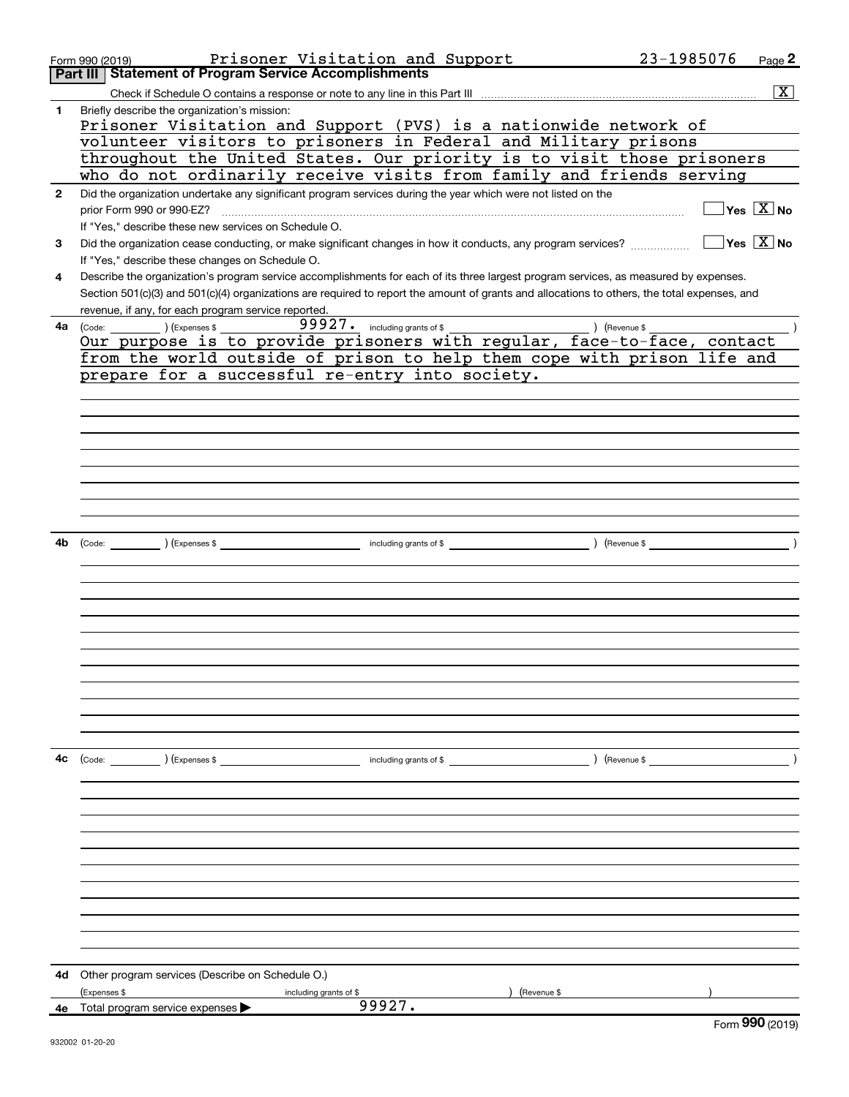|              | Prisoner Visitation and Support<br>Form 990 (2019)                                                                                           | 23-1985076    | Page $2$                                             |
|--------------|----------------------------------------------------------------------------------------------------------------------------------------------|---------------|------------------------------------------------------|
|              | <b>Part III   Statement of Program Service Accomplishments</b>                                                                               |               |                                                      |
|              |                                                                                                                                              |               | x                                                    |
| 1            | Briefly describe the organization's mission:<br>Prisoner Visitation and Support (PVS) is a nationwide network of                             |               |                                                      |
|              | volunteer visitors to prisoners in Federal and Military prisons                                                                              |               |                                                      |
|              | throughout the United States. Our priority is to visit those prisoners                                                                       |               |                                                      |
|              | who do not ordinarily receive visits from family and friends serving                                                                         |               |                                                      |
| $\mathbf{2}$ | Did the organization undertake any significant program services during the year which were not listed on the                                 |               |                                                      |
|              | prior Form 990 or 990-EZ?                                                                                                                    |               | $\sqrt{}$ Yes $\sqrt{}$ X $\sqrt{}$ No               |
|              | If "Yes," describe these new services on Schedule O.                                                                                         |               |                                                      |
| 3            | Did the organization cease conducting, or make significant changes in how it conducts, any program services?                                 |               | $\overline{\mathsf{Yes}}$ $\overline{\mathsf{X}}$ No |
|              | If "Yes," describe these changes on Schedule O.                                                                                              |               |                                                      |
| 4            | Describe the organization's program service accomplishments for each of its three largest program services, as measured by expenses.         |               |                                                      |
|              | Section 501(c)(3) and 501(c)(4) organizations are required to report the amount of grants and allocations to others, the total expenses, and |               |                                                      |
|              | revenue, if any, for each program service reported.                                                                                          |               |                                                      |
| 4a l         | 99927. including grants of \$                                                                                                                |               |                                                      |
|              |                                                                                                                                              |               |                                                      |
|              | from the world outside of prison to help them cope with prison life and                                                                      |               |                                                      |
|              | prepare for a successful re-entry into society.                                                                                              |               |                                                      |
|              |                                                                                                                                              |               |                                                      |
|              |                                                                                                                                              |               |                                                      |
|              |                                                                                                                                              |               |                                                      |
|              |                                                                                                                                              |               |                                                      |
|              |                                                                                                                                              |               |                                                      |
|              |                                                                                                                                              |               |                                                      |
|              |                                                                                                                                              |               |                                                      |
|              |                                                                                                                                              |               |                                                      |
|              |                                                                                                                                              |               |                                                      |
| 4b           | (Code: ) (Expenses \$ (a) and the contract of \$ (Revenue \$ ) (Revenue \$                                                                   |               |                                                      |
|              |                                                                                                                                              |               |                                                      |
|              |                                                                                                                                              |               |                                                      |
|              |                                                                                                                                              |               |                                                      |
|              |                                                                                                                                              |               |                                                      |
|              |                                                                                                                                              |               |                                                      |
|              |                                                                                                                                              |               |                                                      |
|              |                                                                                                                                              |               |                                                      |
|              |                                                                                                                                              |               |                                                      |
|              |                                                                                                                                              |               |                                                      |
|              |                                                                                                                                              |               |                                                      |
|              |                                                                                                                                              |               |                                                      |
|              |                                                                                                                                              |               |                                                      |
| 4c           | (Code: ) (Expenses \$<br>including grants of \$                                                                                              | ) (Revenue \$ |                                                      |
|              |                                                                                                                                              |               |                                                      |
|              |                                                                                                                                              |               |                                                      |
|              |                                                                                                                                              |               |                                                      |
|              |                                                                                                                                              |               |                                                      |
|              |                                                                                                                                              |               |                                                      |
|              |                                                                                                                                              |               |                                                      |
|              |                                                                                                                                              |               |                                                      |
|              |                                                                                                                                              |               |                                                      |
|              |                                                                                                                                              |               |                                                      |
|              |                                                                                                                                              |               |                                                      |
|              |                                                                                                                                              |               |                                                      |
| 4d           | Other program services (Describe on Schedule O.)                                                                                             |               |                                                      |
|              | (Expenses \$<br>(Revenue \$<br>including grants of \$                                                                                        |               |                                                      |
| 4e           | 99927.<br>Total program service expenses                                                                                                     |               |                                                      |
|              |                                                                                                                                              |               | Form 990 (2019)                                      |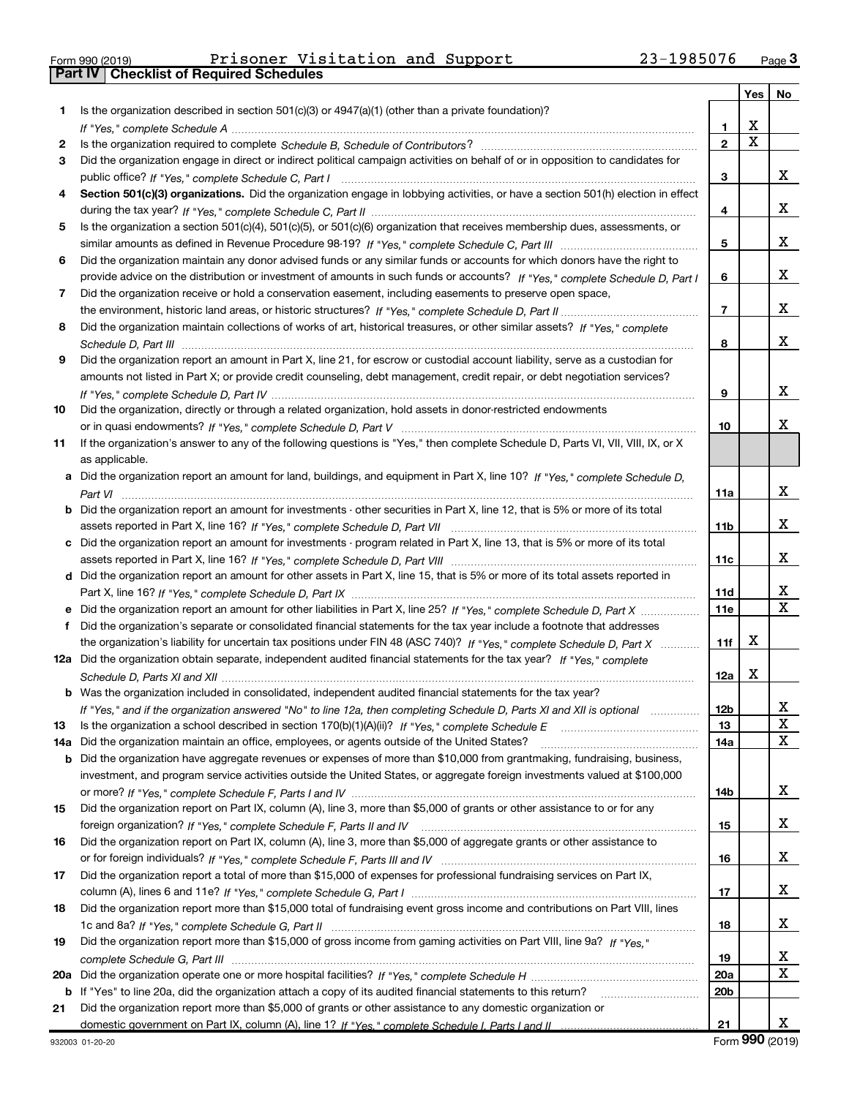| Form 990 (2019) |  |  |
|-----------------|--|--|

Part IV | Checklist of Required Schedules

Form 990 (2019) Page Prisoner Visitation and Support 23-1985076

|     |                                                                                                                                                                                                                                |                 | Yes | No      |
|-----|--------------------------------------------------------------------------------------------------------------------------------------------------------------------------------------------------------------------------------|-----------------|-----|---------|
| 1   | Is the organization described in section $501(c)(3)$ or $4947(a)(1)$ (other than a private foundation)?                                                                                                                        |                 |     |         |
|     | If "Yes," complete Schedule A measured and the complete schedule A measured and the complete Schedule A measured and the complete schedule A measured and the control of the control of the control of the control of the cont | 1               | х   |         |
| 2   |                                                                                                                                                                                                                                | $\overline{2}$  | X   |         |
| 3   | Did the organization engage in direct or indirect political campaign activities on behalf of or in opposition to candidates for                                                                                                |                 |     |         |
|     |                                                                                                                                                                                                                                | 3               |     | x       |
| 4   | Section 501(c)(3) organizations. Did the organization engage in lobbying activities, or have a section 501(h) election in effect                                                                                               |                 |     |         |
|     |                                                                                                                                                                                                                                | 4               |     | x       |
| 5   | Is the organization a section 501(c)(4), 501(c)(5), or 501(c)(6) organization that receives membership dues, assessments, or                                                                                                   |                 |     |         |
|     |                                                                                                                                                                                                                                | 5               |     | x       |
| 6   | Did the organization maintain any donor advised funds or any similar funds or accounts for which donors have the right to                                                                                                      |                 |     |         |
|     | provide advice on the distribution or investment of amounts in such funds or accounts? If "Yes," complete Schedule D, Part I                                                                                                   | 6               |     | x       |
| 7   | Did the organization receive or hold a conservation easement, including easements to preserve open space,                                                                                                                      |                 |     |         |
|     |                                                                                                                                                                                                                                | $\overline{7}$  |     | х       |
| 8   | Did the organization maintain collections of works of art, historical treasures, or other similar assets? If "Yes," complete                                                                                                   |                 |     |         |
|     |                                                                                                                                                                                                                                | 8               |     | х       |
| 9   | Did the organization report an amount in Part X, line 21, for escrow or custodial account liability, serve as a custodian for                                                                                                  |                 |     |         |
|     | amounts not listed in Part X; or provide credit counseling, debt management, credit repair, or debt negotiation services?                                                                                                      |                 |     |         |
|     |                                                                                                                                                                                                                                | 9               |     | х       |
| 10  | Did the organization, directly or through a related organization, hold assets in donor-restricted endowments                                                                                                                   |                 |     |         |
|     |                                                                                                                                                                                                                                | 10              |     | х       |
| 11  | If the organization's answer to any of the following questions is "Yes," then complete Schedule D, Parts VI, VII, VIII, IX, or X                                                                                               |                 |     |         |
|     | as applicable.                                                                                                                                                                                                                 |                 |     |         |
|     | a Did the organization report an amount for land, buildings, and equipment in Part X, line 10? If "Yes," complete Schedule D.                                                                                                  |                 |     |         |
|     |                                                                                                                                                                                                                                | 11a             |     | x       |
|     | Did the organization report an amount for investments - other securities in Part X, line 12, that is 5% or more of its total                                                                                                   |                 |     |         |
|     |                                                                                                                                                                                                                                | 11 <sub>b</sub> |     | x       |
|     | c Did the organization report an amount for investments - program related in Part X, line 13, that is 5% or more of its total                                                                                                  |                 |     |         |
|     |                                                                                                                                                                                                                                | 11c             |     | х       |
|     | d Did the organization report an amount for other assets in Part X, line 15, that is 5% or more of its total assets reported in                                                                                                |                 |     |         |
|     |                                                                                                                                                                                                                                | 11d             |     | X<br>X  |
|     |                                                                                                                                                                                                                                | <b>11e</b>      |     |         |
| f   | Did the organization's separate or consolidated financial statements for the tax year include a footnote that addresses                                                                                                        |                 | х   |         |
|     | the organization's liability for uncertain tax positions under FIN 48 (ASC 740)? If "Yes," complete Schedule D, Part X                                                                                                         | 11f             |     |         |
|     | 12a Did the organization obtain separate, independent audited financial statements for the tax year? If "Yes," complete                                                                                                        |                 | X   |         |
|     | <b>b</b> Was the organization included in consolidated, independent audited financial statements for the tax year?                                                                                                             | 12a             |     |         |
|     |                                                                                                                                                                                                                                | 12 <sub>b</sub> |     |         |
| 13  | If "Yes," and if the organization answered "No" to line 12a, then completing Schedule D, Parts XI and XII is optional                                                                                                          | 13              |     | ∡⊾<br>X |
| 14a | Did the organization maintain an office, employees, or agents outside of the United States?                                                                                                                                    | 14a             |     | X       |
| b   | Did the organization have aggregate revenues or expenses of more than \$10,000 from grantmaking, fundraising, business,                                                                                                        |                 |     |         |
|     | investment, and program service activities outside the United States, or aggregate foreign investments valued at \$100,000                                                                                                     |                 |     |         |
|     |                                                                                                                                                                                                                                | 14b             |     | x       |
| 15  | Did the organization report on Part IX, column (A), line 3, more than \$5,000 of grants or other assistance to or for any                                                                                                      |                 |     |         |
|     |                                                                                                                                                                                                                                | 15              |     | x       |
| 16  | Did the organization report on Part IX, column (A), line 3, more than \$5,000 of aggregate grants or other assistance to                                                                                                       |                 |     |         |
|     |                                                                                                                                                                                                                                | 16              |     | x       |
| 17  | Did the organization report a total of more than \$15,000 of expenses for professional fundraising services on Part IX,                                                                                                        |                 |     |         |
|     |                                                                                                                                                                                                                                | 17              |     | x       |
| 18  | Did the organization report more than \$15,000 total of fundraising event gross income and contributions on Part VIII, lines                                                                                                   |                 |     |         |
|     |                                                                                                                                                                                                                                | 18              |     | x       |
| 19  | Did the organization report more than \$15,000 of gross income from gaming activities on Part VIII, line 9a? If "Yes."                                                                                                         |                 |     |         |
|     |                                                                                                                                                                                                                                | 19              |     | x       |
| 20a |                                                                                                                                                                                                                                | 20a             |     | X       |
|     | b If "Yes" to line 20a, did the organization attach a copy of its audited financial statements to this return?                                                                                                                 | 20 <sub>b</sub> |     |         |
| 21  | Did the organization report more than \$5,000 of grants or other assistance to any domestic organization or                                                                                                                    |                 |     |         |
|     |                                                                                                                                                                                                                                | 21              |     | x       |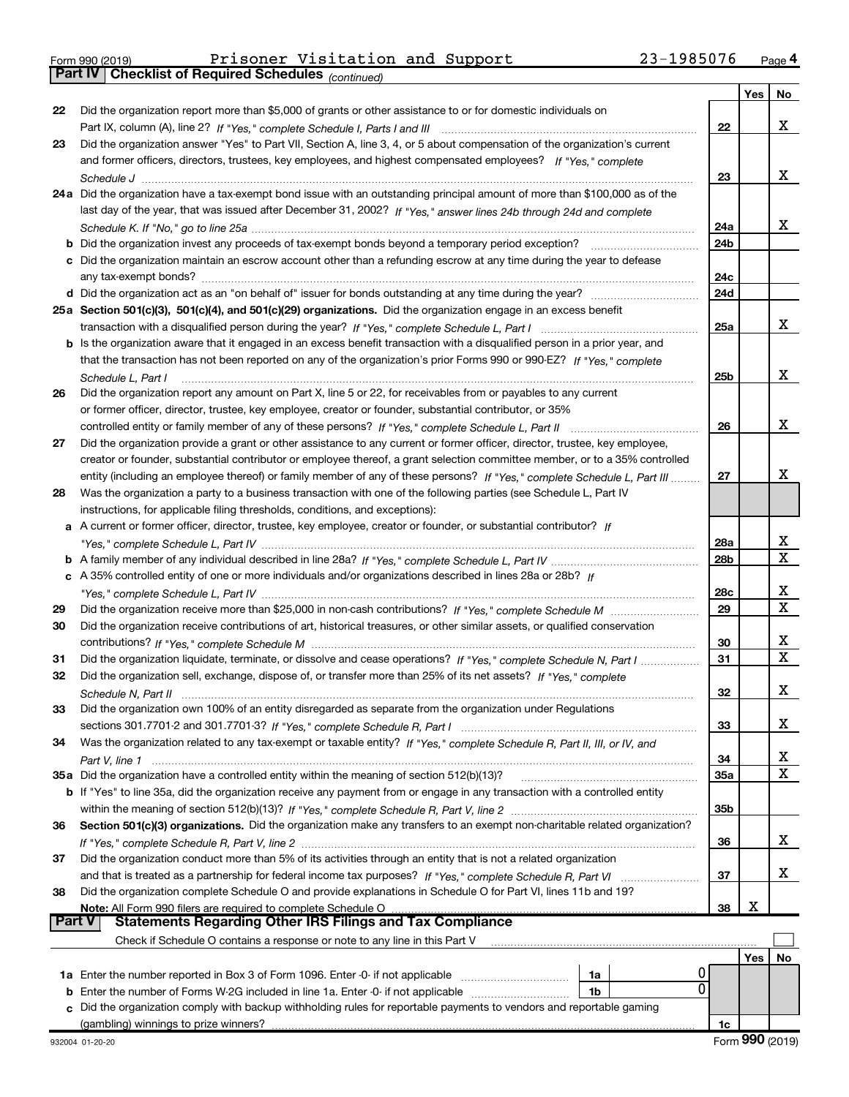Part IV | Checklist of Required Schedules

|               |                                                                                                                                                                                                                                                         |                 | Yes | No |
|---------------|---------------------------------------------------------------------------------------------------------------------------------------------------------------------------------------------------------------------------------------------------------|-----------------|-----|----|
| 22            | Did the organization report more than \$5,000 of grants or other assistance to or for domestic individuals on                                                                                                                                           |                 |     |    |
|               |                                                                                                                                                                                                                                                         | 22              |     | x  |
| 23            | Did the organization answer "Yes" to Part VII, Section A, line 3, 4, or 5 about compensation of the organization's current                                                                                                                              |                 |     |    |
|               | and former officers, directors, trustees, key employees, and highest compensated employees? If "Yes," complete                                                                                                                                          |                 |     |    |
|               |                                                                                                                                                                                                                                                         | 23              |     | х  |
|               | 24a Did the organization have a tax-exempt bond issue with an outstanding principal amount of more than \$100,000 as of the                                                                                                                             |                 |     |    |
|               | last day of the year, that was issued after December 31, 2002? If "Yes," answer lines 24b through 24d and complete                                                                                                                                      |                 |     |    |
|               |                                                                                                                                                                                                                                                         | 24a             |     | х  |
|               | <b>b</b> Did the organization invest any proceeds of tax-exempt bonds beyond a temporary period exception? <i>mmmmmmmmmmm</i>                                                                                                                           | 24 <sub>b</sub> |     |    |
|               | c Did the organization maintain an escrow account other than a refunding escrow at any time during the year to defease                                                                                                                                  |                 |     |    |
|               |                                                                                                                                                                                                                                                         | 24c             |     |    |
|               |                                                                                                                                                                                                                                                         | 24d             |     |    |
|               | 25a Section 501(c)(3), 501(c)(4), and 501(c)(29) organizations. Did the organization engage in an excess benefit                                                                                                                                        |                 |     |    |
|               |                                                                                                                                                                                                                                                         | 25a             |     | х  |
|               | b Is the organization aware that it engaged in an excess benefit transaction with a disqualified person in a prior year, and                                                                                                                            |                 |     |    |
|               | that the transaction has not been reported on any of the organization's prior Forms 990 or 990-EZ? If "Yes." complete                                                                                                                                   |                 |     | х  |
|               | Schedule L, Part I                                                                                                                                                                                                                                      | 25 <sub>b</sub> |     |    |
| 26            | Did the organization report any amount on Part X, line 5 or 22, for receivables from or payables to any current                                                                                                                                         |                 |     |    |
|               | or former officer, director, trustee, key employee, creator or founder, substantial contributor, or 35%                                                                                                                                                 |                 |     | х  |
|               | controlled entity or family member of any of these persons? If "Yes," complete Schedule L, Part II                                                                                                                                                      | 26              |     |    |
| 27            | Did the organization provide a grant or other assistance to any current or former officer, director, trustee, key employee,                                                                                                                             |                 |     |    |
|               | creator or founder, substantial contributor or employee thereof, a grant selection committee member, or to a 35% controlled<br>entity (including an employee thereof) or family member of any of these persons? If "Yes," complete Schedule L, Part III | 27              |     | X  |
| 28            | Was the organization a party to a business transaction with one of the following parties (see Schedule L, Part IV                                                                                                                                       |                 |     |    |
|               | instructions, for applicable filing thresholds, conditions, and exceptions):                                                                                                                                                                            |                 |     |    |
|               | a A current or former officer, director, trustee, key employee, creator or founder, or substantial contributor? If                                                                                                                                      |                 |     |    |
|               |                                                                                                                                                                                                                                                         | 28a             |     | х  |
|               |                                                                                                                                                                                                                                                         | 28 <sub>b</sub> |     | X  |
|               | c A 35% controlled entity of one or more individuals and/or organizations described in lines 28a or 28b? If                                                                                                                                             |                 |     |    |
|               |                                                                                                                                                                                                                                                         | 28c             |     | х  |
| 29            |                                                                                                                                                                                                                                                         | 29              |     | X  |
| 30            | Did the organization receive contributions of art, historical treasures, or other similar assets, or qualified conservation                                                                                                                             |                 |     |    |
|               |                                                                                                                                                                                                                                                         | 30              |     | х  |
| 31            | Did the organization liquidate, terminate, or dissolve and cease operations? If "Yes," complete Schedule N, Part I                                                                                                                                      | 31              |     | X  |
| 32            | Did the organization sell, exchange, dispose of, or transfer more than 25% of its net assets? If "Yes," complete                                                                                                                                        |                 |     |    |
|               |                                                                                                                                                                                                                                                         | 32              |     | X  |
| 33            | Did the organization own 100% of an entity disregarded as separate from the organization under Regulations                                                                                                                                              |                 |     |    |
|               |                                                                                                                                                                                                                                                         | 33              |     | X  |
| 34            | Was the organization related to any tax-exempt or taxable entity? If "Yes," complete Schedule R, Part II, III, or IV, and                                                                                                                               |                 |     |    |
|               |                                                                                                                                                                                                                                                         | 34              |     | x  |
|               | 35a Did the organization have a controlled entity within the meaning of section 512(b)(13)?                                                                                                                                                             | 35a             |     | x  |
|               | <b>b</b> If "Yes" to line 35a, did the organization receive any payment from or engage in any transaction with a controlled entity                                                                                                                      |                 |     |    |
|               |                                                                                                                                                                                                                                                         | 35 <sub>b</sub> |     |    |
| 36            | Section 501(c)(3) organizations. Did the organization make any transfers to an exempt non-charitable related organization?                                                                                                                              |                 |     |    |
|               |                                                                                                                                                                                                                                                         | 36              |     | x  |
| 37            | Did the organization conduct more than 5% of its activities through an entity that is not a related organization                                                                                                                                        |                 |     |    |
|               |                                                                                                                                                                                                                                                         | 37              |     | x  |
| 38            | Did the organization complete Schedule O and provide explanations in Schedule O for Part VI, lines 11b and 19?                                                                                                                                          |                 |     |    |
|               | Note: All Form 990 filers are required to complete Schedule O                                                                                                                                                                                           | 38              | х   |    |
| <b>Part V</b> | <b>Statements Regarding Other IRS Filings and Tax Compliance</b>                                                                                                                                                                                        |                 |     |    |
|               | Check if Schedule O contains a response or note to any line in this Part V                                                                                                                                                                              |                 |     |    |
|               |                                                                                                                                                                                                                                                         |                 | Yes | No |
|               | 1a Enter the number reported in Box 3 of Form 1096. Enter -0- if not applicable<br>1a<br>0                                                                                                                                                              |                 |     |    |
| b             | Enter the number of Forms W-2G included in line 1a. Enter -0- if not applicable<br>1b                                                                                                                                                                   |                 |     |    |
|               | Did the organization comply with backup withholding rules for reportable payments to vendors and reportable gaming<br>(gambling) winnings to prize winners?                                                                                             |                 |     |    |
|               |                                                                                                                                                                                                                                                         | 1c              |     |    |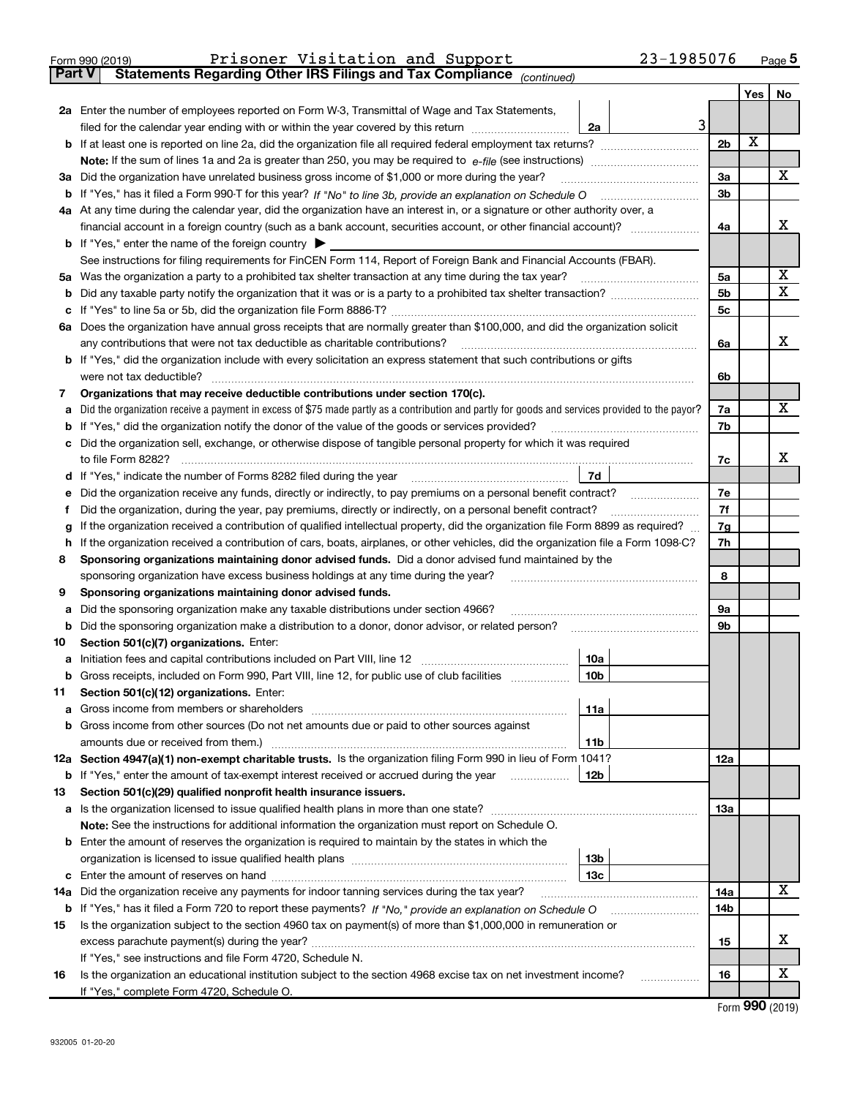| Form 990 (2019) | Prisoner Visitation and Support |  | 23-1985076 | Page |
|-----------------|---------------------------------|--|------------|------|

Part V | Statements Regarding Other IRS Filings and Tax Compliance

(continued)

|        |                                                                                                                                                                                                               |                 |  |                |     | Yes | No     |
|--------|---------------------------------------------------------------------------------------------------------------------------------------------------------------------------------------------------------------|-----------------|--|----------------|-----|-----|--------|
|        | 2a Enter the number of employees reported on Form W-3, Transmittal of Wage and Tax Statements,                                                                                                                |                 |  |                |     |     |        |
|        | filed for the calendar year ending with or within the year covered by this return                                                                                                                             | 2a              |  | 3              |     |     |        |
|        | <b>b</b> If at least one is reported on line 2a, did the organization file all required federal employment tax returns?                                                                                       |                 |  | 2 <sub>b</sub> |     | X   |        |
|        |                                                                                                                                                                                                               |                 |  |                |     |     |        |
| За     | Did the organization have unrelated business gross income of \$1,000 or more during the year?                                                                                                                 |                 |  | За             |     |     | x      |
|        |                                                                                                                                                                                                               |                 |  | 3b             |     |     |        |
|        | 4a At any time during the calendar year, did the organization have an interest in, or a signature or other authority over, a                                                                                  |                 |  |                |     |     |        |
|        |                                                                                                                                                                                                               |                 |  | 4a             |     |     | x      |
|        | <b>b</b> If "Yes," enter the name of the foreign country                                                                                                                                                      |                 |  |                |     |     |        |
|        | See instructions for filing requirements for FinCEN Form 114, Report of Foreign Bank and Financial Accounts (FBAR).                                                                                           |                 |  |                |     |     |        |
| 5a     | Was the organization a party to a prohibited tax shelter transaction at any time during the tax year?                                                                                                         |                 |  | 5a             |     |     | х<br>x |
| b      |                                                                                                                                                                                                               |                 |  | 5 <sub>b</sub> |     |     |        |
|        |                                                                                                                                                                                                               |                 |  | 5c             |     |     |        |
|        | 6a Does the organization have annual gross receipts that are normally greater than \$100,000, and did the organization solicit<br>any contributions that were not tax deductible as charitable contributions? |                 |  | 6a             |     |     | x      |
|        | b If "Yes," did the organization include with every solicitation an express statement that such contributions or gifts                                                                                        |                 |  |                |     |     |        |
|        | were not tax deductible?                                                                                                                                                                                      |                 |  | 6b             |     |     |        |
| 7      | Organizations that may receive deductible contributions under section 170(c).                                                                                                                                 |                 |  |                |     |     |        |
|        | Did the organization receive a payment in excess of \$75 made partly as a contribution and partly for goods and services provided to the payor?                                                               |                 |  | 7a             |     |     | х      |
|        | If "Yes," did the organization notify the donor of the value of the goods or services provided?                                                                                                               |                 |  | 7b             |     |     |        |
|        | Did the organization sell, exchange, or otherwise dispose of tangible personal property for which it was required                                                                                             |                 |  |                |     |     |        |
|        | to file Form 8282?                                                                                                                                                                                            |                 |  | 7c             |     |     | х      |
|        |                                                                                                                                                                                                               | 7d              |  |                |     |     |        |
|        | Did the organization receive any funds, directly or indirectly, to pay premiums on a personal benefit contract?                                                                                               |                 |  | 7е             |     |     |        |
|        | Did the organization, during the year, pay premiums, directly or indirectly, on a personal benefit contract?                                                                                                  |                 |  |                | 7f  |     |        |
| g      | If the organization received a contribution of qualified intellectual property, did the organization file Form 8899 as required?                                                                              |                 |  | 7g             |     |     |        |
| h      | If the organization received a contribution of cars, boats, airplanes, or other vehicles, did the organization file a Form 1098-C?                                                                            |                 |  |                |     |     |        |
| 8      | Sponsoring organizations maintaining donor advised funds. Did a donor advised fund maintained by the                                                                                                          |                 |  |                |     |     |        |
|        | sponsoring organization have excess business holdings at any time during the year?                                                                                                                            |                 |  |                | 8   |     |        |
| 9      | Sponsoring organizations maintaining donor advised funds.                                                                                                                                                     |                 |  |                |     |     |        |
| а      | Did the sponsoring organization make any taxable distributions under section 4966?                                                                                                                            |                 |  | <b>9a</b>      |     |     |        |
| b      | Did the sponsoring organization make a distribution to a donor, donor advisor, or related person?                                                                                                             |                 |  | 9b             |     |     |        |
| 10     | Section 501(c)(7) organizations. Enter:                                                                                                                                                                       | 10a             |  |                |     |     |        |
| а<br>b | Gross receipts, included on Form 990, Part VIII, line 12, for public use of club facilities                                                                                                                   | 10 <sub>b</sub> |  |                |     |     |        |
| 11     | Section 501(c)(12) organizations. Enter:                                                                                                                                                                      |                 |  |                |     |     |        |
|        | Gross income from members or shareholders                                                                                                                                                                     | 11a             |  |                |     |     |        |
|        | <b>b</b> Gross income from other sources (Do not net amounts due or paid to other sources against                                                                                                             |                 |  |                |     |     |        |
|        | amounts due or received from them.)                                                                                                                                                                           | 11b             |  |                |     |     |        |
|        | 12a Section 4947(a)(1) non-exempt charitable trusts. Is the organization filing Form 990 in lieu of Form 1041?                                                                                                |                 |  |                | 12a |     |        |
|        | <b>b</b> If "Yes," enter the amount of tax-exempt interest received or accrued during the year                                                                                                                | 12b             |  |                |     |     |        |
| 13     | Section 501(c)(29) qualified nonprofit health insurance issuers.                                                                                                                                              |                 |  |                |     |     |        |
|        | a Is the organization licensed to issue qualified health plans in more than one state?                                                                                                                        |                 |  |                | 13a |     |        |
|        | Note: See the instructions for additional information the organization must report on Schedule O.                                                                                                             |                 |  |                |     |     |        |
|        | <b>b</b> Enter the amount of reserves the organization is required to maintain by the states in which the                                                                                                     |                 |  |                |     |     |        |
|        |                                                                                                                                                                                                               | 13 <sub>b</sub> |  |                |     |     |        |
|        |                                                                                                                                                                                                               | 13 <sub>c</sub> |  |                |     |     |        |
|        | 14a Did the organization receive any payments for indoor tanning services during the tax year?                                                                                                                |                 |  |                | 14a |     | х      |
|        | <b>b</b> If "Yes," has it filed a Form 720 to report these payments? If "No," provide an explanation on Schedule O                                                                                            |                 |  |                | 14b |     |        |
| 15     | Is the organization subject to the section 4960 tax on payment(s) of more than \$1,000,000 in remuneration or                                                                                                 |                 |  |                | 15  |     | х      |
|        | If "Yes," see instructions and file Form 4720, Schedule N.                                                                                                                                                    |                 |  |                |     |     |        |
| 16     | Is the organization an educational institution subject to the section 4968 excise tax on net investment income?                                                                                               |                 |  |                | 16  |     | х      |
|        | If "Yes," complete Form 4720, Schedule O.                                                                                                                                                                     |                 |  |                |     |     |        |
|        |                                                                                                                                                                                                               |                 |  |                |     |     |        |

Form 990 (2019)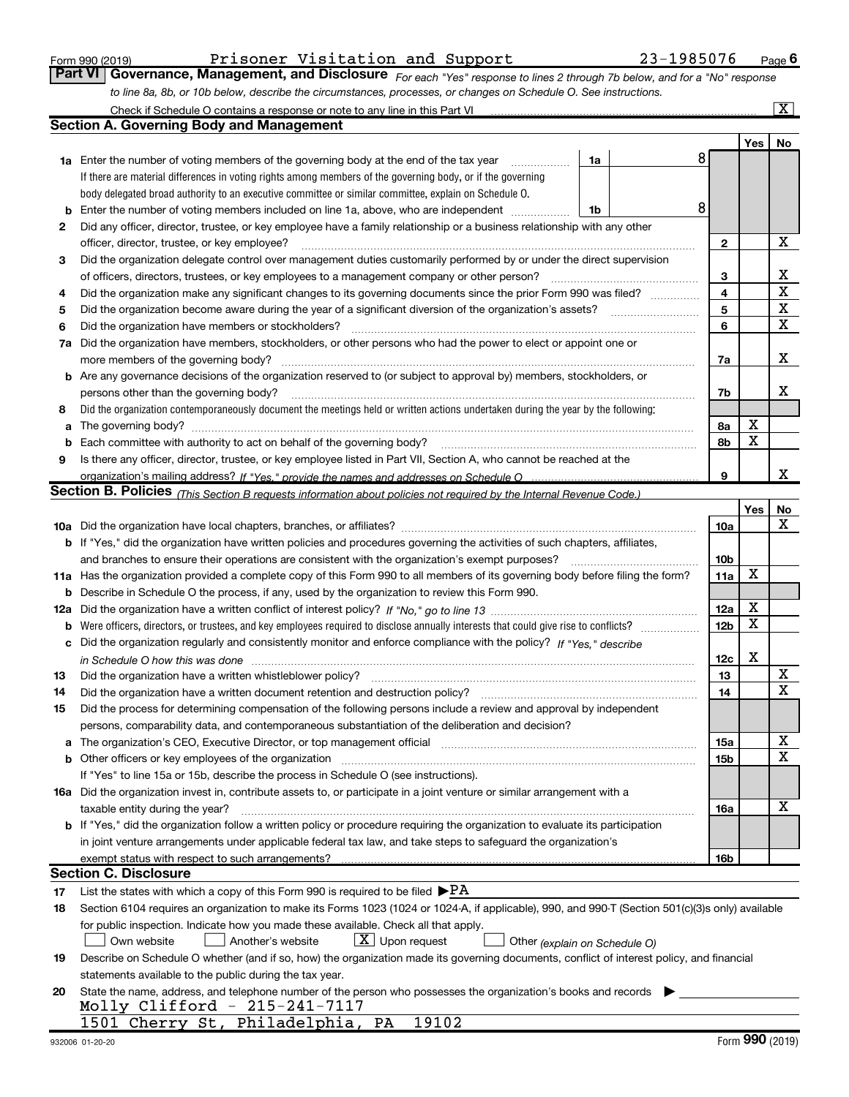|  | Form 990 (2019) |  |
|--|-----------------|--|
|  |                 |  |

### Form 990 (2019) Prisoner Visitation and Support 23-1985076 Page

| <b>Part VI   Governance, Management, and Disclosure</b> For each "Yes" response to lines 2 through 7b below, and for a "No" response |  |  |  |
|--------------------------------------------------------------------------------------------------------------------------------------|--|--|--|
| to line 8a, 8b, or 10b below, describe the circumstances, processes, or changes on Schedule O. See instructions.                     |  |  |  |

|     | Check if Schedule O contains a response or note to any line in this Part VI                                                                                                   |                 |     | $\overline{\mathbf{x}}$ |
|-----|-------------------------------------------------------------------------------------------------------------------------------------------------------------------------------|-----------------|-----|-------------------------|
|     | Section A. Governing Body and Management                                                                                                                                      |                 |     |                         |
|     |                                                                                                                                                                               |                 | Yes | No                      |
|     | 8<br>1a<br><b>1a</b> Enter the number of voting members of the governing body at the end of the tax year                                                                      |                 |     |                         |
|     | If there are material differences in voting rights among members of the governing body, or if the governing                                                                   |                 |     |                         |
|     | body delegated broad authority to an executive committee or similar committee, explain on Schedule O.                                                                         |                 |     |                         |
| b   | 8<br>Enter the number of voting members included on line 1a, above, who are independent<br>1b                                                                                 |                 |     |                         |
| 2   | Did any officer, director, trustee, or key employee have a family relationship or a business relationship with any other                                                      |                 |     |                         |
|     | officer, director, trustee, or key employee?                                                                                                                                  | 2               |     | х                       |
| 3   | Did the organization delegate control over management duties customarily performed by or under the direct supervision                                                         |                 |     |                         |
|     | of officers, directors, trustees, or key employees to a management company or other person?                                                                                   | з               |     | х                       |
| 4   | Did the organization make any significant changes to its governing documents since the prior Form 990 was filed?                                                              | 4               |     | X                       |
| 5   | Did the organization become aware during the year of a significant diversion of the organization's assets?                                                                    | 5               |     | Χ                       |
| 6   | Did the organization have members or stockholders?                                                                                                                            | 6               |     | X                       |
| 7а  | Did the organization have members, stockholders, or other persons who had the power to elect or appoint one or                                                                |                 |     |                         |
|     | more members of the governing body?                                                                                                                                           | 7a              |     | x                       |
|     | b Are any governance decisions of the organization reserved to (or subject to approval by) members, stockholders, or                                                          |                 |     |                         |
|     | persons other than the governing body?                                                                                                                                        | 7b              |     | х                       |
| 8   | Did the organization contemporaneously document the meetings held or written actions undertaken during the year by the following:                                             |                 |     |                         |
| a   |                                                                                                                                                                               | 8а              | X   |                         |
| b   | Each committee with authority to act on behalf of the governing body?                                                                                                         | 8b              | X   |                         |
| 9   | Is there any officer, director, trustee, or key employee listed in Part VII, Section A, who cannot be reached at the                                                          |                 |     |                         |
|     |                                                                                                                                                                               | 9               |     | x                       |
|     | <b>Section B. Policies</b> (This Section B requests information about policies not required by the Internal Revenue Code.)                                                    |                 |     |                         |
|     |                                                                                                                                                                               |                 | Yes | No                      |
|     |                                                                                                                                                                               | 10a             |     | x                       |
|     | <b>b</b> If "Yes," did the organization have written policies and procedures governing the activities of such chapters, affiliates,                                           |                 |     |                         |
|     | and branches to ensure their operations are consistent with the organization's exempt purposes?                                                                               | 10 <sub>b</sub> |     |                         |
|     | 11a Has the organization provided a complete copy of this Form 990 to all members of its governing body before filing the form?                                               | 11a             | X   |                         |
| b   | Describe in Schedule O the process, if any, used by the organization to review this Form 990.                                                                                 |                 |     |                         |
| 12a |                                                                                                                                                                               | 12a             | Χ   |                         |
| b   | Were officers, directors, or trustees, and key employees required to disclose annually interests that could give rise to conflicts?                                           | 12 <sub>b</sub> | X   |                         |
| c   | Did the organization regularly and consistently monitor and enforce compliance with the policy? If "Yes," describe                                                            |                 |     |                         |
|     |                                                                                                                                                                               | 12c             | X   |                         |
| 13  | Did the organization have a written whistleblower policy?                                                                                                                     | 13              |     | х                       |
| 14  | Did the organization have a written document retention and destruction policy?                                                                                                | 14              |     | $\mathbf x$             |
| 15  | Did the process for determining compensation of the following persons include a review and approval by independent                                                            |                 |     |                         |
|     | persons, comparability data, and contemporaneous substantiation of the deliberation and decision?                                                                             |                 |     |                         |
| а   | The organization's CEO, Executive Director, or top management official manufactured content content of the organization's CEO, Executive Director, or top management official | 15a             |     | х                       |
|     | <b>b</b> Other officers or key employees of the organization                                                                                                                  | 15b             |     | х                       |
|     | If "Yes" to line 15a or 15b, describe the process in Schedule O (see instructions).                                                                                           |                 |     |                         |
|     | 16a Did the organization invest in, contribute assets to, or participate in a joint venture or similar arrangement with a                                                     |                 |     |                         |
|     | taxable entity during the year?                                                                                                                                               | 16a             |     | X                       |
|     | <b>b</b> If "Yes," did the organization follow a written policy or procedure requiring the organization to evaluate its participation                                         |                 |     |                         |
|     | in joint venture arrangements under applicable federal tax law, and take steps to safeguard the organization's                                                                |                 |     |                         |
|     | exempt status with respect to such arrangements?                                                                                                                              | 16 <sub>b</sub> |     |                         |
|     | <b>Section C. Disclosure</b>                                                                                                                                                  |                 |     |                         |
| 17  | List the states with which a copy of this Form 990 is required to be filed $\blacktriangleright$ PA                                                                           |                 |     |                         |
| 18  | Section 6104 requires an organization to make its Forms 1023 (1024 or 1024-A, if applicable), 990, and 990-T (Section 501(c)(3)s only) available                              |                 |     |                         |
|     | for public inspection. Indicate how you made these available. Check all that apply.                                                                                           |                 |     |                         |
|     | $X$ Upon request<br>Another's website<br>Own website<br>Other (explain on Schedule O)                                                                                         |                 |     |                         |
| 19  | Describe on Schedule O whether (and if so, how) the organization made its governing documents, conflict of interest policy, and financial                                     |                 |     |                         |
|     | statements available to the public during the tax year.                                                                                                                       |                 |     |                         |
| 20  | State the name, address, and telephone number of the person who possesses the organization's books and records                                                                |                 |     |                         |
|     | Molly Clifford - 215-241-7117                                                                                                                                                 |                 |     |                         |
|     | 19102<br>1501 Cherry St, Philadelphia, PA                                                                                                                                     |                 |     |                         |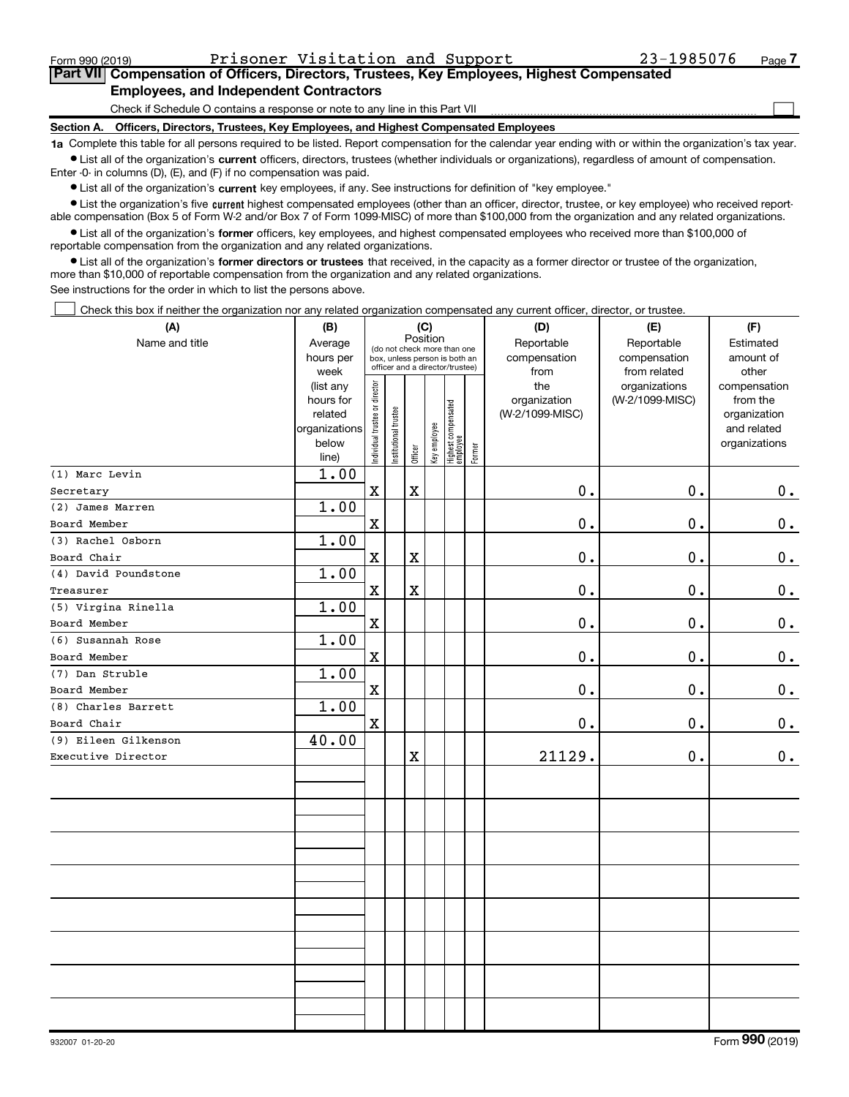$\Box$ 

### Part VII Compensation of Officers, Directors, Trustees, Key Employees, Highest Compensated Employees, and Independent Contractors

Check if Schedule O contains a response or note to any line in this Part VII

Section A. Officers, Directors, Trustees, Key Employees, and Highest Compensated Employees

1a Complete this table for all persons required to be listed. Report compensation for the calendar year ending with or within the organization's tax year. Ist all of the organization's current officers, directors, trustees (whether individuals or organizations), regardless of amount of compensation.

Enter -0- in columns (D), (E), and (F) if no compensation was paid.

**•** List all of the organization's current key employees, if any. See instructions for definition of "key employee."

● List the organization's five current highest compensated employees (other than an officer, director, trustee, or key employee) who received reportable compensation (Box 5 of Form W-2 and/or Box 7 of Form 1099-MISC) of more than \$100,000 from the organization and any related organizations.

List all of the organization's former officers, key employees, and highest compensated employees who received more than \$100,000 of reportable compensation from the organization and any related organizations.

• List all of the organization's former directors or trustees that received, in the capacity as a former director or trustee of the organization, more than \$10,000 of reportable compensation from the organization and any related organizations.

See instructions for the order in which to list the persons above.

Check this box if neither the organization nor any related organization compensated any current officer, director, or trustee.  $\Box$ 

| (A)                  | (B)                    | (C)                                     |                                                                  | (D)         | (E)          | (F)                             |           |                 |                                  |                          |
|----------------------|------------------------|-----------------------------------------|------------------------------------------------------------------|-------------|--------------|---------------------------------|-----------|-----------------|----------------------------------|--------------------------|
| Name and title       | Average                | Position<br>(do not check more than one |                                                                  |             | Reportable   | Reportable                      | Estimated |                 |                                  |                          |
|                      | hours per              |                                         | box, unless person is both an<br>officer and a director/trustee) |             | compensation | compensation                    | amount of |                 |                                  |                          |
|                      | week                   |                                         |                                                                  |             |              |                                 |           | from<br>the     | from related                     | other                    |
|                      | (list any<br>hours for |                                         |                                                                  |             |              |                                 |           | organization    | organizations<br>(W-2/1099-MISC) | compensation<br>from the |
|                      | related                |                                         |                                                                  |             |              |                                 |           | (W-2/1099-MISC) |                                  | organization             |
|                      | organizations          |                                         |                                                                  |             |              |                                 |           |                 |                                  | and related              |
|                      | below                  | Individual trustee or director          | Institutional trustee                                            |             | Key employee | Highest compensated<br>employee |           |                 |                                  | organizations            |
|                      | line)                  |                                         |                                                                  | Officer     |              |                                 | Former    |                 |                                  |                          |
| (1) Marc Levin       | 1.00                   |                                         |                                                                  |             |              |                                 |           |                 |                                  |                          |
| Secretary            |                        | $\mathbf x$                             |                                                                  | $\mathbf X$ |              |                                 |           | 0.              | 0.                               | $0_{.}$                  |
| (2) James Marren     | 1.00                   |                                         |                                                                  |             |              |                                 |           |                 |                                  |                          |
| Board Member         |                        | $\mathbf X$                             |                                                                  |             |              |                                 |           | $\mathbf 0$ .   | $\mathbf 0$ .                    | 0.                       |
| (3) Rachel Osborn    | 1.00                   |                                         |                                                                  |             |              |                                 |           |                 |                                  |                          |
| Board Chair          |                        | $\mathbf X$                             |                                                                  | $\mathbf X$ |              |                                 |           | 0.              | $\mathbf 0$ .                    | $0_{.}$                  |
| (4) David Poundstone | 1.00                   |                                         |                                                                  |             |              |                                 |           |                 |                                  |                          |
| Treasurer            |                        | $\mathbf X$                             |                                                                  | $\mathbf X$ |              |                                 |           | 0.              | 0.                               | $\mathbf 0$ .            |
| (5) Virgina Rinella  | 1.00                   |                                         |                                                                  |             |              |                                 |           |                 |                                  |                          |
| Board Member         |                        | $\mathbf X$                             |                                                                  |             |              |                                 |           | 0.              | 0.                               | $\mathbf 0$ .            |
| (6) Susannah Rose    | 1.00                   |                                         |                                                                  |             |              |                                 |           |                 |                                  |                          |
| Board Member         |                        | $\mathbf X$                             |                                                                  |             |              |                                 |           | 0.              | 0.                               | $\mathbf 0$ .            |
| (7) Dan Struble      | 1.00                   |                                         |                                                                  |             |              |                                 |           |                 |                                  |                          |
| Board Member         |                        | $\mathbf X$                             |                                                                  |             |              |                                 |           | 0.              | $\mathbf 0$ .                    | $0$ .                    |
| (8) Charles Barrett  | 1.00                   |                                         |                                                                  |             |              |                                 |           |                 |                                  |                          |
| Board Chair          |                        | $\mathbf X$                             |                                                                  |             |              |                                 |           | 0.              | $\mathbf 0$ .                    | $\mathbf 0$ .            |
| (9) Eileen Gilkenson | 40.00                  |                                         |                                                                  |             |              |                                 |           |                 |                                  |                          |
| Executive Director   |                        |                                         |                                                                  | $\mathbf X$ |              |                                 |           | 21129.          | $\mathbf 0$ .                    | 0.                       |
|                      |                        |                                         |                                                                  |             |              |                                 |           |                 |                                  |                          |
|                      |                        |                                         |                                                                  |             |              |                                 |           |                 |                                  |                          |
|                      |                        |                                         |                                                                  |             |              |                                 |           |                 |                                  |                          |
|                      |                        |                                         |                                                                  |             |              |                                 |           |                 |                                  |                          |
|                      |                        |                                         |                                                                  |             |              |                                 |           |                 |                                  |                          |
|                      |                        |                                         |                                                                  |             |              |                                 |           |                 |                                  |                          |
|                      |                        |                                         |                                                                  |             |              |                                 |           |                 |                                  |                          |
|                      |                        |                                         |                                                                  |             |              |                                 |           |                 |                                  |                          |
|                      |                        |                                         |                                                                  |             |              |                                 |           |                 |                                  |                          |
|                      |                        |                                         |                                                                  |             |              |                                 |           |                 |                                  |                          |
|                      |                        |                                         |                                                                  |             |              |                                 |           |                 |                                  |                          |
|                      |                        |                                         |                                                                  |             |              |                                 |           |                 |                                  |                          |
|                      |                        |                                         |                                                                  |             |              |                                 |           |                 |                                  |                          |
|                      |                        |                                         |                                                                  |             |              |                                 |           |                 |                                  |                          |
|                      |                        |                                         |                                                                  |             |              |                                 |           |                 |                                  |                          |
|                      |                        |                                         |                                                                  |             |              |                                 |           |                 |                                  |                          |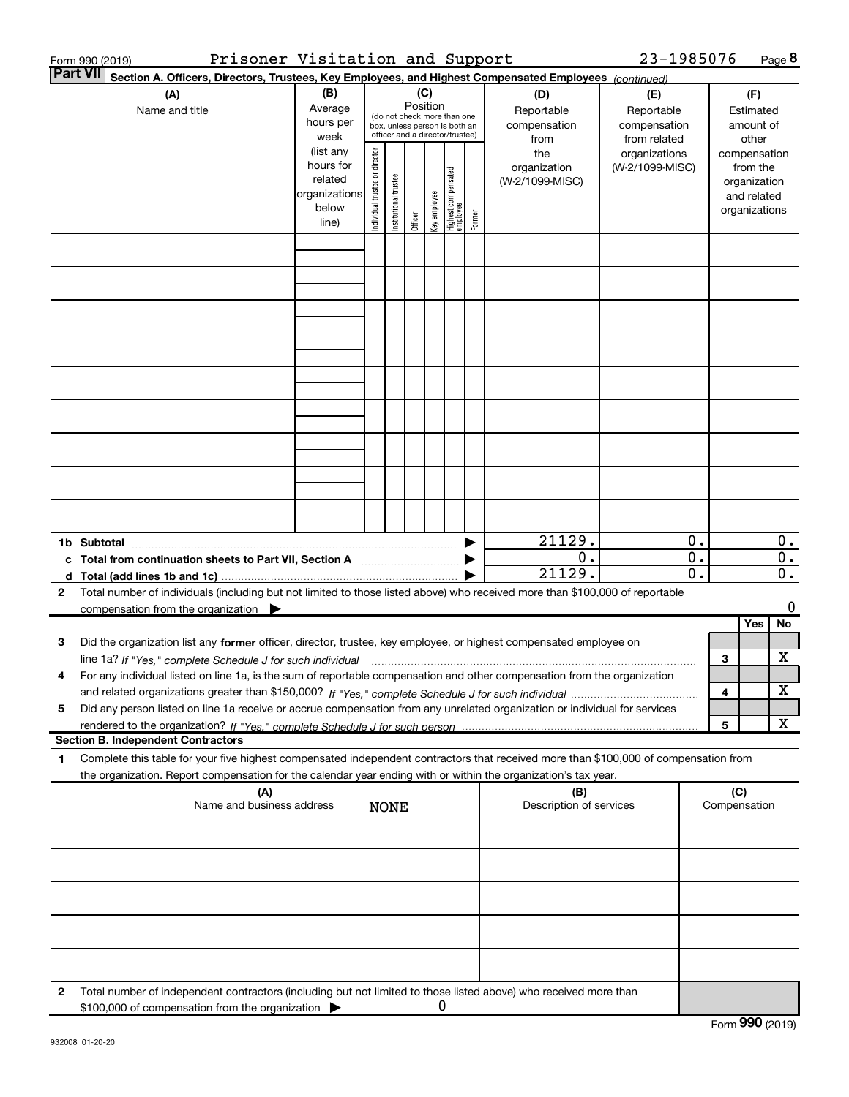| Prisoner Visitation and Support<br>Form 990 (2019)                                                                                                                                                                                                          |                                                                      |                                |                       |                 |              |                                                                                                 |        |                                           | 23-1985076                                        |                           |     |                                                                          | Page $8$                        |
|-------------------------------------------------------------------------------------------------------------------------------------------------------------------------------------------------------------------------------------------------------------|----------------------------------------------------------------------|--------------------------------|-----------------------|-----------------|--------------|-------------------------------------------------------------------------------------------------|--------|-------------------------------------------|---------------------------------------------------|---------------------------|-----|--------------------------------------------------------------------------|---------------------------------|
| <b>Part VII</b><br>Section A. Officers, Directors, Trustees, Key Employees, and Highest Compensated Employees (continued)                                                                                                                                   |                                                                      |                                |                       |                 |              |                                                                                                 |        |                                           |                                                   |                           |     |                                                                          |                                 |
| (A)<br>Name and title                                                                                                                                                                                                                                       | (B)<br>Average<br>hours per<br>week                                  |                                |                       | (C)<br>Position |              | (do not check more than one<br>box, unless person is both an<br>officer and a director/trustee) |        | (D)<br>Reportable<br>compensation<br>from | (E)<br>Reportable<br>compensation<br>from related |                           |     | (F)<br>Estimated<br>amount of<br>other                                   |                                 |
|                                                                                                                                                                                                                                                             | (list any<br>hours for<br>related<br>organizations<br>below<br>line) | Individual trustee or director | Institutional trustee | Officer         | Key employee | Highest compensated<br>  employee                                                               | Former | the<br>organization<br>(W-2/1099-MISC)    | organizations<br>(W-2/1099-MISC)                  |                           |     | compensation<br>from the<br>organization<br>and related<br>organizations |                                 |
|                                                                                                                                                                                                                                                             |                                                                      |                                |                       |                 |              |                                                                                                 |        |                                           |                                                   |                           |     |                                                                          |                                 |
|                                                                                                                                                                                                                                                             |                                                                      |                                |                       |                 |              |                                                                                                 |        |                                           |                                                   |                           |     |                                                                          |                                 |
|                                                                                                                                                                                                                                                             |                                                                      |                                |                       |                 |              |                                                                                                 |        |                                           |                                                   |                           |     |                                                                          |                                 |
|                                                                                                                                                                                                                                                             |                                                                      |                                |                       |                 |              |                                                                                                 |        |                                           |                                                   |                           |     |                                                                          |                                 |
|                                                                                                                                                                                                                                                             |                                                                      |                                |                       |                 |              |                                                                                                 |        |                                           |                                                   |                           |     |                                                                          |                                 |
|                                                                                                                                                                                                                                                             |                                                                      |                                |                       |                 |              |                                                                                                 |        |                                           |                                                   |                           |     |                                                                          |                                 |
|                                                                                                                                                                                                                                                             |                                                                      |                                |                       |                 |              |                                                                                                 |        |                                           |                                                   |                           |     |                                                                          |                                 |
|                                                                                                                                                                                                                                                             |                                                                      |                                |                       |                 |              |                                                                                                 |        |                                           |                                                   |                           |     |                                                                          |                                 |
|                                                                                                                                                                                                                                                             |                                                                      |                                |                       |                 |              |                                                                                                 |        | 21129.                                    |                                                   |                           |     |                                                                          |                                 |
| 1b Subtotal<br>c Total from continuation sheets to Part VII, Section A [111] [120] [20]                                                                                                                                                                     |                                                                      |                                |                       |                 |              |                                                                                                 |        | $0$ .<br>21129.                           |                                                   | 0.<br>$\mathbf 0$ .<br>0. |     |                                                                          | 0.<br>$\overline{0}$ .<br>$0$ . |
| Total number of individuals (including but not limited to those listed above) who received more than \$100,000 of reportable<br>2<br>compensation from the organization $\blacktriangleright$                                                               |                                                                      |                                |                       |                 |              |                                                                                                 |        |                                           |                                                   |                           |     |                                                                          | 0                               |
|                                                                                                                                                                                                                                                             |                                                                      |                                |                       |                 |              |                                                                                                 |        |                                           |                                                   |                           |     | Yes                                                                      | No                              |
| Did the organization list any former officer, director, trustee, key employee, or highest compensated employee on<br>з                                                                                                                                      |                                                                      |                                |                       |                 |              |                                                                                                 |        |                                           |                                                   |                           |     |                                                                          |                                 |
|                                                                                                                                                                                                                                                             |                                                                      |                                |                       |                 |              |                                                                                                 |        |                                           |                                                   |                           | 3   |                                                                          | х                               |
| For any individual listed on line 1a, is the sum of reportable compensation and other compensation from the organization<br>4                                                                                                                               |                                                                      |                                |                       |                 |              |                                                                                                 |        |                                           |                                                   |                           |     |                                                                          | х                               |
| Did any person listed on line 1a receive or accrue compensation from any unrelated organization or individual for services<br>5                                                                                                                             |                                                                      |                                |                       |                 |              |                                                                                                 |        |                                           |                                                   |                           | 4   |                                                                          |                                 |
| rendered to the organization? If "Yes." complete Schedule J for such person.                                                                                                                                                                                |                                                                      |                                |                       |                 |              |                                                                                                 |        |                                           |                                                   |                           | 5   |                                                                          | X                               |
| <b>Section B. Independent Contractors</b>                                                                                                                                                                                                                   |                                                                      |                                |                       |                 |              |                                                                                                 |        |                                           |                                                   |                           |     |                                                                          |                                 |
| Complete this table for your five highest compensated independent contractors that received more than \$100,000 of compensation from<br>1<br>the organization. Report compensation for the calendar year ending with or within the organization's tax year. |                                                                      |                                |                       |                 |              |                                                                                                 |        |                                           |                                                   |                           |     |                                                                          |                                 |
| (A)<br>Name and business address                                                                                                                                                                                                                            |                                                                      |                                | <b>NONE</b>           |                 |              |                                                                                                 |        | (B)<br>Description of services            |                                                   |                           | (C) | Compensation                                                             |                                 |
|                                                                                                                                                                                                                                                             |                                                                      |                                |                       |                 |              |                                                                                                 |        |                                           |                                                   |                           |     |                                                                          |                                 |
|                                                                                                                                                                                                                                                             |                                                                      |                                |                       |                 |              |                                                                                                 |        |                                           |                                                   |                           |     |                                                                          |                                 |
|                                                                                                                                                                                                                                                             |                                                                      |                                |                       |                 |              |                                                                                                 |        |                                           |                                                   |                           |     |                                                                          |                                 |
|                                                                                                                                                                                                                                                             |                                                                      |                                |                       |                 |              |                                                                                                 |        |                                           |                                                   |                           |     |                                                                          |                                 |
|                                                                                                                                                                                                                                                             |                                                                      |                                |                       |                 |              |                                                                                                 |        |                                           |                                                   |                           |     |                                                                          |                                 |
| Total number of independent contractors (including but not limited to those listed above) who received more than<br>2<br>\$100,000 of compensation from the organization                                                                                    |                                                                      |                                |                       |                 | 0            |                                                                                                 |        |                                           |                                                   |                           |     |                                                                          |                                 |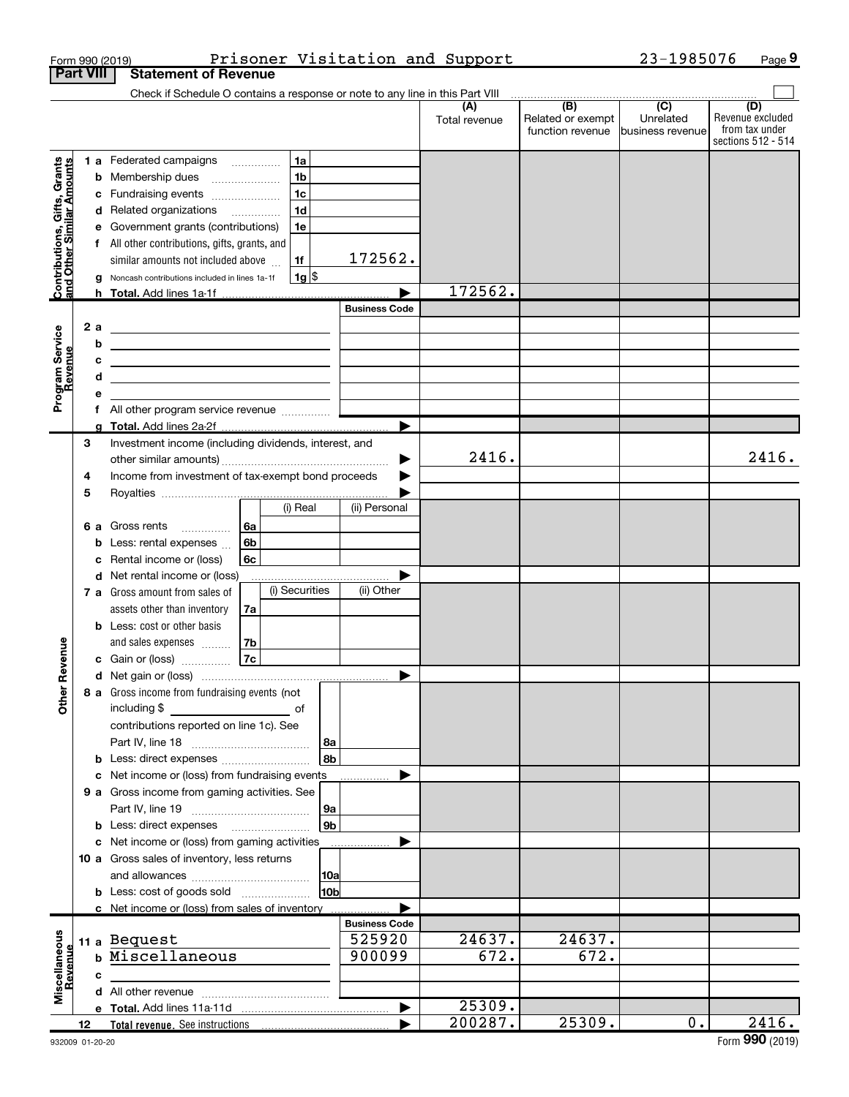|                                                           |                  |   | Form 990 (2019)                                                                                                        |          |                    |                 |                                | Prisoner Visitation and Support |                                              | 23-1985076                                      |                                                                 | Page 9 |
|-----------------------------------------------------------|------------------|---|------------------------------------------------------------------------------------------------------------------------|----------|--------------------|-----------------|--------------------------------|---------------------------------|----------------------------------------------|-------------------------------------------------|-----------------------------------------------------------------|--------|
|                                                           | <b>Part VIII</b> |   | <b>Statement of Revenue</b><br>Check if Schedule O contains a response or note to any line in this Part VIII           |          |                    |                 |                                |                                 |                                              |                                                 |                                                                 |        |
|                                                           |                  |   |                                                                                                                        |          |                    |                 |                                | (A)<br>Total revenue            | (B)<br>Related or exempt<br>function revenue | $\overline{C}$<br>Unrelated<br>business revenue | (D)<br>Revenue excluded<br>from tax under<br>sections 512 - 514 |        |
|                                                           |                  |   | 1 a Federated campaigns                                                                                                |          | 1a                 |                 |                                |                                 |                                              |                                                 |                                                                 |        |
| Contributions, Gifts, Grants<br>and Other Similar Amounts |                  |   | <b>b</b> Membership dues                                                                                               |          | 1 <sub>b</sub>     |                 |                                |                                 |                                              |                                                 |                                                                 |        |
|                                                           |                  |   | c Fundraising events                                                                                                   |          | 1 <sub>c</sub>     |                 |                                |                                 |                                              |                                                 |                                                                 |        |
|                                                           |                  |   | d Related organizations                                                                                                |          | 1 <sub>d</sub>     |                 |                                |                                 |                                              |                                                 |                                                                 |        |
|                                                           |                  | е | Government grants (contributions)                                                                                      |          | 1e                 |                 |                                |                                 |                                              |                                                 |                                                                 |        |
|                                                           |                  |   | f All other contributions, gifts, grants, and                                                                          |          |                    |                 |                                |                                 |                                              |                                                 |                                                                 |        |
|                                                           |                  |   | similar amounts not included above                                                                                     |          | 1f                 |                 | 172562.                        |                                 |                                              |                                                 |                                                                 |        |
|                                                           |                  |   | g Noncash contributions included in lines 1a-1f                                                                        |          | $1g$ $\frac{1}{3}$ |                 |                                | 172562.                         |                                              |                                                 |                                                                 |        |
|                                                           |                  |   | h Total. Add lines 1a-1f                                                                                               |          |                    |                 | <b>Business Code</b>           |                                 |                                              |                                                 |                                                                 |        |
|                                                           | 2a               |   |                                                                                                                        |          |                    |                 |                                |                                 |                                              |                                                 |                                                                 |        |
|                                                           |                  | b | <u> 1989 - Johann Barbara, martxa alemaniar arg</u>                                                                    |          |                    |                 |                                |                                 |                                              |                                                 |                                                                 |        |
|                                                           |                  | с | <u> 1989 - Johann Barbara, martxa alemaniar a</u>                                                                      |          |                    |                 |                                |                                 |                                              |                                                 |                                                                 |        |
|                                                           |                  | d | <u> 1989 - Johann Barn, mars ann an t-Amhain ann an t-Amhain an t-Amhain an t-Amhain an t-Amhain an t-Amhain an t-</u> |          |                    |                 |                                |                                 |                                              |                                                 |                                                                 |        |
| Program Service<br>Revenue                                |                  |   |                                                                                                                        |          |                    |                 |                                |                                 |                                              |                                                 |                                                                 |        |
|                                                           |                  |   |                                                                                                                        |          |                    |                 |                                |                                 |                                              |                                                 |                                                                 |        |
|                                                           |                  |   |                                                                                                                        |          |                    |                 |                                |                                 |                                              |                                                 |                                                                 |        |
|                                                           | 3                |   | Investment income (including dividends, interest, and                                                                  |          |                    |                 |                                |                                 |                                              |                                                 |                                                                 |        |
|                                                           |                  |   |                                                                                                                        |          |                    |                 | ▶                              | 2416.                           |                                              |                                                 |                                                                 | 2416.  |
|                                                           | 4                |   | Income from investment of tax-exempt bond proceeds                                                                     |          |                    |                 |                                |                                 |                                              |                                                 |                                                                 |        |
|                                                           | 5                |   |                                                                                                                        |          | (i) Real           |                 |                                |                                 |                                              |                                                 |                                                                 |        |
|                                                           |                  |   |                                                                                                                        |          |                    |                 | (ii) Personal                  |                                 |                                              |                                                 |                                                                 |        |
|                                                           | 6а               |   | Gross rents                                                                                                            | 6a       |                    |                 |                                |                                 |                                              |                                                 |                                                                 |        |
|                                                           |                  | b | Less: rental expenses<br>Rental income or (loss)                                                                       | 6b<br>6с |                    |                 |                                |                                 |                                              |                                                 |                                                                 |        |
|                                                           |                  | с | d Net rental income or (loss)                                                                                          |          |                    |                 |                                |                                 |                                              |                                                 |                                                                 |        |
|                                                           |                  |   | 7 a Gross amount from sales of                                                                                         |          | (i) Securities     |                 | (ii) Other                     |                                 |                                              |                                                 |                                                                 |        |
|                                                           |                  |   | assets other than inventory                                                                                            | 7a       |                    |                 |                                |                                 |                                              |                                                 |                                                                 |        |
|                                                           |                  |   | <b>b</b> Less: cost or other basis                                                                                     |          |                    |                 |                                |                                 |                                              |                                                 |                                                                 |        |
|                                                           |                  |   | and sales expenses                                                                                                     | 7b       |                    |                 |                                |                                 |                                              |                                                 |                                                                 |        |
| venue                                                     |                  |   | c Gain or (loss) $\ldots$                                                                                              | 7c       |                    |                 |                                |                                 |                                              |                                                 |                                                                 |        |
| ድ                                                         |                  |   |                                                                                                                        |          |                    |                 |                                |                                 |                                              |                                                 |                                                                 |        |
| <b>Other</b>                                              |                  |   | 8 a Gross income from fundraising events (not                                                                          |          |                    |                 |                                |                                 |                                              |                                                 |                                                                 |        |
|                                                           |                  |   |                                                                                                                        |          |                    |                 |                                |                                 |                                              |                                                 |                                                                 |        |
|                                                           |                  |   | contributions reported on line 1c). See                                                                                |          |                    |                 |                                |                                 |                                              |                                                 |                                                                 |        |
|                                                           |                  |   | <b>b</b> Less: direct expenses                                                                                         |          |                    | 8a<br>8b        |                                |                                 |                                              |                                                 |                                                                 |        |
|                                                           |                  |   | c Net income or (loss) from fundraising events                                                                         |          |                    |                 |                                |                                 |                                              |                                                 |                                                                 |        |
|                                                           |                  |   | 9 a Gross income from gaming activities. See                                                                           |          |                    |                 |                                |                                 |                                              |                                                 |                                                                 |        |
|                                                           |                  |   |                                                                                                                        |          |                    | <b>9a</b>       |                                |                                 |                                              |                                                 |                                                                 |        |
|                                                           |                  |   | <b>b</b> Less: direct expenses <b>manually</b>                                                                         |          |                    | 9b              |                                |                                 |                                              |                                                 |                                                                 |        |
|                                                           |                  |   | c Net income or (loss) from gaming activities                                                                          |          |                    |                 |                                |                                 |                                              |                                                 |                                                                 |        |
|                                                           |                  |   | 10 a Gross sales of inventory, less returns                                                                            |          |                    |                 |                                |                                 |                                              |                                                 |                                                                 |        |
|                                                           |                  |   |                                                                                                                        |          |                    | 10a             |                                |                                 |                                              |                                                 |                                                                 |        |
|                                                           |                  |   | <b>b</b> Less: cost of goods sold                                                                                      |          |                    | 10 <sub>b</sub> |                                |                                 |                                              |                                                 |                                                                 |        |
|                                                           |                  |   | c Net income or (loss) from sales of inventory                                                                         |          |                    |                 |                                |                                 |                                              |                                                 |                                                                 |        |
|                                                           |                  |   | 11 a Bequest                                                                                                           |          |                    |                 | <b>Business Code</b><br>525920 | 24637.                          | 24637.                                       |                                                 |                                                                 |        |
|                                                           |                  |   | Miscellaneous                                                                                                          |          |                    |                 | 900099                         | 672.                            | 672.                                         |                                                 |                                                                 |        |
|                                                           |                  | c |                                                                                                                        |          |                    |                 |                                |                                 |                                              |                                                 |                                                                 |        |
| Miscellaneous<br><b>Bevenue</b>                           |                  |   |                                                                                                                        |          |                    |                 |                                |                                 |                                              |                                                 |                                                                 |        |
|                                                           |                  |   |                                                                                                                        |          |                    |                 |                                | 25309.                          |                                              |                                                 |                                                                 |        |
|                                                           | 12               |   |                                                                                                                        |          |                    |                 |                                | 200287.                         | 25309.                                       | 0.                                              |                                                                 | 2416.  |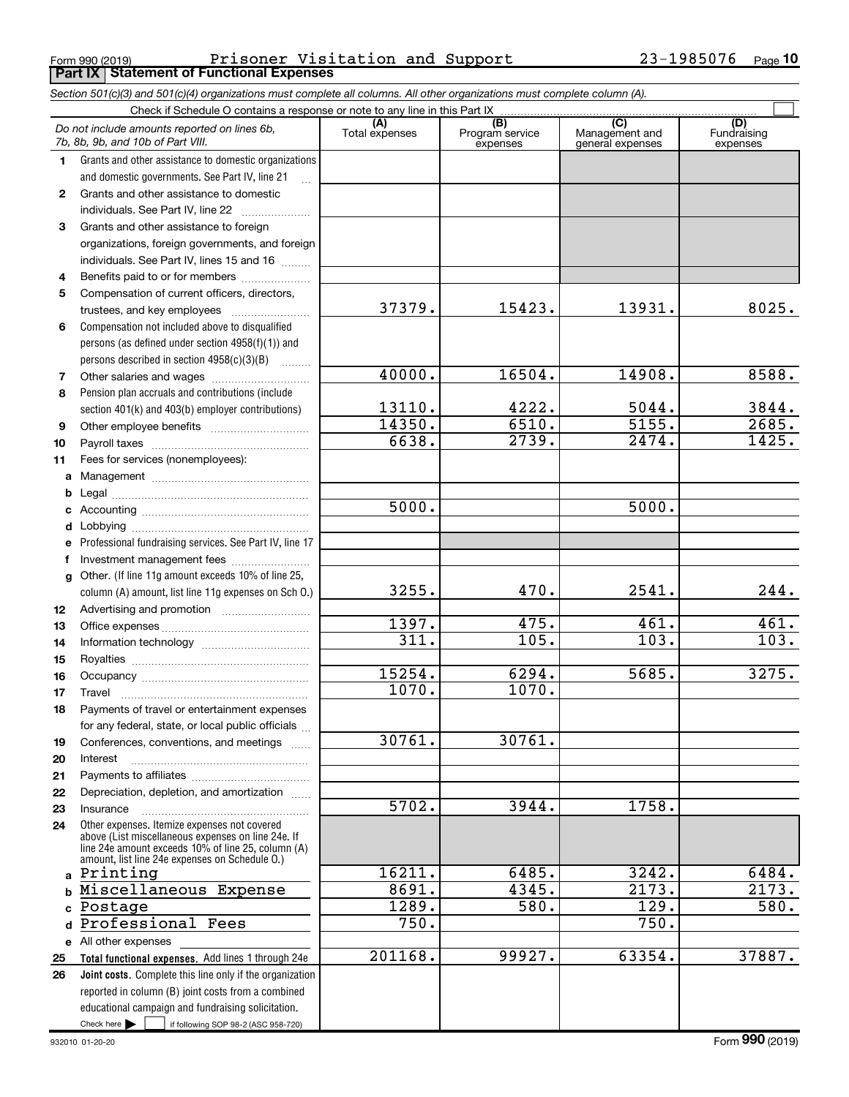Form 990 (2019) Prisoner Visitation and Support 23-1985076 Page <br>| **Part IX | Statement of Functional Expenses** Prisoner Visitation and Support 23-1985076

|              | Section 501(c)(3) and 501(c)(4) organizations must complete all columns. All other organizations must complete column (A).                                                                                 |                       |                                                 |                                                      |                                |
|--------------|------------------------------------------------------------------------------------------------------------------------------------------------------------------------------------------------------------|-----------------------|-------------------------------------------------|------------------------------------------------------|--------------------------------|
|              | Check if Schedule O contains a response or note to any line in this Part IX                                                                                                                                |                       |                                                 |                                                      |                                |
|              | Do not include amounts reported on lines 6b,<br>7b, 8b, 9b, and 10b of Part VIII.                                                                                                                          | (A)<br>Total expenses | $\overline{(B)}$<br>Program service<br>expenses | $\overline{C}$<br>Management and<br>general expenses | (D)<br>Fundraising<br>expenses |
| $\mathbf 1$  | Grants and other assistance to domestic organizations                                                                                                                                                      |                       |                                                 |                                                      |                                |
|              | and domestic governments. See Part IV, line 21                                                                                                                                                             |                       |                                                 |                                                      |                                |
| $\mathbf{2}$ | Grants and other assistance to domestic                                                                                                                                                                    |                       |                                                 |                                                      |                                |
|              | individuals. See Part IV, line 22                                                                                                                                                                          |                       |                                                 |                                                      |                                |
| 3            | Grants and other assistance to foreign                                                                                                                                                                     |                       |                                                 |                                                      |                                |
|              | organizations, foreign governments, and foreign                                                                                                                                                            |                       |                                                 |                                                      |                                |
|              | individuals. See Part IV, lines 15 and 16                                                                                                                                                                  |                       |                                                 |                                                      |                                |
| 4            | Benefits paid to or for members                                                                                                                                                                            |                       |                                                 |                                                      |                                |
| 5            | Compensation of current officers, directors,                                                                                                                                                               |                       |                                                 |                                                      |                                |
|              | trustees, and key employees                                                                                                                                                                                | 37379.                | 15423.                                          | 13931.                                               | 8025.                          |
| 6            | Compensation not included above to disqualified                                                                                                                                                            |                       |                                                 |                                                      |                                |
|              | persons (as defined under section 4958(f)(1)) and                                                                                                                                                          |                       |                                                 |                                                      |                                |
|              | persons described in section 4958(c)(3)(B)                                                                                                                                                                 |                       |                                                 |                                                      |                                |
| 7            | Other salaries and wages                                                                                                                                                                                   | 40000.                | 16504.                                          | 14908.                                               | 8588.                          |
| 8            | Pension plan accruals and contributions (include                                                                                                                                                           |                       |                                                 |                                                      |                                |
|              | section 401(k) and 403(b) employer contributions)                                                                                                                                                          | 13110.                | 4222.                                           | 5044.                                                | 3844.                          |
| 9            |                                                                                                                                                                                                            | 14350.                | 6510.                                           | 5155.                                                | 2685.                          |
| 10           |                                                                                                                                                                                                            | 6638.                 | $\overline{2739}$ .                             | 2474.                                                | 1425.                          |
| 11           | Fees for services (nonemployees):                                                                                                                                                                          |                       |                                                 |                                                      |                                |
| a            |                                                                                                                                                                                                            |                       |                                                 |                                                      |                                |
| b            |                                                                                                                                                                                                            |                       |                                                 |                                                      |                                |
| c            |                                                                                                                                                                                                            | 5000.                 |                                                 | 5000.                                                |                                |
| d            | Lobbying                                                                                                                                                                                                   |                       |                                                 |                                                      |                                |
|              | Professional fundraising services. See Part IV, line 17                                                                                                                                                    |                       |                                                 |                                                      |                                |
| f            | Investment management fees                                                                                                                                                                                 |                       |                                                 |                                                      |                                |
| q            | Other. (If line 11g amount exceeds 10% of line 25,                                                                                                                                                         |                       |                                                 |                                                      |                                |
|              | column (A) amount, list line 11g expenses on Sch O.)                                                                                                                                                       | 3255.                 | 470.                                            | 2541.                                                | 244.                           |
| 12           |                                                                                                                                                                                                            |                       |                                                 |                                                      |                                |
| 13           |                                                                                                                                                                                                            | 1397.                 | 475.                                            | 461.                                                 | 461.                           |
| 14           |                                                                                                                                                                                                            | 311.                  | 105.                                            | $\overline{103}$ .                                   | $\overline{103}$ .             |
| 15           |                                                                                                                                                                                                            |                       |                                                 |                                                      |                                |
| 16           |                                                                                                                                                                                                            | 15254.                | 6294.                                           | 5685.                                                | 3275.                          |
| 17           |                                                                                                                                                                                                            | 1070.                 | 1070.                                           |                                                      |                                |
| 18           | Payments of travel or entertainment expenses                                                                                                                                                               |                       |                                                 |                                                      |                                |
|              | for any federal, state, or local public officials                                                                                                                                                          |                       |                                                 |                                                      |                                |
| 19           | Conferences, conventions, and meetings                                                                                                                                                                     | 30761.                | 30761.                                          |                                                      |                                |
| 20           | Interest                                                                                                                                                                                                   |                       |                                                 |                                                      |                                |
| 21           |                                                                                                                                                                                                            |                       |                                                 |                                                      |                                |
| 22           | Depreciation, depletion, and amortization                                                                                                                                                                  |                       |                                                 |                                                      |                                |
| 23           | Insurance                                                                                                                                                                                                  | 5702.                 | 3944.                                           | 1758.                                                |                                |
| 24           | Other expenses. Itemize expenses not covered<br>above (List miscellaneous expenses on line 24e. If<br>line 24e amount exceeds 10% of line 25, column (A)<br>amount, list line 24e expenses on Schedule O.) |                       |                                                 |                                                      |                                |
| $\mathbf{a}$ | Printing                                                                                                                                                                                                   | 16211.                | 6485.                                           | 3242.                                                | 6484.                          |
| b            | Miscellaneous Expense                                                                                                                                                                                      | 8691.                 | 4345.                                           | 2173.                                                | 2173.                          |
| c            | Postage                                                                                                                                                                                                    | 1289.                 | 580.                                            | 129.                                                 | 580.                           |
| d            | Professional Fees                                                                                                                                                                                          | 750.                  |                                                 | 750.                                                 |                                |
|              | e All other expenses                                                                                                                                                                                       |                       |                                                 |                                                      |                                |
| 25           | Total functional expenses. Add lines 1 through 24e                                                                                                                                                         | 201168.               | 99927.                                          | 63354.                                               | 37887.                         |
| 26           | Joint costs. Complete this line only if the organization                                                                                                                                                   |                       |                                                 |                                                      |                                |
|              | reported in column (B) joint costs from a combined                                                                                                                                                         |                       |                                                 |                                                      |                                |
|              | educational campaign and fundraising solicitation.                                                                                                                                                         |                       |                                                 |                                                      |                                |
|              | Check here $\blacktriangleright$<br>if following SOP 98-2 (ASC 958-720)                                                                                                                                    |                       |                                                 |                                                      |                                |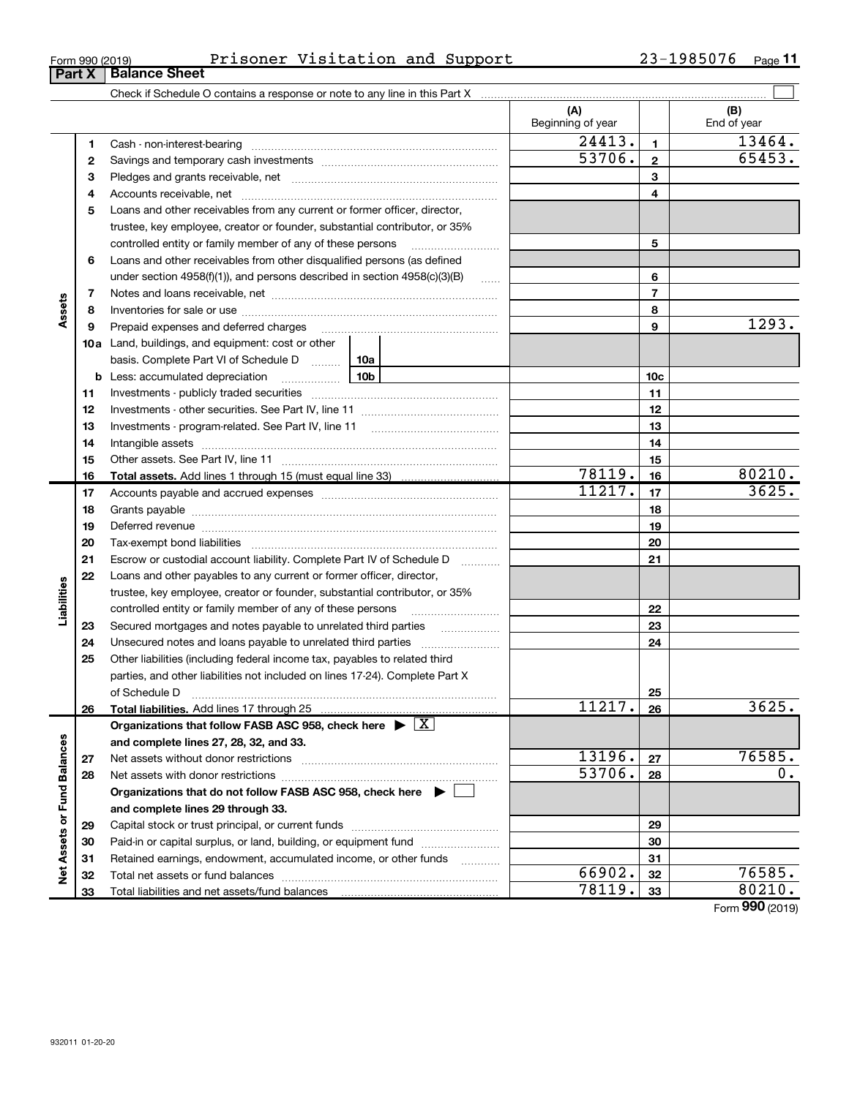31 32 33

| Form 990 (2019) | Prisoner | Visitation and Support | 1985076<br>າ ຊ _<br>ر ہے | Page |
|-----------------|----------|------------------------|--------------------------|------|
|-----------------|----------|------------------------|--------------------------|------|

|                             |    |                                                                                                                                                                                                                               | (A)<br>Beginning of year |                 | (B)<br>End of year |
|-----------------------------|----|-------------------------------------------------------------------------------------------------------------------------------------------------------------------------------------------------------------------------------|--------------------------|-----------------|--------------------|
|                             | 1  | Cash - non-interest-bearing                                                                                                                                                                                                   | $\overline{244}13.$      | $\mathbf{1}$    | 13464.             |
|                             | 2  |                                                                                                                                                                                                                               | 53706.                   | $\mathbf{2}$    | 65453.             |
|                             | з  |                                                                                                                                                                                                                               |                          | 3               |                    |
|                             | 4  |                                                                                                                                                                                                                               |                          | 4               |                    |
|                             | 5  | Loans and other receivables from any current or former officer, director,                                                                                                                                                     |                          |                 |                    |
|                             |    | trustee, key employee, creator or founder, substantial contributor, or 35%                                                                                                                                                    |                          |                 |                    |
|                             |    | controlled entity or family member of any of these persons                                                                                                                                                                    |                          | 5               |                    |
|                             | 6  | Loans and other receivables from other disqualified persons (as defined                                                                                                                                                       |                          |                 |                    |
|                             |    | under section $4958(f)(1)$ , and persons described in section $4958(c)(3)(B)$                                                                                                                                                 | $\ldots$                 | 6               |                    |
|                             | 7  |                                                                                                                                                                                                                               |                          | $\overline{7}$  |                    |
| Assets                      | 8  |                                                                                                                                                                                                                               |                          | 8               |                    |
|                             | 9  | Prepaid expenses and deferred charges                                                                                                                                                                                         |                          | 9               | 1293.              |
|                             |    | 10a Land, buildings, and equipment: cost or other                                                                                                                                                                             |                          |                 |                    |
|                             |    | basis. Complete Part VI of Schedule D  10a                                                                                                                                                                                    |                          |                 |                    |
|                             |    | $\frac{10b}{2}$<br><b>b</b> Less: accumulated depreciation                                                                                                                                                                    |                          | 10 <sub>c</sub> |                    |
|                             | 11 |                                                                                                                                                                                                                               |                          | 11              |                    |
|                             | 12 |                                                                                                                                                                                                                               |                          | 12              |                    |
|                             | 13 |                                                                                                                                                                                                                               |                          | 13              |                    |
|                             | 14 |                                                                                                                                                                                                                               |                          | 14              |                    |
|                             | 15 |                                                                                                                                                                                                                               |                          | 15              |                    |
|                             | 16 |                                                                                                                                                                                                                               | 78119.                   | 16              | 80210.             |
|                             | 17 |                                                                                                                                                                                                                               | 11217.                   | 17              | 3625.              |
|                             | 18 |                                                                                                                                                                                                                               |                          | 18              |                    |
|                             | 19 | Deferred revenue manual contracts and contracts and contracts are contracted and contracts are contracted and contract are contracted and contract are contracted and contract are contracted and contract are contracted and |                          | 19              |                    |
|                             | 20 |                                                                                                                                                                                                                               |                          | 20              |                    |
|                             | 21 | Escrow or custodial account liability. Complete Part IV of Schedule D<br>1.1.1.1.1.1.1.1.1.1                                                                                                                                  |                          | 21              |                    |
|                             | 22 | Loans and other payables to any current or former officer, director,                                                                                                                                                          |                          |                 |                    |
| Liabilities                 |    | trustee, key employee, creator or founder, substantial contributor, or 35%                                                                                                                                                    |                          |                 |                    |
|                             |    | controlled entity or family member of any of these persons                                                                                                                                                                    |                          | 22              |                    |
|                             | 23 |                                                                                                                                                                                                                               |                          | 23              |                    |
|                             | 24 |                                                                                                                                                                                                                               |                          | 24              |                    |
|                             | 25 | Other liabilities (including federal income tax, payables to related third                                                                                                                                                    |                          |                 |                    |
|                             |    | parties, and other liabilities not included on lines 17-24). Complete Part X                                                                                                                                                  |                          |                 |                    |
|                             |    | of Schedule D                                                                                                                                                                                                                 |                          | 25              |                    |
|                             | 26 | Total liabilities. Add lines 17 through 25                                                                                                                                                                                    | 11217.                   | 26              | 3625.              |
|                             |    | Organizations that follow FASB ASC 958, check here $\blacktriangleright \boxed{X}$                                                                                                                                            |                          |                 |                    |
|                             |    | and complete lines 27, 28, 32, and 33.                                                                                                                                                                                        |                          |                 |                    |
|                             | 27 |                                                                                                                                                                                                                               | 13196.                   | 27              | 76585.             |
|                             | 28 | Net assets with donor restrictions                                                                                                                                                                                            | 53706.                   | 28              | 0.                 |
|                             |    | Organizations that do not follow FASB ASC 958, check here $\blacktriangleright$                                                                                                                                               |                          |                 |                    |
|                             |    | and complete lines 29 through 33.                                                                                                                                                                                             |                          |                 |                    |
|                             | 29 | Capital stock or trust principal, or current funds                                                                                                                                                                            |                          | 29              |                    |
|                             | 30 | Paid-in or capital surplus, or land, building, or equipment fund                                                                                                                                                              |                          | 30              |                    |
| Net Assets or Fund Balances | 31 | Retained earnings, endowment, accumulated income, or other funds                                                                                                                                                              |                          | 31              |                    |
|                             | 32 |                                                                                                                                                                                                                               | 66902.                   | 32              | 76585.             |

Total liabilities and net assets/fund balances

Form **990** (2019)

31 32 33

66902. 76585. 78119. 80210.

# **Part X Balance Sheet**

|  | Form 990 (2019) |
|--|-----------------|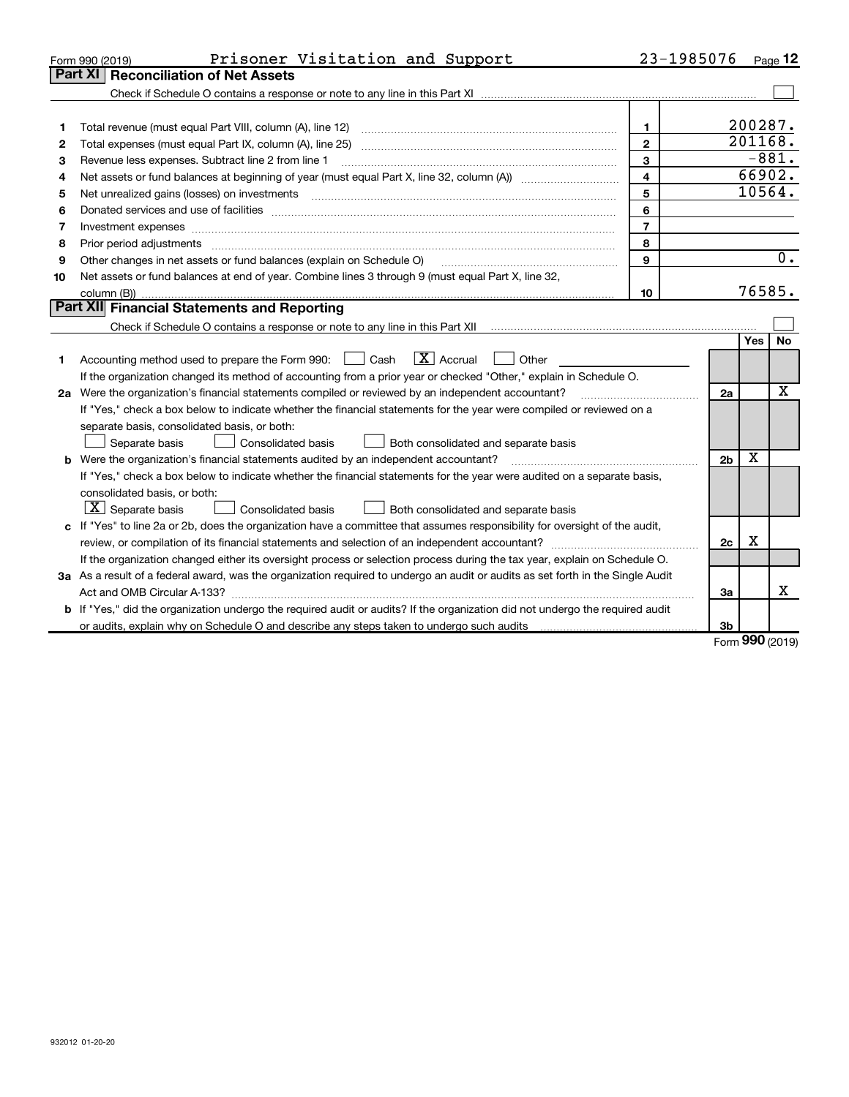|    | Prisoner Visitation and Support<br>Form 990 (2019)                                                                                                                                                                             | 23-1985076              |                |            | Page 12     |
|----|--------------------------------------------------------------------------------------------------------------------------------------------------------------------------------------------------------------------------------|-------------------------|----------------|------------|-------------|
|    | <b>Reconciliation of Net Assets</b><br>Part XI                                                                                                                                                                                 |                         |                |            |             |
|    |                                                                                                                                                                                                                                |                         |                |            |             |
|    |                                                                                                                                                                                                                                |                         |                |            |             |
| 1  |                                                                                                                                                                                                                                | $\mathbf{1}$            |                | 200287.    |             |
| 2  |                                                                                                                                                                                                                                | $\mathbf{2}$            |                | 201168.    |             |
| З  | Revenue less expenses. Subtract line 2 from line 1                                                                                                                                                                             | 3                       |                | $-881.$    |             |
| 4  |                                                                                                                                                                                                                                | $\overline{\mathbf{4}}$ |                | 66902.     |             |
| 5  |                                                                                                                                                                                                                                | 5                       |                | 10564.     |             |
| 6  | Donated services and use of facilities [111] matter contracts and the facilities in the matter of facilities [11] matter contracts and use of facilities [11] matter contracts and the service of the service of the service o | 6                       |                |            |             |
| 7  |                                                                                                                                                                                                                                | $\overline{7}$          |                |            |             |
| 8  | Prior period adjustments www.communication.communication.com/news/communication.com/news/communication.com/new                                                                                                                 | 8                       |                |            |             |
| 9  | Other changes in net assets or fund balances (explain on Schedule O)                                                                                                                                                           | $\mathbf{Q}$            |                |            | 0.          |
| 10 | Net assets or fund balances at end of year. Combine lines 3 through 9 (must equal Part X, line 32,                                                                                                                             |                         |                |            |             |
|    |                                                                                                                                                                                                                                | 10                      |                | 76585.     |             |
|    | Part XII Financial Statements and Reporting                                                                                                                                                                                    |                         |                |            |             |
|    | Check if Schedule O contains a response or note to any line in this Part XII musules contains a contained in this Part XII                                                                                                     |                         |                |            |             |
|    |                                                                                                                                                                                                                                |                         |                | <b>Yes</b> | No          |
| 1  | $\mathbf{X}$ Accrual<br>Accounting method used to prepare the Form 990: <u>June</u> Cash<br>Other                                                                                                                              |                         |                |            |             |
|    | If the organization changed its method of accounting from a prior year or checked "Other," explain in Schedule O.                                                                                                              |                         |                |            |             |
|    | 2a Were the organization's financial statements compiled or reviewed by an independent accountant?                                                                                                                             |                         | 2a             |            | $\mathbf x$ |
|    | If "Yes," check a box below to indicate whether the financial statements for the year were compiled or reviewed on a                                                                                                           |                         |                |            |             |
|    | separate basis, consolidated basis, or both:                                                                                                                                                                                   |                         |                |            |             |
|    | Separate basis<br>Both consolidated and separate basis<br>Consolidated basis                                                                                                                                                   |                         |                |            |             |
|    | <b>b</b> Were the organization's financial statements audited by an independent accountant?                                                                                                                                    |                         | 2 <sub>b</sub> | X          |             |
|    | If "Yes," check a box below to indicate whether the financial statements for the year were audited on a separate basis,                                                                                                        |                         |                |            |             |
|    | consolidated basis, or both:                                                                                                                                                                                                   |                         |                |            |             |
|    | $X$ Separate basis<br>Consolidated basis<br>Both consolidated and separate basis                                                                                                                                               |                         |                |            |             |
|    | c If "Yes" to line 2a or 2b, does the organization have a committee that assumes responsibility for oversight of the audit,                                                                                                    |                         |                |            |             |
|    |                                                                                                                                                                                                                                |                         | 2c             | X          |             |
|    | If the organization changed either its oversight process or selection process during the tax year, explain on Schedule O.                                                                                                      |                         |                |            |             |
|    | 3a As a result of a federal award, was the organization required to undergo an audit or audits as set forth in the Single Audit                                                                                                |                         |                |            |             |
|    |                                                                                                                                                                                                                                |                         | За             |            | x           |
|    | b If "Yes," did the organization undergo the required audit or audits? If the organization did not undergo the required audit                                                                                                  |                         |                |            |             |
|    | or audits, explain why on Schedule O and describe any steps taken to undergo such audits manufactured and the                                                                                                                  |                         | Зb             | $\Omega$   |             |

Form **990** (2019)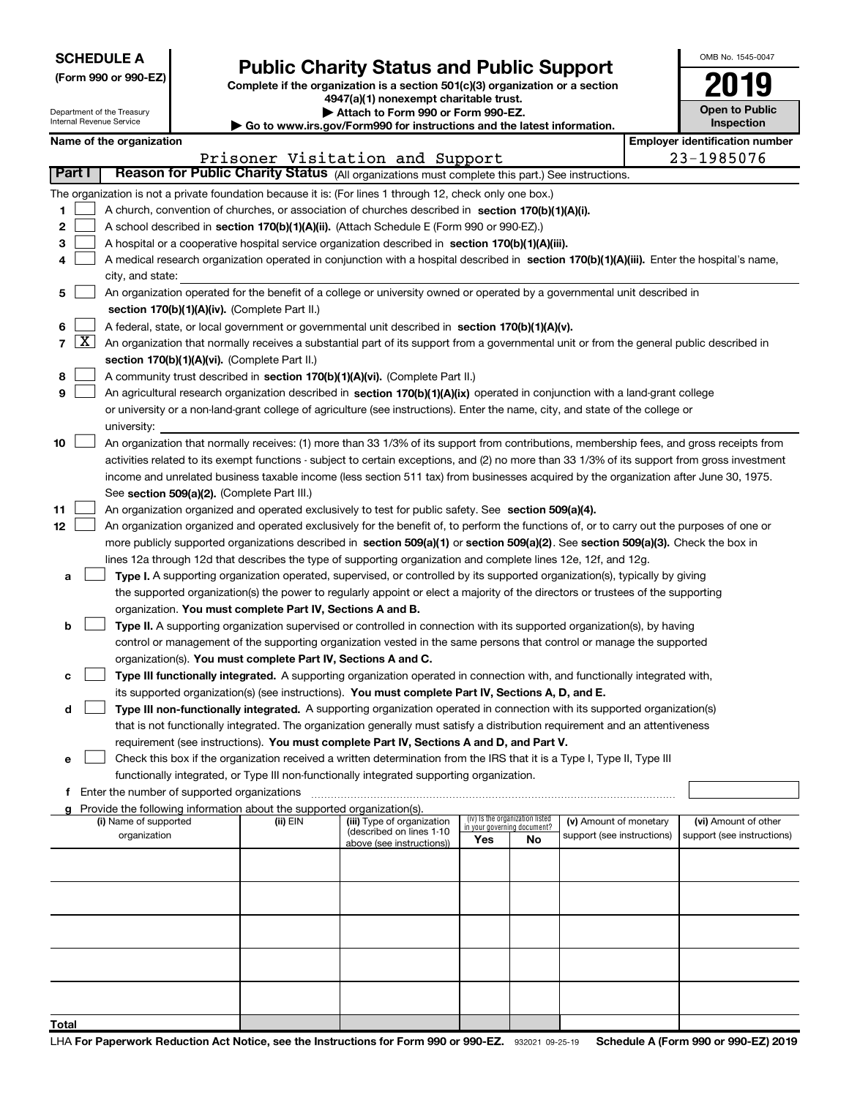|  |  |  | <b>SCHEDULE A</b> |  |  |  |
|--|--|--|-------------------|--|--|--|
|--|--|--|-------------------|--|--|--|

Department of the Treasury Internal Revenue Service

| (Form 990 or 990-EZ) |  |  |  |  |
|----------------------|--|--|--|--|
|----------------------|--|--|--|--|

# **Public Charity Status and Public Support**

Complete if the organization is a section 501(c)(3) organization or a section 4947(a)(1) nonexempt charitable trust. | Attach to Form 990 or Form 990-EZ.

|  | So to www.irs.gov/Form990 for instructions and the latest information. |
|--|------------------------------------------------------------------------|

| OMB No 1545-0047                    |
|-------------------------------------|
| 2019                                |
| <b>Open to Public</b><br>Inspection |

|  | Name of the organization |
|--|--------------------------|
|--|--------------------------|

|               |                                                                                                                              | Name of the organization                                                                                                                                                             |          |                                 |     |                                   |                            | <b>Employer identification number</b> |
|---------------|------------------------------------------------------------------------------------------------------------------------------|--------------------------------------------------------------------------------------------------------------------------------------------------------------------------------------|----------|---------------------------------|-----|-----------------------------------|----------------------------|---------------------------------------|
|               |                                                                                                                              |                                                                                                                                                                                      |          | Prisoner Visitation and Support |     |                                   |                            | 23-1985076                            |
| <b>Part I</b> |                                                                                                                              | Reason for Public Charity Status (All organizations must complete this part.) See instructions.                                                                                      |          |                                 |     |                                   |                            |                                       |
|               |                                                                                                                              | The organization is not a private foundation because it is: (For lines 1 through 12, check only one box.)                                                                            |          |                                 |     |                                   |                            |                                       |
| 1             |                                                                                                                              | A church, convention of churches, or association of churches described in section 170(b)(1)(A)(i).                                                                                   |          |                                 |     |                                   |                            |                                       |
| 2             |                                                                                                                              | A school described in section 170(b)(1)(A)(ii). (Attach Schedule E (Form 990 or 990-EZ).)                                                                                            |          |                                 |     |                                   |                            |                                       |
| 3             |                                                                                                                              | A hospital or a cooperative hospital service organization described in section 170(b)(1)(A)(iii).                                                                                    |          |                                 |     |                                   |                            |                                       |
|               |                                                                                                                              | A medical research organization operated in conjunction with a hospital described in section 170(b)(1)(A)(iii). Enter the hospital's name,                                           |          |                                 |     |                                   |                            |                                       |
|               |                                                                                                                              | city, and state:                                                                                                                                                                     |          |                                 |     |                                   |                            |                                       |
| 5             |                                                                                                                              | An organization operated for the benefit of a college or university owned or operated by a governmental unit described in                                                            |          |                                 |     |                                   |                            |                                       |
|               |                                                                                                                              | section 170(b)(1)(A)(iv). (Complete Part II.)                                                                                                                                        |          |                                 |     |                                   |                            |                                       |
| 6             |                                                                                                                              | A federal, state, or local government or governmental unit described in section 170(b)(1)(A)(v).                                                                                     |          |                                 |     |                                   |                            |                                       |
| 7             | $\lfloor x \rfloor$                                                                                                          | An organization that normally receives a substantial part of its support from a governmental unit or from the general public described in                                            |          |                                 |     |                                   |                            |                                       |
|               |                                                                                                                              | section 170(b)(1)(A)(vi). (Complete Part II.)                                                                                                                                        |          |                                 |     |                                   |                            |                                       |
| 8             |                                                                                                                              | A community trust described in section 170(b)(1)(A)(vi). (Complete Part II.)                                                                                                         |          |                                 |     |                                   |                            |                                       |
| 9             |                                                                                                                              | An agricultural research organization described in section 170(b)(1)(A)(ix) operated in conjunction with a land-grant college                                                        |          |                                 |     |                                   |                            |                                       |
|               |                                                                                                                              | or university or a non-land-grant college of agriculture (see instructions). Enter the name, city, and state of the college or                                                       |          |                                 |     |                                   |                            |                                       |
|               |                                                                                                                              | university:                                                                                                                                                                          |          |                                 |     |                                   |                            |                                       |
| 10            |                                                                                                                              | An organization that normally receives: (1) more than 33 1/3% of its support from contributions, membership fees, and gross receipts from                                            |          |                                 |     |                                   |                            |                                       |
|               |                                                                                                                              | activities related to its exempt functions - subject to certain exceptions, and (2) no more than 33 1/3% of its support from gross investment                                        |          |                                 |     |                                   |                            |                                       |
|               |                                                                                                                              | income and unrelated business taxable income (less section 511 tax) from businesses acquired by the organization after June 30, 1975.<br>See section 509(a)(2). (Complete Part III.) |          |                                 |     |                                   |                            |                                       |
| 11            |                                                                                                                              | An organization organized and operated exclusively to test for public safety. See section 509(a)(4).                                                                                 |          |                                 |     |                                   |                            |                                       |
| 12            |                                                                                                                              | An organization organized and operated exclusively for the benefit of, to perform the functions of, or to carry out the purposes of one or                                           |          |                                 |     |                                   |                            |                                       |
|               |                                                                                                                              | more publicly supported organizations described in section 509(a)(1) or section 509(a)(2). See section 509(a)(3). Check the box in                                                   |          |                                 |     |                                   |                            |                                       |
|               |                                                                                                                              | lines 12a through 12d that describes the type of supporting organization and complete lines 12e, 12f, and 12g.                                                                       |          |                                 |     |                                   |                            |                                       |
| а             |                                                                                                                              | Type I. A supporting organization operated, supervised, or controlled by its supported organization(s), typically by giving                                                          |          |                                 |     |                                   |                            |                                       |
|               |                                                                                                                              | the supported organization(s) the power to regularly appoint or elect a majority of the directors or trustees of the supporting                                                      |          |                                 |     |                                   |                            |                                       |
|               |                                                                                                                              | organization. You must complete Part IV, Sections A and B.                                                                                                                           |          |                                 |     |                                   |                            |                                       |
| b             |                                                                                                                              | Type II. A supporting organization supervised or controlled in connection with its supported organization(s), by having                                                              |          |                                 |     |                                   |                            |                                       |
|               |                                                                                                                              | control or management of the supporting organization vested in the same persons that control or manage the supported                                                                 |          |                                 |     |                                   |                            |                                       |
|               |                                                                                                                              | organization(s). You must complete Part IV, Sections A and C.                                                                                                                        |          |                                 |     |                                   |                            |                                       |
|               |                                                                                                                              | Type III functionally integrated. A supporting organization operated in connection with, and functionally integrated with,                                                           |          |                                 |     |                                   |                            |                                       |
|               |                                                                                                                              | its supported organization(s) (see instructions). You must complete Part IV, Sections A, D, and E.                                                                                   |          |                                 |     |                                   |                            |                                       |
| d             |                                                                                                                              | Type III non-functionally integrated. A supporting organization operated in connection with its supported organization(s)                                                            |          |                                 |     |                                   |                            |                                       |
|               | that is not functionally integrated. The organization generally must satisfy a distribution requirement and an attentiveness |                                                                                                                                                                                      |          |                                 |     |                                   |                            |                                       |
|               |                                                                                                                              | requirement (see instructions). You must complete Part IV, Sections A and D, and Part V.                                                                                             |          |                                 |     |                                   |                            |                                       |
| е             |                                                                                                                              | Check this box if the organization received a written determination from the IRS that it is a Type I, Type II, Type III                                                              |          |                                 |     |                                   |                            |                                       |
|               |                                                                                                                              | functionally integrated, or Type III non-functionally integrated supporting organization.                                                                                            |          |                                 |     |                                   |                            |                                       |
|               |                                                                                                                              | f Enter the number of supported organizations                                                                                                                                        |          |                                 |     |                                   |                            |                                       |
|               |                                                                                                                              | Provide the following information about the supported organization(s).<br>(i) Name of supported                                                                                      | (ii) EIN | (iii) Type of organization      |     | (iv) Is the organization listed   | (v) Amount of monetary     | (vi) Amount of other                  |
|               |                                                                                                                              | organization                                                                                                                                                                         |          | (described on lines 1-10        | Yes | in your governing document?<br>No | support (see instructions) | support (see instructions)            |
|               |                                                                                                                              |                                                                                                                                                                                      |          | above (see instructions))       |     |                                   |                            |                                       |
|               |                                                                                                                              |                                                                                                                                                                                      |          |                                 |     |                                   |                            |                                       |
|               |                                                                                                                              |                                                                                                                                                                                      |          |                                 |     |                                   |                            |                                       |
|               |                                                                                                                              |                                                                                                                                                                                      |          |                                 |     |                                   |                            |                                       |
|               |                                                                                                                              |                                                                                                                                                                                      |          |                                 |     |                                   |                            |                                       |
|               |                                                                                                                              |                                                                                                                                                                                      |          |                                 |     |                                   |                            |                                       |
|               |                                                                                                                              |                                                                                                                                                                                      |          |                                 |     |                                   |                            |                                       |
|               |                                                                                                                              |                                                                                                                                                                                      |          |                                 |     |                                   |                            |                                       |
|               |                                                                                                                              |                                                                                                                                                                                      |          |                                 |     |                                   |                            |                                       |
|               |                                                                                                                              |                                                                                                                                                                                      |          |                                 |     |                                   |                            |                                       |
| Total         |                                                                                                                              |                                                                                                                                                                                      |          |                                 |     |                                   |                            |                                       |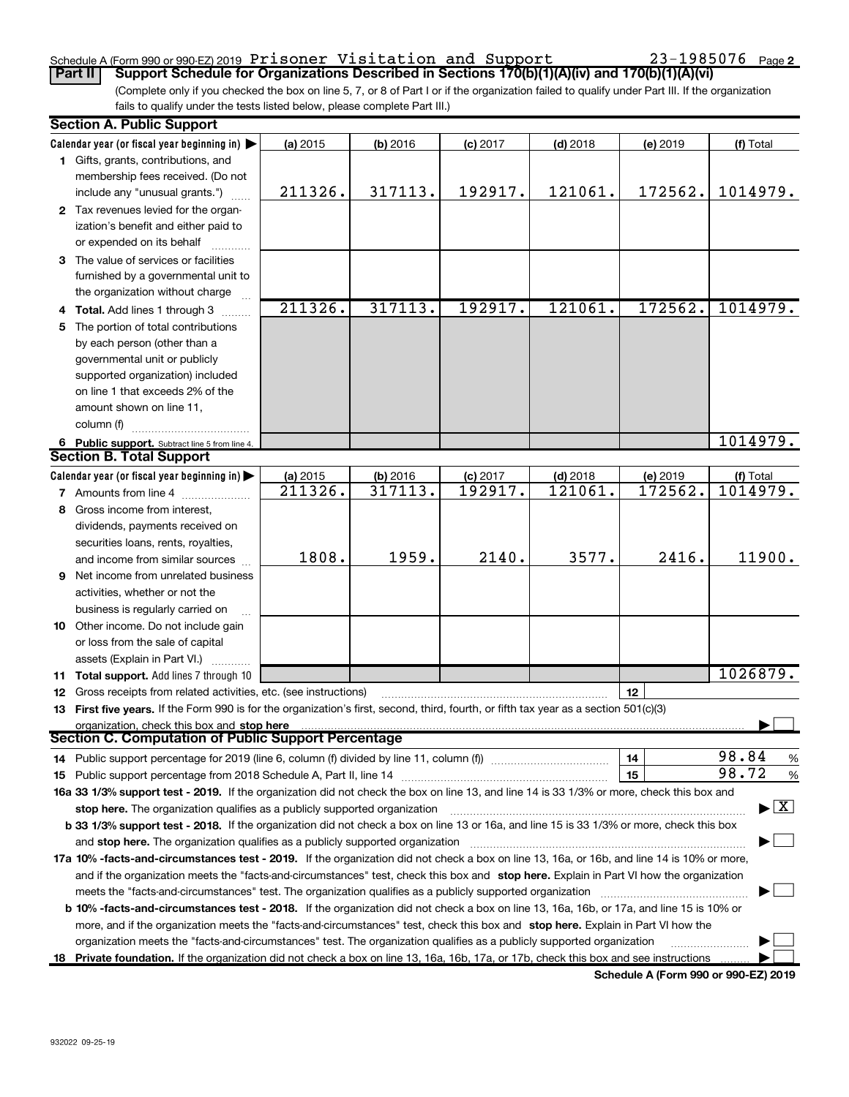### Schedule A (Form 990 or 990-EZ) 2019 Prisoner Visitation and Support  $23-1985076$  Page

(Complete only if you checked the box on line 5, 7, or 8 of Part I or if the organization failed to qualify under Part III. If the organization Part II Support Schedule for Organizations Described in Sections 170(b)(1)(A)(iv) and 170(b)(1)(A)(vi)

fails to qualify under the tests listed below, please complete Part III.)

|    | <b>Section A. Public Support</b>                                                                                                                                                                                               |                     |                       |                       |            |                     |                                          |
|----|--------------------------------------------------------------------------------------------------------------------------------------------------------------------------------------------------------------------------------|---------------------|-----------------------|-----------------------|------------|---------------------|------------------------------------------|
|    | Calendar year (or fiscal year beginning in)                                                                                                                                                                                    | (a) 2015            | (b) 2016              | $(c)$ 2017            | $(d)$ 2018 | (e) 2019            | (f) Total                                |
|    | 1 Gifts, grants, contributions, and                                                                                                                                                                                            |                     |                       |                       |            |                     |                                          |
|    | membership fees received. (Do not                                                                                                                                                                                              |                     |                       |                       |            |                     |                                          |
|    | include any "unusual grants.")                                                                                                                                                                                                 | 211326.             | 317113.               | 192917.               | 121061.    | 172562.             | 1014979.                                 |
|    | 2 Tax revenues levied for the organ-                                                                                                                                                                                           |                     |                       |                       |            |                     |                                          |
|    | ization's benefit and either paid to                                                                                                                                                                                           |                     |                       |                       |            |                     |                                          |
|    | or expended on its behalf                                                                                                                                                                                                      |                     |                       |                       |            |                     |                                          |
|    | 3 The value of services or facilities                                                                                                                                                                                          |                     |                       |                       |            |                     |                                          |
|    | furnished by a governmental unit to                                                                                                                                                                                            |                     |                       |                       |            |                     |                                          |
|    | the organization without charge                                                                                                                                                                                                |                     |                       |                       |            |                     |                                          |
|    | <b>Total.</b> Add lines 1 through 3                                                                                                                                                                                            | 211326.             | 317113.               | 192917.               | 121061.    | 172562.             | 1014979.                                 |
| 5  | The portion of total contributions                                                                                                                                                                                             |                     |                       |                       |            |                     |                                          |
|    | by each person (other than a                                                                                                                                                                                                   |                     |                       |                       |            |                     |                                          |
|    | governmental unit or publicly                                                                                                                                                                                                  |                     |                       |                       |            |                     |                                          |
|    | supported organization) included                                                                                                                                                                                               |                     |                       |                       |            |                     |                                          |
|    | on line 1 that exceeds 2% of the                                                                                                                                                                                               |                     |                       |                       |            |                     |                                          |
|    | amount shown on line 11.                                                                                                                                                                                                       |                     |                       |                       |            |                     |                                          |
|    | column (f)                                                                                                                                                                                                                     |                     |                       |                       |            |                     |                                          |
|    |                                                                                                                                                                                                                                |                     |                       |                       |            |                     | 1014979.                                 |
|    | 6 Public support. Subtract line 5 from line 4.<br><b>Section B. Total Support</b>                                                                                                                                              |                     |                       |                       |            |                     |                                          |
|    | Calendar year (or fiscal year beginning in)                                                                                                                                                                                    |                     |                       |                       | $(d)$ 2018 |                     |                                          |
|    |                                                                                                                                                                                                                                | (a) 2015<br>211326. | $(b)$ 2016<br>317113. | $(c)$ 2017<br>192917. | 121061.    | (e) 2019<br>172562. | (f) Total<br>1014979.                    |
|    | <b>7</b> Amounts from line 4                                                                                                                                                                                                   |                     |                       |                       |            |                     |                                          |
| 8  | Gross income from interest,                                                                                                                                                                                                    |                     |                       |                       |            |                     |                                          |
|    | dividends, payments received on                                                                                                                                                                                                |                     |                       |                       |            |                     |                                          |
|    | securities loans, rents, royalties,                                                                                                                                                                                            | 1808.               | 1959.                 | 2140.                 | 3577.      | 2416.               | 11900.                                   |
|    | and income from similar sources                                                                                                                                                                                                |                     |                       |                       |            |                     |                                          |
| 9  | Net income from unrelated business                                                                                                                                                                                             |                     |                       |                       |            |                     |                                          |
|    | activities, whether or not the                                                                                                                                                                                                 |                     |                       |                       |            |                     |                                          |
|    | business is regularly carried on                                                                                                                                                                                               |                     |                       |                       |            |                     |                                          |
|    | 10 Other income. Do not include gain                                                                                                                                                                                           |                     |                       |                       |            |                     |                                          |
|    | or loss from the sale of capital                                                                                                                                                                                               |                     |                       |                       |            |                     |                                          |
|    | assets (Explain in Part VI.)                                                                                                                                                                                                   |                     |                       |                       |            |                     |                                          |
|    | 11 Total support. Add lines 7 through 10                                                                                                                                                                                       |                     |                       |                       |            |                     | 1026879.                                 |
| 12 | Gross receipts from related activities, etc. (see instructions)                                                                                                                                                                |                     |                       |                       |            | 12                  |                                          |
|    | 13 First five years. If the Form 990 is for the organization's first, second, third, fourth, or fifth tax year as a section 501(c)(3)                                                                                          |                     |                       |                       |            |                     |                                          |
|    | organization, check this box and stop here                                                                                                                                                                                     |                     |                       |                       |            |                     |                                          |
|    | <b>Section C. Computation of Public Support Percentage</b>                                                                                                                                                                     |                     |                       |                       |            |                     |                                          |
|    | 14 Public support percentage for 2019 (line 6, column (f) divided by line 11, column (f) <i>mummumumum</i>                                                                                                                     |                     |                       |                       |            | 14                  | 98.84<br>$\frac{9}{6}$                   |
|    | 15 Public support percentage from 2018 Schedule A, Part II, line 14 [11] [11] Dublic support percentage from 2018 Schedule A, Part II, line 14 [11] [12] Dublic support in the Section of the Schedule A, Part II, line 14 [12 |                     |                       |                       |            | 15                  | 98.72<br>$\%$                            |
|    | 16a 33 1/3% support test - 2019. If the organization did not check the box on line 13, and line 14 is 33 1/3% or more, check this box and                                                                                      |                     |                       |                       |            |                     |                                          |
|    | stop here. The organization qualifies as a publicly supported organization                                                                                                                                                     |                     |                       |                       |            |                     | $\blacktriangleright$ $\boxed{\text{X}}$ |
|    | b 33 1/3% support test - 2018. If the organization did not check a box on line 13 or 16a, and line 15 is 33 1/3% or more, check this box                                                                                       |                     |                       |                       |            |                     |                                          |
|    | and stop here. The organization qualifies as a publicly supported organization                                                                                                                                                 |                     |                       |                       |            |                     |                                          |
|    | 17a 10% -facts-and-circumstances test - 2019. If the organization did not check a box on line 13, 16a, or 16b, and line 14 is 10% or more,                                                                                     |                     |                       |                       |            |                     |                                          |
|    | and if the organization meets the "facts-and-circumstances" test, check this box and stop here. Explain in Part VI how the organization                                                                                        |                     |                       |                       |            |                     |                                          |
|    | meets the "facts-and-circumstances" test. The organization qualifies as a publicly supported organization                                                                                                                      |                     |                       |                       |            |                     |                                          |
|    | b 10% -facts-and-circumstances test - 2018. If the organization did not check a box on line 13, 16a, 16b, or 17a, and line 15 is 10% or                                                                                        |                     |                       |                       |            |                     |                                          |
|    | more, and if the organization meets the "facts-and-circumstances" test, check this box and stop here. Explain in Part VI how the                                                                                               |                     |                       |                       |            |                     |                                          |
|    | organization meets the "facts-and-circumstances" test. The organization qualifies as a publicly supported organization                                                                                                         |                     |                       |                       |            |                     |                                          |
|    | 18 Private foundation. If the organization did not check a box on line 13, 16a, 16b, 17a, or 17b, check this box and see instructions                                                                                          |                     |                       |                       |            |                     |                                          |
|    |                                                                                                                                                                                                                                |                     |                       |                       |            |                     |                                          |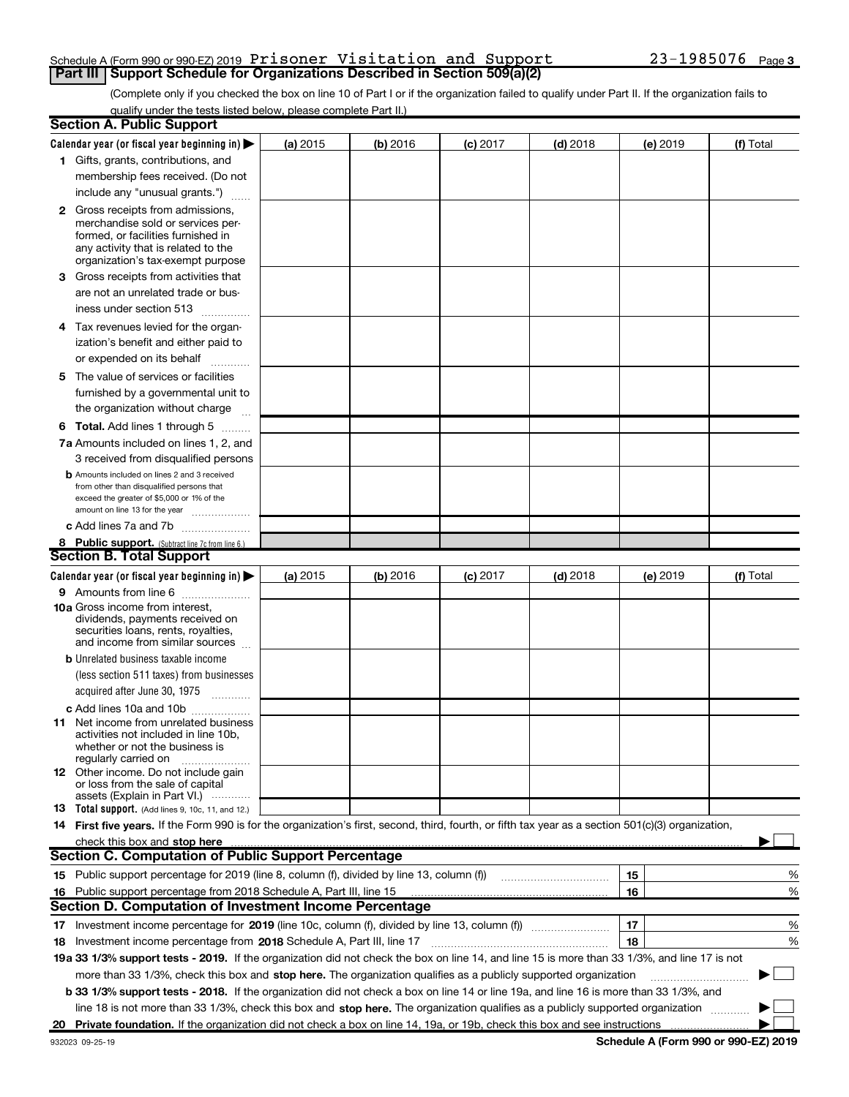### Schedule A (Form 990 or 990-EZ) 2019 Prisoner Visitation and Support  $23-1985076$  Page **Part III | Support Schedule for Organizations Described in Section 509(a)(2)**

(Complete only if you checked the box on line 10 of Part I or if the organization failed to qualify under Part II. If the organization fails to qualify under the tests listed below, please complete Part II.)

|   | <b>Section A. Public Support</b>                                                                                                                                                                                                                                 |          |          |                 |            |          |           |
|---|------------------------------------------------------------------------------------------------------------------------------------------------------------------------------------------------------------------------------------------------------------------|----------|----------|-----------------|------------|----------|-----------|
|   | Calendar year (or fiscal year beginning in) $\blacktriangleright$                                                                                                                                                                                                | (a) 2015 | (b) 2016 | <b>(c)</b> 2017 | $(d)$ 2018 | (e) 2019 | (f) Total |
|   | 1 Gifts, grants, contributions, and                                                                                                                                                                                                                              |          |          |                 |            |          |           |
|   | membership fees received. (Do not                                                                                                                                                                                                                                |          |          |                 |            |          |           |
|   | include any "unusual grants.")                                                                                                                                                                                                                                   |          |          |                 |            |          |           |
|   | <b>2</b> Gross receipts from admissions,<br>merchandise sold or services per-<br>formed, or facilities furnished in<br>any activity that is related to the<br>organization's tax-exempt purpose                                                                  |          |          |                 |            |          |           |
| З | Gross receipts from activities that                                                                                                                                                                                                                              |          |          |                 |            |          |           |
|   | are not an unrelated trade or bus-<br>iness under section 513                                                                                                                                                                                                    |          |          |                 |            |          |           |
|   | 4 Tax revenues levied for the organ-                                                                                                                                                                                                                             |          |          |                 |            |          |           |
|   | ization's benefit and either paid to                                                                                                                                                                                                                             |          |          |                 |            |          |           |
|   | or expended on its behalf                                                                                                                                                                                                                                        |          |          |                 |            |          |           |
|   | 5 The value of services or facilities                                                                                                                                                                                                                            |          |          |                 |            |          |           |
|   | furnished by a governmental unit to                                                                                                                                                                                                                              |          |          |                 |            |          |           |
|   | the organization without charge                                                                                                                                                                                                                                  |          |          |                 |            |          |           |
|   | <b>6 Total.</b> Add lines 1 through 5                                                                                                                                                                                                                            |          |          |                 |            |          |           |
|   | 7a Amounts included on lines 1, 2, and<br>3 received from disqualified persons                                                                                                                                                                                   |          |          |                 |            |          |           |
|   | <b>b</b> Amounts included on lines 2 and 3 received<br>from other than disqualified persons that<br>exceed the greater of \$5,000 or 1% of the<br>amount on line 13 for the year                                                                                 |          |          |                 |            |          |           |
|   | c Add lines 7a and 7b                                                                                                                                                                                                                                            |          |          |                 |            |          |           |
|   | 8 Public support. (Subtract line 7c from line 6.)                                                                                                                                                                                                                |          |          |                 |            |          |           |
|   | <b>Section B. Total Support</b>                                                                                                                                                                                                                                  |          |          |                 |            |          |           |
|   | Calendar year (or fiscal year beginning in) $\blacktriangleright$                                                                                                                                                                                                | (a) 2015 | (b) 2016 | $(c)$ 2017      | $(d)$ 2018 | (e) 2019 | (f) Total |
|   | <b>9</b> Amounts from line 6                                                                                                                                                                                                                                     |          |          |                 |            |          |           |
|   | 10a Gross income from interest,<br>dividends, payments received on<br>securities loans, rents, royalties,<br>and income from similar sources                                                                                                                     |          |          |                 |            |          |           |
|   | <b>b</b> Unrelated business taxable income                                                                                                                                                                                                                       |          |          |                 |            |          |           |
|   | (less section 511 taxes) from businesses                                                                                                                                                                                                                         |          |          |                 |            |          |           |
|   | acquired after June 30, 1975<br>$\overline{\phantom{a}}$                                                                                                                                                                                                         |          |          |                 |            |          |           |
|   | c Add lines 10a and 10b                                                                                                                                                                                                                                          |          |          |                 |            |          |           |
|   | <b>11</b> Net income from unrelated business<br>activities not included in line 10b.<br>whether or not the business is<br>regularly carried on                                                                                                                   |          |          |                 |            |          |           |
|   | <b>12</b> Other income. Do not include gain<br>or loss from the sale of capital<br>assets (Explain in Part VI.)                                                                                                                                                  |          |          |                 |            |          |           |
|   | <b>13</b> Total support. (Add lines 9, 10c, 11, and 12.)                                                                                                                                                                                                         |          |          |                 |            |          |           |
|   | 14 First five years. If the Form 990 is for the organization's first, second, third, fourth, or fifth tax year as a section 501(c)(3) organization,                                                                                                              |          |          |                 |            |          |           |
|   | check this box and stop here                                                                                                                                                                                                                                     |          |          |                 |            |          |           |
|   | <b>Section C. Computation of Public Support Percentage</b>                                                                                                                                                                                                       |          |          |                 |            |          |           |
|   | 15 Public support percentage for 2019 (line 8, column (f), divided by line 13, column (f))                                                                                                                                                                       |          |          |                 |            | 15       | %         |
|   | 16 Public support percentage from 2018 Schedule A, Part III, line 15                                                                                                                                                                                             |          |          |                 |            | 16       | %         |
|   | <b>Section D. Computation of Investment Income Percentage</b>                                                                                                                                                                                                    |          |          |                 |            |          |           |
|   |                                                                                                                                                                                                                                                                  |          |          |                 |            | 17       | %         |
|   | 18 Investment income percentage from 2018 Schedule A, Part III, line 17                                                                                                                                                                                          |          |          |                 |            | 18       | %         |
|   | 19a 33 1/3% support tests - 2019. If the organization did not check the box on line 14, and line 15 is more than 33 1/3%, and line 17 is not                                                                                                                     |          |          |                 |            |          |           |
|   | more than 33 1/3%, check this box and stop here. The organization qualifies as a publicly supported organization<br><b>b 33 1/3% support tests - 2018.</b> If the organization did not check a box on line 14 or line 19a, and line 16 is more than 33 1/3%, and |          |          |                 |            |          |           |
|   | line 18 is not more than 33 1/3%, check this box and stop here. The organization qualifies as a publicly supported organization                                                                                                                                  |          |          |                 |            |          |           |
|   | 20 Private foundation. If the organization did not check a box on line 14, 19a, or 19b, check this box and see instructions                                                                                                                                      |          |          |                 |            |          |           |
|   |                                                                                                                                                                                                                                                                  |          |          |                 |            |          |           |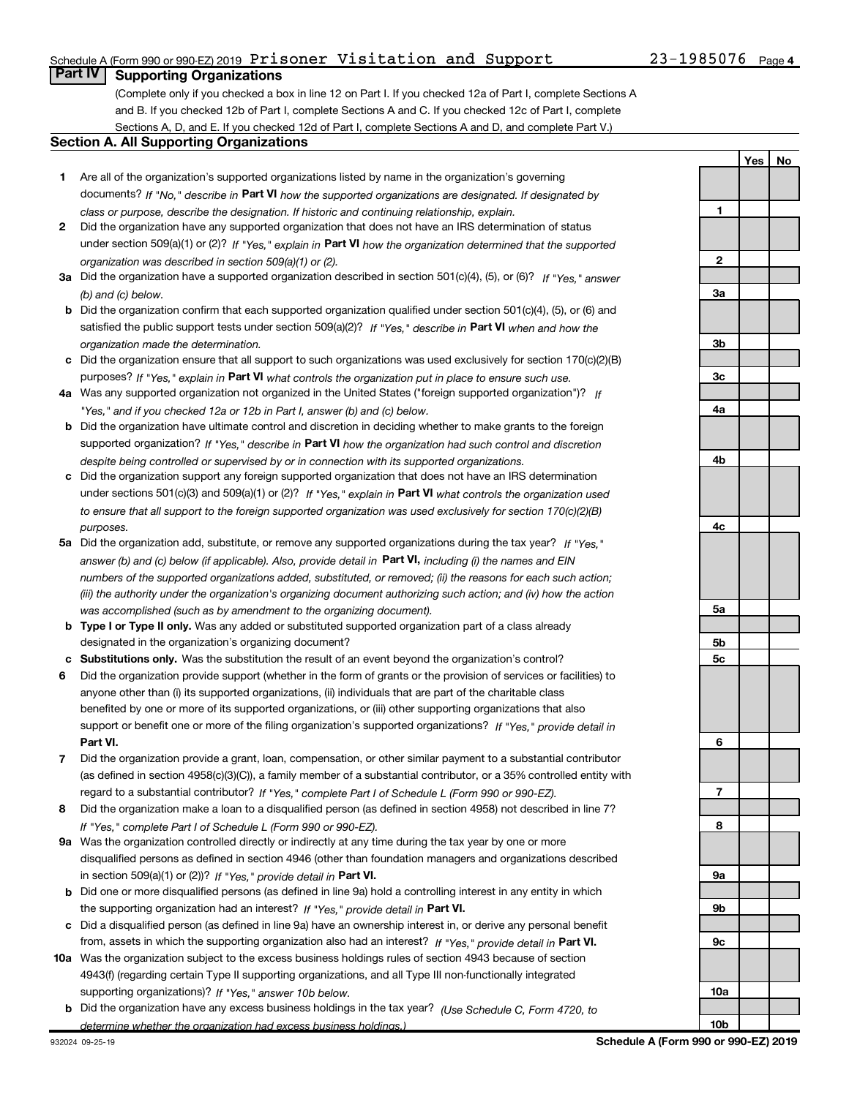## Schedule A (Form 990 or 990-EZ) 2019 Prisoner Visitation and Support  $23-1985076$  Page

(Complete only if you checked a box in line 12 on Part I. If you checked 12a of Part I, complete Sections A and B. If you checked 12b of Part I, complete Sections A and C. If you checked 12c of Part I, complete Sections A, D, and E. If you checked 12d of Part I, complete Sections A and D, and complete Part V.)

### Section A. All Supporting Organizations

- 1 Are all of the organization's supported organizations listed by name in the organization's governing documents? If "No," describe in Part VI how the supported organizations are designated. If designated by class or purpose, describe the designation. If historic and continuing relationship, explain.
- 2 Did the organization have any supported organization that does not have an IRS determination of status under section 509(a)(1) or (2)? If "Yes," explain in Part VI how the organization determined that the supported organization was described in section 509(a)(1) or (2).
- 3a Did the organization have a supported organization described in section 501(c)(4), (5), or (6)? If "Yes," answer (b) and (c) below.
- b Did the organization confirm that each supported organization qualified under section 501(c)(4), (5), or (6) and satisfied the public support tests under section 509(a)(2)? If "Yes," describe in Part VI when and how the organization made the determination.
- c Did the organization ensure that all support to such organizations was used exclusively for section 170(c)(2)(B) purposes? If "Yes," explain in Part VI what controls the organization put in place to ensure such use.
- 4a Was any supported organization not organized in the United States ("foreign supported organization")? If "Yes," and if you checked 12a or 12b in Part I, answer (b) and (c) below.
- b Did the organization have ultimate control and discretion in deciding whether to make grants to the foreign supported organization? If "Yes," describe in Part VI how the organization had such control and discretion despite being controlled or supervised by or in connection with its supported organizations.
- c Did the organization support any foreign supported organization that does not have an IRS determination under sections 501(c)(3) and 509(a)(1) or (2)? If "Yes," explain in Part VI what controls the organization used to ensure that all support to the foreign supported organization was used exclusively for section 170(c)(2)(B) purposes.
- 5a Did the organization add, substitute, or remove any supported organizations during the tax year? If "Yes," answer (b) and (c) below (if applicable). Also, provide detail in **Part VI,** including (i) the names and EIN numbers of the supported organizations added, substituted, or removed; (ii) the reasons for each such action; (iii) the authority under the organization's organizing document authorizing such action; and (iv) how the action was accomplished (such as by amendment to the organizing document).
- **b Type I or Type II only.** Was any added or substituted supported organization part of a class already designated in the organization's organizing document?
- c Substitutions only. Was the substitution the result of an event beyond the organization's control?
- 6 Did the organization provide support (whether in the form of grants or the provision of services or facilities) to Part VI. support or benefit one or more of the filing organization's supported organizations? If "Yes," provide detail in anyone other than (i) its supported organizations, (ii) individuals that are part of the charitable class benefited by one or more of its supported organizations, or (iii) other supporting organizations that also
- 7 Did the organization provide a grant, loan, compensation, or other similar payment to a substantial contributor regard to a substantial contributor? If "Yes," complete Part I of Schedule L (Form 990 or 990-EZ). (as defined in section 4958(c)(3)(C)), a family member of a substantial contributor, or a 35% controlled entity with
- 8 Did the organization make a loan to a disqualified person (as defined in section 4958) not described in line 7? If "Yes," complete Part I of Schedule L (Form 990 or 990-EZ).
- **9a** Was the organization controlled directly or indirectly at any time during the tax year by one or more in section 509(a)(1) or (2))? If "Yes," provide detail in Part VI. disqualified persons as defined in section 4946 (other than foundation managers and organizations described
- b Did one or more disqualified persons (as defined in line 9a) hold a controlling interest in any entity in which the supporting organization had an interest? If "Yes," provide detail in Part VI.
- c Did a disqualified person (as defined in line 9a) have an ownership interest in, or derive any personal benefit from, assets in which the supporting organization also had an interest? If "Yes," provide detail in Part VI.
- 10a Was the organization subject to the excess business holdings rules of section 4943 because of section supporting organizations)? If "Yes," answer 10b below. 4943(f) (regarding certain Type II supporting organizations, and all Type III non-functionally integrated
	- **b** Did the organization have any excess business holdings in the tax year? (Use Schedule C, Form 4720, to determine whether the organization had excess business holdings.)

1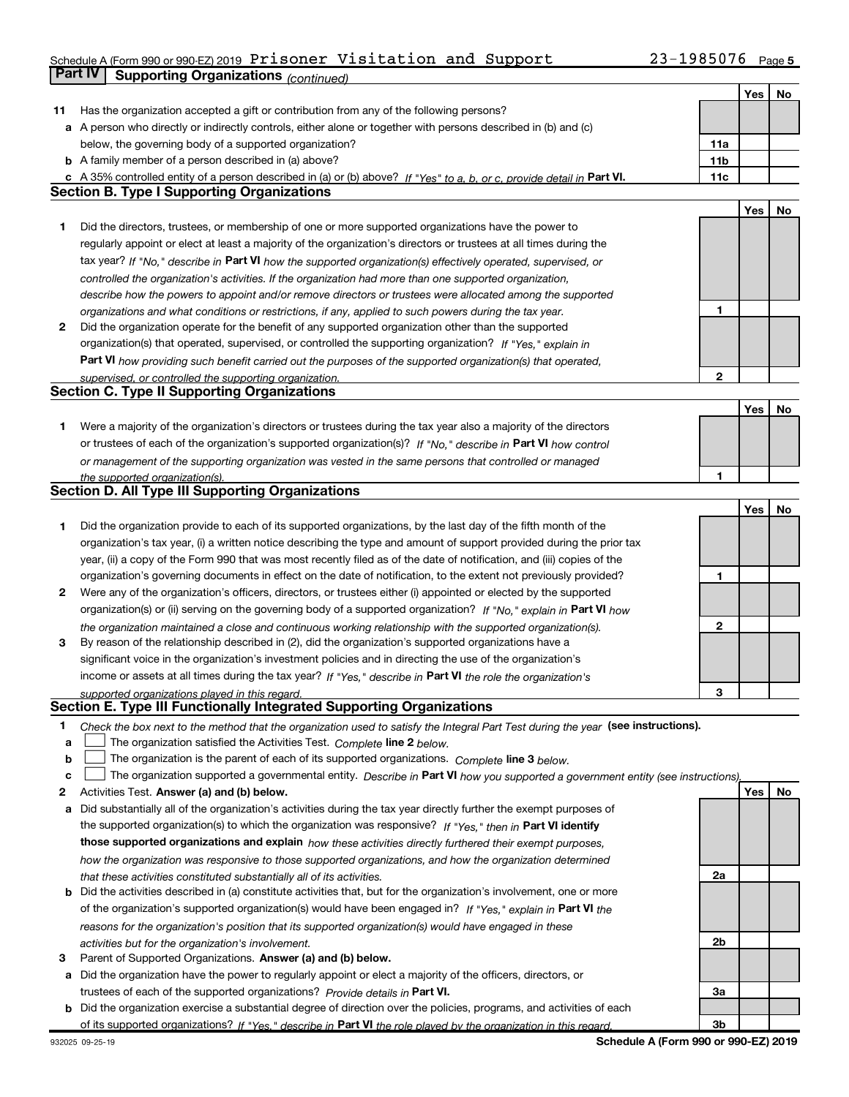## Schedule A (Form 990 or 990-EZ) 2019 Prisoner Visitation and Support  $23-1985076$  Page **Part IV | Supporting Organizations** *(continued)*

|    | GILIV<br>Supporung Organizations <sub>(continued)</sub>                                                                           |                 |     |    |
|----|-----------------------------------------------------------------------------------------------------------------------------------|-----------------|-----|----|
|    |                                                                                                                                   |                 | Yes | No |
| 11 | Has the organization accepted a gift or contribution from any of the following persons?                                           |                 |     |    |
|    | a A person who directly or indirectly controls, either alone or together with persons described in (b) and (c)                    |                 |     |    |
|    | below, the governing body of a supported organization?                                                                            | 11a             |     |    |
|    | <b>b</b> A family member of a person described in (a) above?                                                                      | 11 <sub>b</sub> |     |    |
|    | c A 35% controlled entity of a person described in (a) or (b) above? If "Yes" to a, b, or c, provide detail in Part VI.           | 11c             |     |    |
|    | <b>Section B. Type I Supporting Organizations</b>                                                                                 |                 |     |    |
|    |                                                                                                                                   |                 | Yes | No |
| 1  | Did the directors, trustees, or membership of one or more supported organizations have the power to                               |                 |     |    |
|    | regularly appoint or elect at least a majority of the organization's directors or trustees at all times during the                |                 |     |    |
|    | tax year? If "No," describe in Part VI how the supported organization(s) effectively operated, supervised, or                     |                 |     |    |
|    | controlled the organization's activities. If the organization had more than one supported organization,                           |                 |     |    |
|    | describe how the powers to appoint and/or remove directors or trustees were allocated among the supported                         |                 |     |    |
|    | organizations and what conditions or restrictions, if any, applied to such powers during the tax year.                            | 1               |     |    |
| 2  | Did the organization operate for the benefit of any supported organization other than the supported                               |                 |     |    |
|    | organization(s) that operated, supervised, or controlled the supporting organization? If "Yes," explain in                        |                 |     |    |
|    | Part VI how providing such benefit carried out the purposes of the supported organization(s) that operated,                       |                 |     |    |
|    | supervised, or controlled the supporting organization.                                                                            | $\mathbf{2}$    |     |    |
|    | <b>Section C. Type II Supporting Organizations</b>                                                                                |                 |     |    |
|    |                                                                                                                                   |                 | Yes | No |
| 1  | Were a majority of the organization's directors or trustees during the tax year also a majority of the directors                  |                 |     |    |
|    | or trustees of each of the organization's supported organization(s)? If "No," describe in Part VI how control                     |                 |     |    |
|    | or management of the supporting organization was vested in the same persons that controlled or managed                            |                 |     |    |
|    | the supported organization(s).                                                                                                    | 1               |     |    |
|    | Section D. All Type III Supporting Organizations                                                                                  |                 |     |    |
|    |                                                                                                                                   |                 | Yes | No |
| 1  | Did the organization provide to each of its supported organizations, by the last day of the fifth month of the                    |                 |     |    |
|    | organization's tax year, (i) a written notice describing the type and amount of support provided during the prior tax             |                 |     |    |
|    | year, (ii) a copy of the Form 990 that was most recently filed as of the date of notification, and (iii) copies of the            |                 |     |    |
|    | organization's governing documents in effect on the date of notification, to the extent not previously provided?                  | 1               |     |    |
| 2  | Were any of the organization's officers, directors, or trustees either (i) appointed or elected by the supported                  |                 |     |    |
|    |                                                                                                                                   |                 |     |    |
|    | organization(s) or (ii) serving on the governing body of a supported organization? If "No," explain in Part VI how                | $\mathbf{2}$    |     |    |
|    | the organization maintained a close and continuous working relationship with the supported organization(s).                       |                 |     |    |
| 3  | By reason of the relationship described in (2), did the organization's supported organizations have a                             |                 |     |    |
|    | significant voice in the organization's investment policies and in directing the use of the organization's                        |                 |     |    |
|    | income or assets at all times during the tax year? If "Yes," describe in Part VI the role the organization's                      |                 |     |    |
|    | supported organizations played in this regard.                                                                                    | з               |     |    |
|    | Section E. Type III Functionally Integrated Supporting Organizations                                                              |                 |     |    |
| 1  | Check the box next to the method that the organization used to satisfy the Integral Part Test during the year (see instructions). |                 |     |    |
| a  | The organization satisfied the Activities Test. Complete line 2 below.                                                            |                 |     |    |
| b  | The organization is the parent of each of its supported organizations. Complete line 3 below.                                     |                 |     |    |
| c  | The organization supported a governmental entity. Describe in Part VI how you supported a government entity (see instructions),   |                 |     |    |
| 2  | Activities Test. Answer (a) and (b) below.                                                                                        |                 | Yes | No |
| а  | Did substantially all of the organization's activities during the tax year directly further the exempt purposes of                |                 |     |    |
|    | the supported organization(s) to which the organization was responsive? If "Yes," then in Part VI identify                        |                 |     |    |
|    | those supported organizations and explain how these activities directly furthered their exempt purposes,                          |                 |     |    |
|    | how the organization was responsive to those supported organizations, and how the organization determined                         |                 |     |    |
|    | that these activities constituted substantially all of its activities.                                                            | 2a              |     |    |
| b  | Did the activities described in (a) constitute activities that, but for the organization's involvement, one or more               |                 |     |    |
|    | of the organization's supported organization(s) would have been engaged in? If "Yes," explain in Part VI the                      |                 |     |    |
|    | reasons for the organization's position that its supported organization(s) would have engaged in these                            |                 |     |    |
|    | activities but for the organization's involvement.                                                                                | 2b              |     |    |
| з  | Parent of Supported Organizations. Answer (a) and (b) below.                                                                      |                 |     |    |
| а  | Did the organization have the power to regularly appoint or elect a majority of the officers, directors, or                       |                 |     |    |
|    | trustees of each of the supported organizations? Provide details in Part VI.                                                      | 3a              |     |    |
|    | <b>b</b> Did the organization exercise a substantial degree of direction over the policies, programs, and activities of each      |                 |     |    |
|    | of its supported organizations? If "Yes," describe in Part VI the role played by the organization in this regard.                 | 3b              |     |    |
|    |                                                                                                                                   |                 |     |    |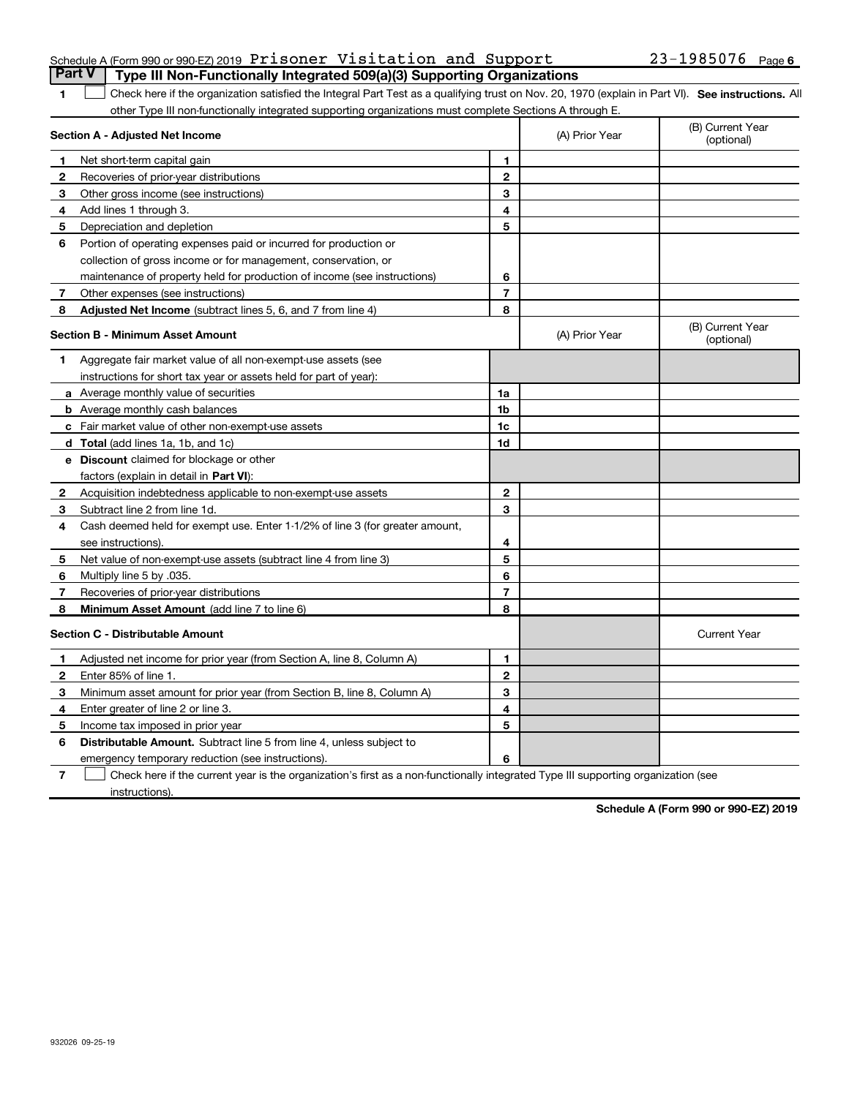| Schedule A (Form 990 or 990-EZ) 2019 Prisoner Visitation and Support             |  |  | 23-1985076 Page 6 |  |
|----------------------------------------------------------------------------------|--|--|-------------------|--|
| Part V   Type III Non-Functionally Integrated 509(a)(3) Supporting Organizations |  |  |                   |  |

### 1  $\Box$  Check here if the organization satisfied the Integral Part Test as a qualifying trust on Nov. 20, 1970 (explain in Part VI). See instructions. All other Type III non-functionally integrated supporting organizations must complete Sections A through E. ×.

|    | Section A - Adjusted Net Income                                              |                | (A) Prior Year | (B) Current Year<br>(optional) |
|----|------------------------------------------------------------------------------|----------------|----------------|--------------------------------|
| 1. | Net short-term capital gain                                                  | 1              |                |                                |
| 2  | Recoveries of prior-year distributions                                       | $\mathbf{2}$   |                |                                |
| 3  | Other gross income (see instructions)                                        | 3              |                |                                |
| 4  | Add lines 1 through 3.                                                       | 4              |                |                                |
| 5  | Depreciation and depletion                                                   | 5              |                |                                |
| 6  | Portion of operating expenses paid or incurred for production or             |                |                |                                |
|    | collection of gross income or for management, conservation, or               |                |                |                                |
|    | maintenance of property held for production of income (see instructions)     | 6              |                |                                |
| 7  | Other expenses (see instructions)                                            | $\overline{7}$ |                |                                |
| 8  | <b>Adjusted Net Income</b> (subtract lines 5, 6, and 7 from line 4)          | 8              |                |                                |
|    | <b>Section B - Minimum Asset Amount</b>                                      |                | (A) Prior Year | (B) Current Year<br>(optional) |
| 1. | Aggregate fair market value of all non-exempt-use assets (see                |                |                |                                |
|    | instructions for short tax year or assets held for part of year):            |                |                |                                |
|    | <b>a</b> Average monthly value of securities                                 | 1a             |                |                                |
|    | <b>b</b> Average monthly cash balances                                       | 1b             |                |                                |
|    | c Fair market value of other non-exempt-use assets                           | 1c             |                |                                |
|    | <b>d</b> Total (add lines 1a, 1b, and 1c)                                    | 1d             |                |                                |
|    | e Discount claimed for blockage or other                                     |                |                |                                |
|    | factors (explain in detail in Part VI):                                      |                |                |                                |
| 2  | Acquisition indebtedness applicable to non-exempt-use assets                 | $\mathbf{2}$   |                |                                |
| 3  | Subtract line 2 from line 1d.                                                | 3              |                |                                |
| 4  | Cash deemed held for exempt use. Enter 1-1/2% of line 3 (for greater amount, |                |                |                                |
|    | see instructions)                                                            | 4              |                |                                |
| 5  | Net value of non-exempt-use assets (subtract line 4 from line 3)             | 5              |                |                                |
| 6  | Multiply line 5 by .035.                                                     | 6              |                |                                |
| 7  | Recoveries of prior-year distributions                                       | $\overline{7}$ |                |                                |
| 8  | Minimum Asset Amount (add line 7 to line 6)                                  | 8              |                |                                |
|    | <b>Section C - Distributable Amount</b>                                      |                |                | <b>Current Year</b>            |
| 1  | Adjusted net income for prior year (from Section A, line 8, Column A)        | 1              |                |                                |
| 2  | Enter 85% of line 1.                                                         | $\mathbf{2}$   |                |                                |
| 3  | Minimum asset amount for prior year (from Section B, line 8, Column A)       | 3              |                |                                |
| 4  | Enter greater of line 2 or line 3.                                           | 4              |                |                                |
| 5  | Income tax imposed in prior year                                             | 5              |                |                                |
| 6  | <b>Distributable Amount.</b> Subtract line 5 from line 4, unless subject to  |                |                |                                |
|    | emergency temporary reduction (see instructions).                            | 6              |                |                                |

7 Check here if the current year is the organization's first as a non-functionally integrated Type III supporting organization (see instructions).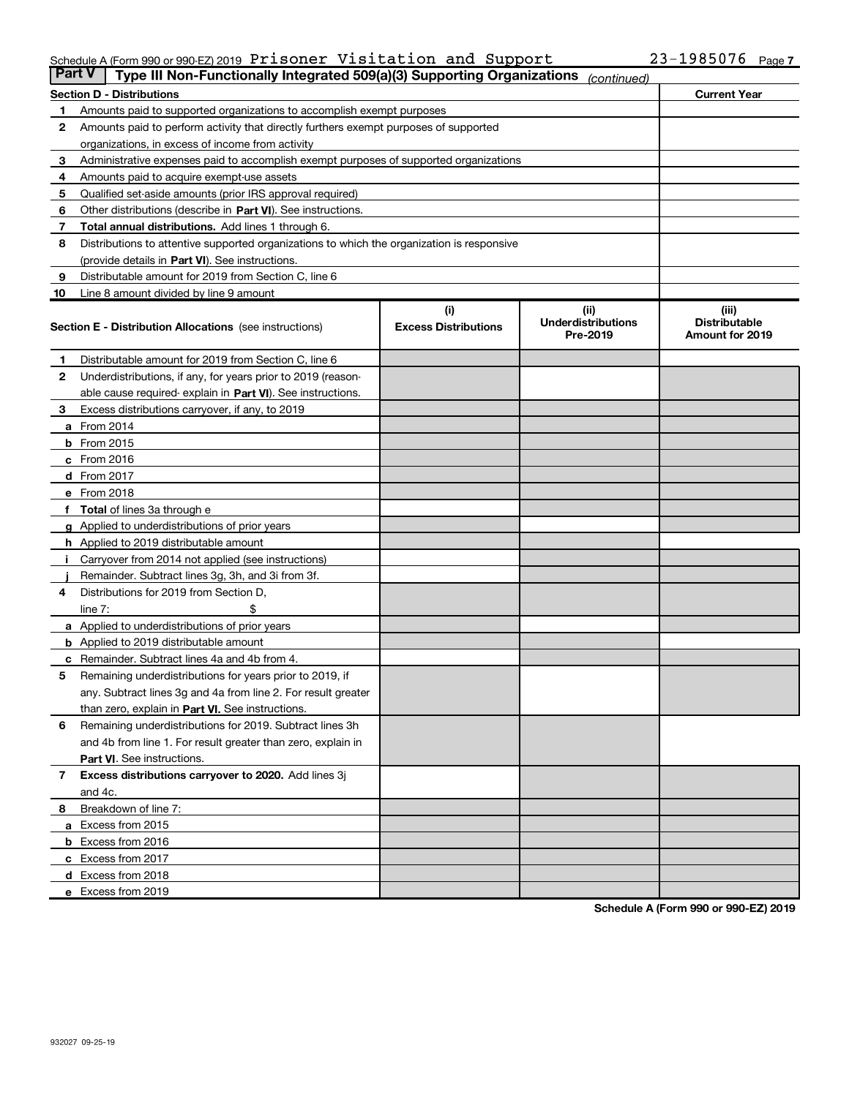### Schedule A (Form 990 or 990-EZ) 2019 Prisoner Visitation and Support  $23-1985076$  Page

| Part V | Type III Non-Functionally Integrated 509(a)(3) Supporting Organizations                    |                                    | (continued)                                    |                                                  |
|--------|--------------------------------------------------------------------------------------------|------------------------------------|------------------------------------------------|--------------------------------------------------|
|        | <b>Section D - Distributions</b>                                                           |                                    |                                                | <b>Current Year</b>                              |
| 1.     | Amounts paid to supported organizations to accomplish exempt purposes                      |                                    |                                                |                                                  |
| 2      | Amounts paid to perform activity that directly furthers exempt purposes of supported       |                                    |                                                |                                                  |
|        | organizations, in excess of income from activity                                           |                                    |                                                |                                                  |
| з      | Administrative expenses paid to accomplish exempt purposes of supported organizations      |                                    |                                                |                                                  |
| 4      | Amounts paid to acquire exempt-use assets                                                  |                                    |                                                |                                                  |
| 5      | Qualified set-aside amounts (prior IRS approval required)                                  |                                    |                                                |                                                  |
| 6      | Other distributions (describe in Part VI). See instructions.                               |                                    |                                                |                                                  |
| 7      | <b>Total annual distributions.</b> Add lines 1 through 6.                                  |                                    |                                                |                                                  |
| 8      | Distributions to attentive supported organizations to which the organization is responsive |                                    |                                                |                                                  |
|        | (provide details in Part VI). See instructions.                                            |                                    |                                                |                                                  |
| 9      | Distributable amount for 2019 from Section C, line 6                                       |                                    |                                                |                                                  |
| 10     | Line 8 amount divided by line 9 amount                                                     |                                    |                                                |                                                  |
|        | <b>Section E - Distribution Allocations</b> (see instructions)                             | (i)<br><b>Excess Distributions</b> | (iii)<br><b>Underdistributions</b><br>Pre-2019 | (iii)<br><b>Distributable</b><br>Amount for 2019 |
| 1.     | Distributable amount for 2019 from Section C, line 6                                       |                                    |                                                |                                                  |
| 2      | Underdistributions, if any, for years prior to 2019 (reason-                               |                                    |                                                |                                                  |
|        | able cause required- explain in Part VI). See instructions.                                |                                    |                                                |                                                  |
| 3      | Excess distributions carryover, if any, to 2019                                            |                                    |                                                |                                                  |
|        | <b>a</b> From 2014                                                                         |                                    |                                                |                                                  |
|        | $b$ From 2015                                                                              |                                    |                                                |                                                  |
|        | $c$ From 2016                                                                              |                                    |                                                |                                                  |
|        | $d$ From 2017                                                                              |                                    |                                                |                                                  |
|        | e From 2018                                                                                |                                    |                                                |                                                  |
|        | f Total of lines 3a through e                                                              |                                    |                                                |                                                  |
|        | <b>g</b> Applied to underdistributions of prior years                                      |                                    |                                                |                                                  |
|        | <b>h</b> Applied to 2019 distributable amount                                              |                                    |                                                |                                                  |
| ÷Ī.    | Carryover from 2014 not applied (see instructions)                                         |                                    |                                                |                                                  |
|        | Remainder. Subtract lines 3g, 3h, and 3i from 3f.                                          |                                    |                                                |                                                  |
| 4      | Distributions for 2019 from Section D,                                                     |                                    |                                                |                                                  |
|        | line $7:$                                                                                  |                                    |                                                |                                                  |
|        | a Applied to underdistributions of prior years                                             |                                    |                                                |                                                  |
|        | <b>b</b> Applied to 2019 distributable amount                                              |                                    |                                                |                                                  |
| c      | Remainder. Subtract lines 4a and 4b from 4.                                                |                                    |                                                |                                                  |
| 5      | Remaining underdistributions for years prior to 2019, if                                   |                                    |                                                |                                                  |
|        | any. Subtract lines 3g and 4a from line 2. For result greater                              |                                    |                                                |                                                  |
|        | than zero, explain in Part VI. See instructions.                                           |                                    |                                                |                                                  |
| 6      | Remaining underdistributions for 2019. Subtract lines 3h                                   |                                    |                                                |                                                  |
|        | and 4b from line 1. For result greater than zero, explain in                               |                                    |                                                |                                                  |
|        | Part VI. See instructions.                                                                 |                                    |                                                |                                                  |
| 7      | Excess distributions carryover to 2020. Add lines 3j                                       |                                    |                                                |                                                  |
|        | and 4c.                                                                                    |                                    |                                                |                                                  |
| 8      | Breakdown of line 7:                                                                       |                                    |                                                |                                                  |
|        | a Excess from 2015                                                                         |                                    |                                                |                                                  |
|        | <b>b</b> Excess from 2016                                                                  |                                    |                                                |                                                  |
|        | c Excess from 2017                                                                         |                                    |                                                |                                                  |
|        | d Excess from 2018                                                                         |                                    |                                                |                                                  |
|        | e Excess from 2019                                                                         |                                    |                                                |                                                  |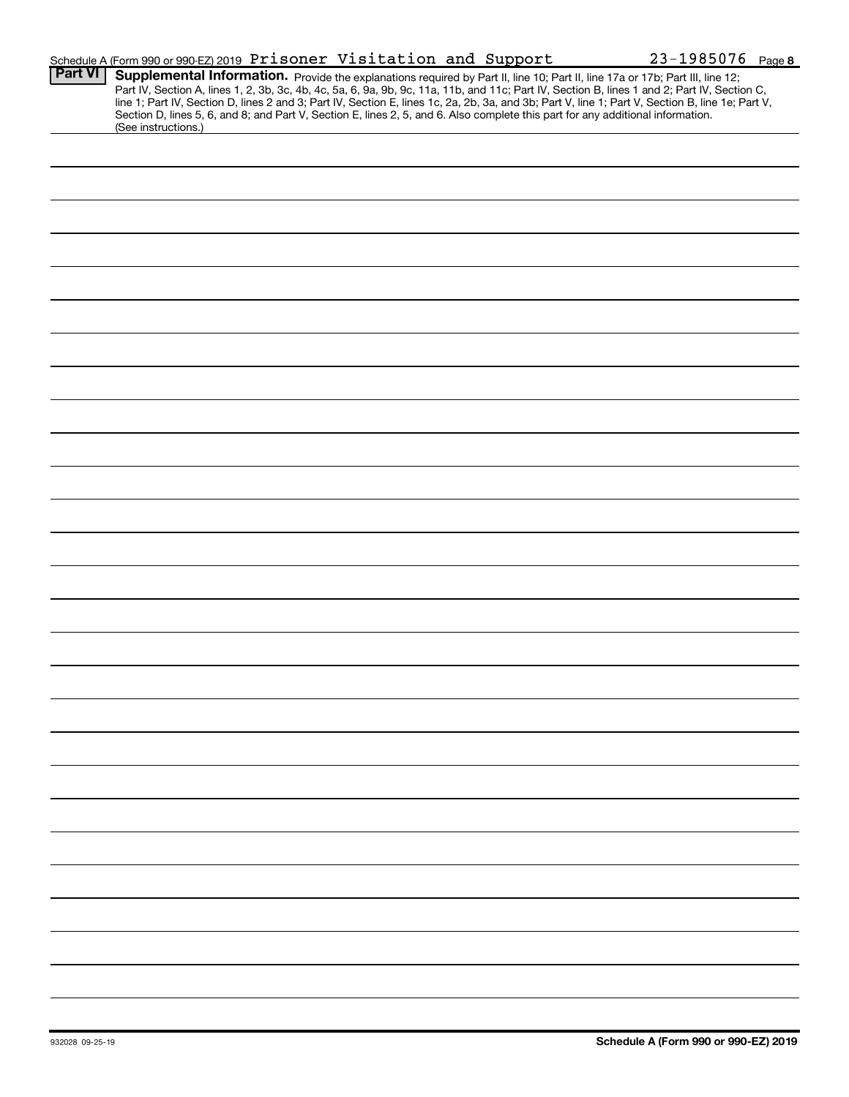|                | Schedule A (Form 990 or 990-EZ) 2019 Prisoner Visitation and Support                                                                                                                                                                                                                                                                                                                                                                                                                                                     | $23 - 1985076$ Page 8 |
|----------------|--------------------------------------------------------------------------------------------------------------------------------------------------------------------------------------------------------------------------------------------------------------------------------------------------------------------------------------------------------------------------------------------------------------------------------------------------------------------------------------------------------------------------|-----------------------|
| <b>Part VI</b> | Supplemental Information. Provide the explanations required by Part II, line 10; Part II, line 17a or 17b; Part III, line 12;<br>Part IV, Section A, lines 1, 2, 3b, 3c, 4b, 4c, 5a, 6, 9a, 9b, 9c, 11a, 11b, and 11c; Part IV, S<br>line 1; Part IV, Section D, lines 2 and 3; Part IV, Section E, lines 1c, 2a, 2b, 3a, and 3b; Part V, line 1; Part V, Section B, line 1e; Part V,<br>Section D, lines 5, 6, and 8; and Part V, Section E, lines 2, 5, and 6. Also complete this part for any additional information. |                       |
|                | (See instructions.)                                                                                                                                                                                                                                                                                                                                                                                                                                                                                                      |                       |
|                |                                                                                                                                                                                                                                                                                                                                                                                                                                                                                                                          |                       |
|                |                                                                                                                                                                                                                                                                                                                                                                                                                                                                                                                          |                       |
|                |                                                                                                                                                                                                                                                                                                                                                                                                                                                                                                                          |                       |
|                |                                                                                                                                                                                                                                                                                                                                                                                                                                                                                                                          |                       |
|                |                                                                                                                                                                                                                                                                                                                                                                                                                                                                                                                          |                       |
|                |                                                                                                                                                                                                                                                                                                                                                                                                                                                                                                                          |                       |
|                |                                                                                                                                                                                                                                                                                                                                                                                                                                                                                                                          |                       |
|                |                                                                                                                                                                                                                                                                                                                                                                                                                                                                                                                          |                       |
|                |                                                                                                                                                                                                                                                                                                                                                                                                                                                                                                                          |                       |
|                |                                                                                                                                                                                                                                                                                                                                                                                                                                                                                                                          |                       |
|                |                                                                                                                                                                                                                                                                                                                                                                                                                                                                                                                          |                       |
|                |                                                                                                                                                                                                                                                                                                                                                                                                                                                                                                                          |                       |
|                |                                                                                                                                                                                                                                                                                                                                                                                                                                                                                                                          |                       |
|                |                                                                                                                                                                                                                                                                                                                                                                                                                                                                                                                          |                       |
|                |                                                                                                                                                                                                                                                                                                                                                                                                                                                                                                                          |                       |
|                |                                                                                                                                                                                                                                                                                                                                                                                                                                                                                                                          |                       |
|                |                                                                                                                                                                                                                                                                                                                                                                                                                                                                                                                          |                       |
|                |                                                                                                                                                                                                                                                                                                                                                                                                                                                                                                                          |                       |
|                |                                                                                                                                                                                                                                                                                                                                                                                                                                                                                                                          |                       |
|                |                                                                                                                                                                                                                                                                                                                                                                                                                                                                                                                          |                       |
|                |                                                                                                                                                                                                                                                                                                                                                                                                                                                                                                                          |                       |
|                |                                                                                                                                                                                                                                                                                                                                                                                                                                                                                                                          |                       |
|                |                                                                                                                                                                                                                                                                                                                                                                                                                                                                                                                          |                       |
|                |                                                                                                                                                                                                                                                                                                                                                                                                                                                                                                                          |                       |
|                |                                                                                                                                                                                                                                                                                                                                                                                                                                                                                                                          |                       |
|                |                                                                                                                                                                                                                                                                                                                                                                                                                                                                                                                          |                       |
|                |                                                                                                                                                                                                                                                                                                                                                                                                                                                                                                                          |                       |
|                |                                                                                                                                                                                                                                                                                                                                                                                                                                                                                                                          |                       |
|                |                                                                                                                                                                                                                                                                                                                                                                                                                                                                                                                          |                       |
|                |                                                                                                                                                                                                                                                                                                                                                                                                                                                                                                                          |                       |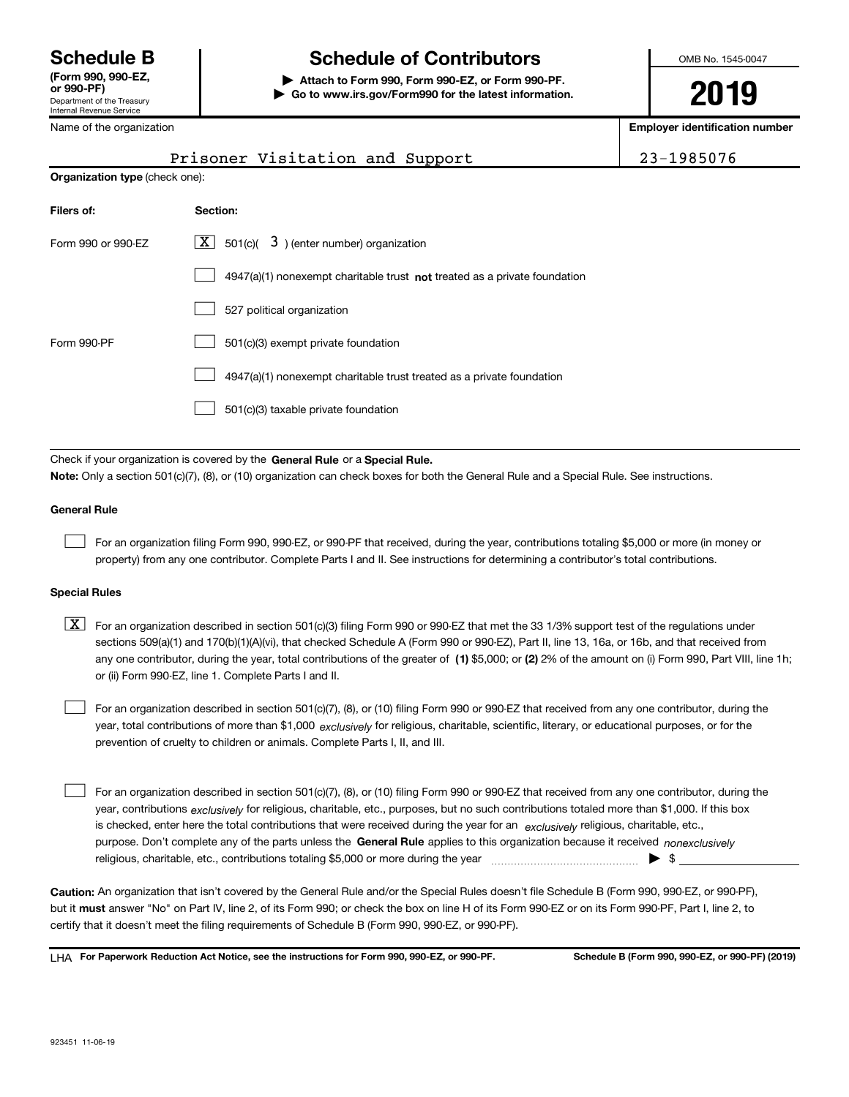Department of the Treasury Internal Revenue Service (Form 990, 990-EZ,

Name of the organization

# Schedule B The Schedule of Contributors

Attach to Form 990, Form 990-EZ, or Form 990-PF. | Go to www.irs.gov/Form990 for the latest information. OMB No. 1545-0047

**2019**

Employer identification number

|                                       |          | Prisoner Visitation and Support |  | 23-1985076 |
|---------------------------------------|----------|---------------------------------|--|------------|
| <b>Organization type (check one):</b> |          |                                 |  |            |
| Filers of:                            | Section: |                                 |  |            |

| Form 990 or 990-FZ | $\lfloor x \rfloor$ 501(c)( 3) (enter number) organization                  |
|--------------------|-----------------------------------------------------------------------------|
|                    | $4947(a)(1)$ nonexempt charitable trust not treated as a private foundation |
|                    | 527 political organization                                                  |
| Form 990-PF        | 501(c)(3) exempt private foundation                                         |
|                    | 4947(a)(1) nonexempt charitable trust treated as a private foundation       |
|                    | 501(c)(3) taxable private foundation                                        |

Check if your organization is covered by the General Rule or a Special Rule. Note: Only a section 501(c)(7), (8), or (10) organization can check boxes for both the General Rule and a Special Rule. See instructions.

### General Rule

 $\begin{array}{c} \hline \end{array}$ 

For an organization filing Form 990, 990-EZ, or 990-PF that received, during the year, contributions totaling \$5,000 or more (in money or property) from any one contributor. Complete Parts I and II. See instructions for determining a contributor's total contributions.

### Special Rules

any one contributor, during the year, total contributions of the greater of  $\,$  (1) \$5,000; or (2) 2% of the amount on (i) Form 990, Part VIII, line 1h;  $\boxed{\textbf{X}}$  For an organization described in section 501(c)(3) filing Form 990 or 990-EZ that met the 33 1/3% support test of the regulations under sections 509(a)(1) and 170(b)(1)(A)(vi), that checked Schedule A (Form 990 or 990-EZ), Part II, line 13, 16a, or 16b, and that received from or (ii) Form 990-EZ, line 1. Complete Parts I and II.

year, total contributions of more than \$1,000 *exclusively* for religious, charitable, scientific, literary, or educational purposes, or for the For an organization described in section 501(c)(7), (8), or (10) filing Form 990 or 990-EZ that received from any one contributor, during the prevention of cruelty to children or animals. Complete Parts I, II, and III.  $\begin{array}{c} \hline \end{array}$ 

purpose. Don't complete any of the parts unless the General Rule applies to this organization because it received nonexclusively year, contributions <sub>exclusively</sub> for religious, charitable, etc., purposes, but no such contributions totaled more than \$1,000. If this box is checked, enter here the total contributions that were received during the year for an exclusively religious, charitable, etc., For an organization described in section 501(c)(7), (8), or (10) filing Form 990 or 990-EZ that received from any one contributor, during the religious, charitable, etc., contributions totaling \$5,000 or more during the year  $\Box$ — $\Box$   $\Box$  $\begin{array}{c} \hline \end{array}$ 

Caution: An organization that isn't covered by the General Rule and/or the Special Rules doesn't file Schedule B (Form 990, 990-EZ, or 990-PF), but it **must** answer "No" on Part IV, line 2, of its Form 990; or check the box on line H of its Form 990-EZ or on its Form 990-PF, Part I, line 2, to certify that it doesn't meet the filing requirements of Schedule B (Form 990, 990-EZ, or 990-PF).

LHA For Paperwork Reduction Act Notice, see the instructions for Form 990, 990-EZ, or 990-PF. Schedule B (Form 990, 990-EZ, or 990-PF) (2019)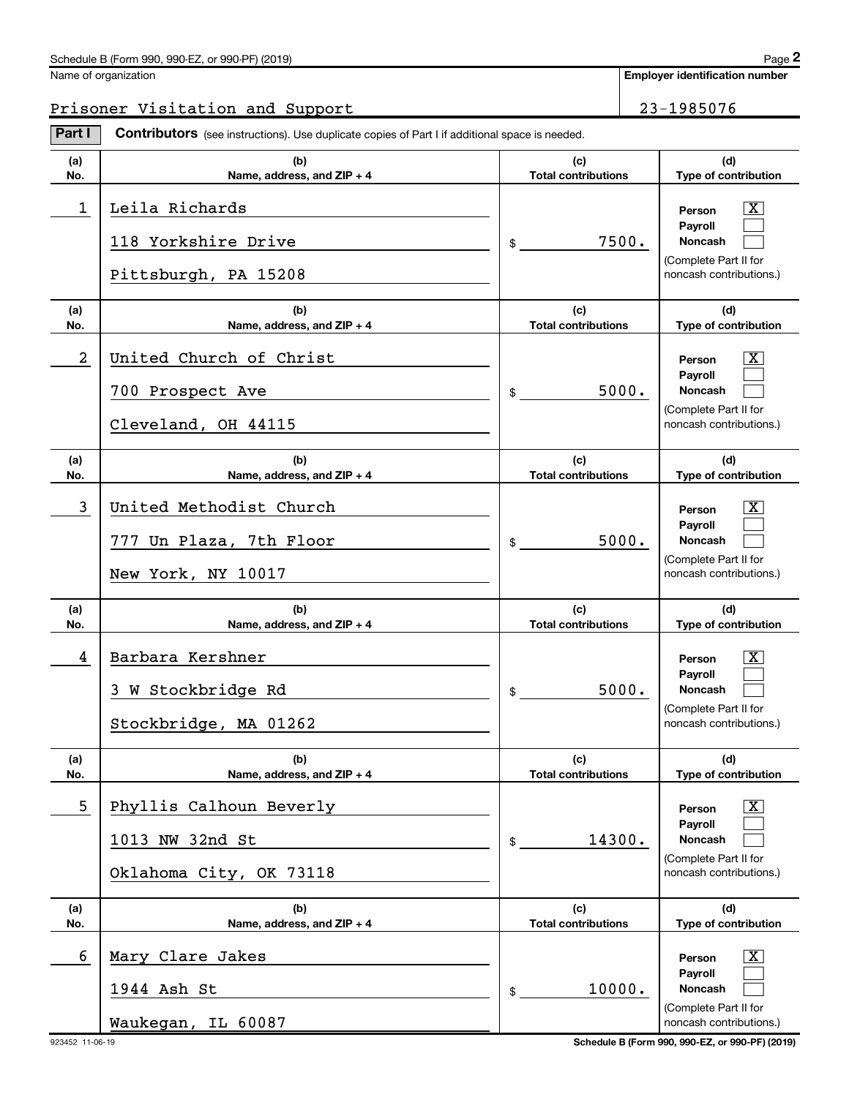### Schedule B (Form 990, 990-EZ, or 990-PF) (2019)

| Name of organization |
|----------------------|
|                      |

# Prisoner Visitation and Support 23-1985076

Part I Contributors (see instructions). Use duplicate copies of Part I if additional space is needed.

| (a) | (b)                                                                      | (c)                        | (d)                                                                                                  |
|-----|--------------------------------------------------------------------------|----------------------------|------------------------------------------------------------------------------------------------------|
| No. | Name, address, and $ZIP + 4$                                             | <b>Total contributions</b> | Type of contribution                                                                                 |
| 1   | Leila Richards<br>118 Yorkshire Drive<br>Pittsburgh, PA 15208            | 7500.<br>$\mathsf{\$}$     | X.<br>Person<br><b>Payroll</b><br>Noncash<br>(Complete Part II for<br>noncash contributions.)        |
| (a) | (b)                                                                      | (c)                        | (d)                                                                                                  |
| No. | Name, address, and $ZIP + 4$                                             | <b>Total contributions</b> | Type of contribution                                                                                 |
| 2   | United Church of Christ<br>700 Prospect Ave<br>Cleveland, OH 44115       | 5000.<br>$\frac{1}{2}$     | X.<br>Person<br><b>Payroll</b><br>Noncash<br>(Complete Part II for<br>noncash contributions.)        |
| (a) | (b)                                                                      | (c)                        | (d)                                                                                                  |
| No. | Name, address, and $ZIP + 4$                                             | <b>Total contributions</b> | Type of contribution                                                                                 |
| 3   | United Methodist Church<br>777 Un Plaza, 7th Floor<br>New York, NY 10017 | 5000.<br>$\frac{1}{2}$     | X.<br>Person<br><b>Pavroll</b><br><b>Noncash</b><br>(Complete Part II for<br>noncash contributions.) |
| (a) | (b)                                                                      | (c)                        | (d)                                                                                                  |
| No. | Name, address, and $ZIP + 4$                                             | <b>Total contributions</b> | Type of contribution                                                                                 |
| 4   | Barbara Kershner<br>3 W Stockbridge Rd<br>Stockbridge, MA 01262          | 5000.<br>$\frac{1}{2}$     | X.<br>Person<br><b>Payroll</b><br><b>Noncash</b><br>(Complete Part II for<br>noncash contributions.) |
| (a) | (b)                                                                      | (c)                        | (d)                                                                                                  |
| No. | Name, address, and ZIP + 4                                               | <b>Total contributions</b> | Type of contribution                                                                                 |
| 5   | Phyllis Calhoun Beverly<br>1013 NW 32nd St<br>Oklahoma City, OK 73118    | 14300.<br>$\frac{1}{2}$    | $\mathbf{X}$<br>Person<br>Payroll<br>Noncash<br>(Complete Part II for<br>noncash contributions.)     |
| (a) | (b)                                                                      | (c)                        | (d)                                                                                                  |
| No. | Name, address, and ZIP + 4                                               | <b>Total contributions</b> | Type of contribution                                                                                 |
| 6   | Mary Clare Jakes<br>1944 Ash St                                          | 10000.<br>$\frac{1}{2}$    | $\mathbf{X}$<br>Person<br>Payroll<br>Noncash                                                         |

923452 11-06-19 Schedule B (Form 990, 990-EZ, or 990-PF) (2019)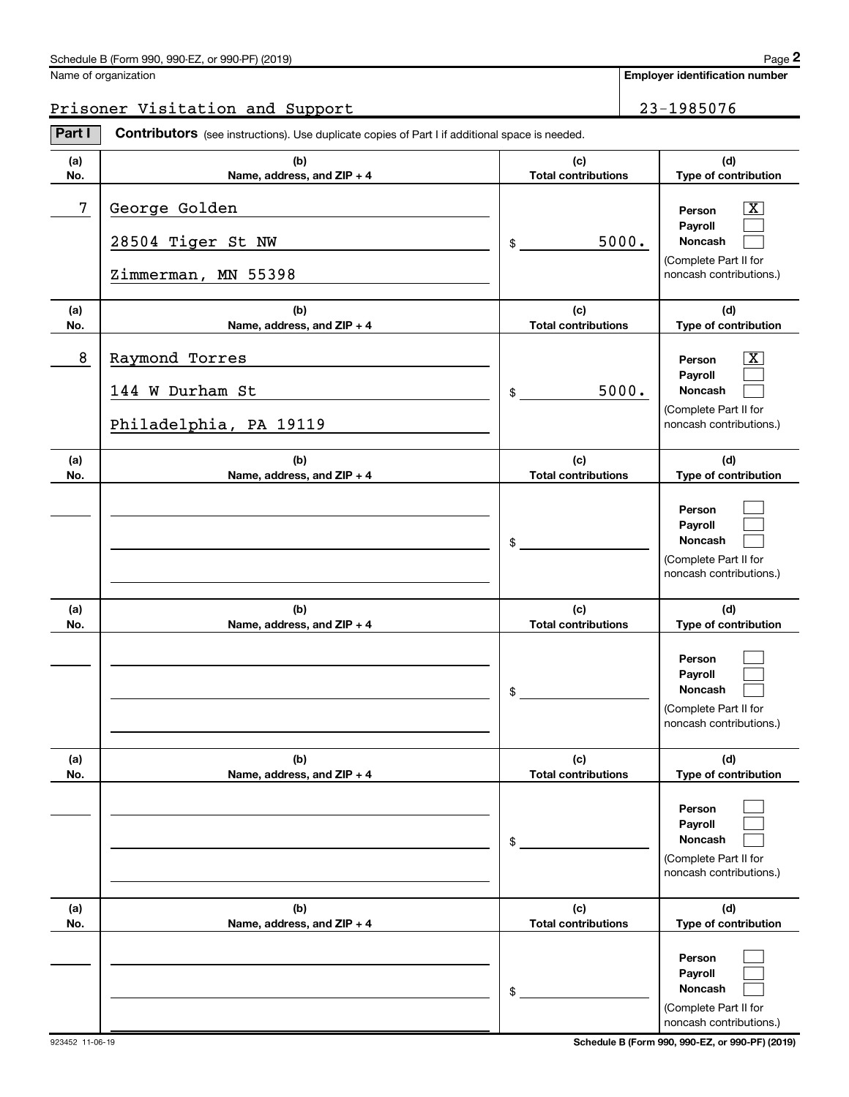### Schedule B (Form 990, 990-EZ, or 990-PF) (2019)

| Name of organization |
|----------------------|
|                      |

Employer identification number

# Prisoner Visitation and Support 23-1985076

Part I Contributors (see instructions). Use duplicate copies of Part I if additional space is needed.

| (a)<br>No. | (b)<br>Name, address, and ZIP + 4                           | (c)<br><b>Total contributions</b> | (d)<br>Type of contribution                                                                            |
|------------|-------------------------------------------------------------|-----------------------------------|--------------------------------------------------------------------------------------------------------|
| 7          | George Golden<br>28504 Tiger St NW<br>Zimmerman, MN 55398   | 5000.<br>\$                       | $\boxed{\text{X}}$<br>Person<br>Payroll<br>Noncash<br>(Complete Part II for<br>noncash contributions.) |
| (a)<br>No. | (b)<br>Name, address, and ZIP + 4                           | (c)<br><b>Total contributions</b> | (d)<br>Type of contribution                                                                            |
| 8          | Raymond Torres<br>144 W Durham St<br>Philadelphia, PA 19119 | 5000.<br>$\frac{1}{2}$            | $\boxed{\text{X}}$<br>Person<br>Payroll<br>Noncash<br>(Complete Part II for<br>noncash contributions.) |
| (a)<br>No. | (b)<br>Name, address, and ZIP + 4                           | (c)<br><b>Total contributions</b> | (d)<br>Type of contribution                                                                            |
|            |                                                             | \$                                | Person<br>Payroll<br><b>Noncash</b><br>(Complete Part II for<br>noncash contributions.)                |
| (a)<br>No. | (b)<br>Name, address, and ZIP + 4                           | (c)<br><b>Total contributions</b> | (d)<br>Type of contribution                                                                            |
|            |                                                             | \$                                | Person<br>Payroll<br>Noncash<br>(Complete Part II for<br>noncash contributions.)                       |
| (a)<br>No. | (b)<br>Name, address, and ZIP + 4                           | (c)<br><b>Total contributions</b> | (d)<br>Type of contribution                                                                            |
|            |                                                             | \$                                | Person<br>Payroll<br>Noncash<br>(Complete Part II for<br>noncash contributions.)                       |
| (a)<br>No. | (b)<br>Name, address, and ZIP + 4                           | (c)<br><b>Total contributions</b> | (d)<br>Type of contribution                                                                            |
|            |                                                             | \$                                | Person<br>Payroll<br>Noncash<br>(Complete Part II for<br>noncash contributions.)                       |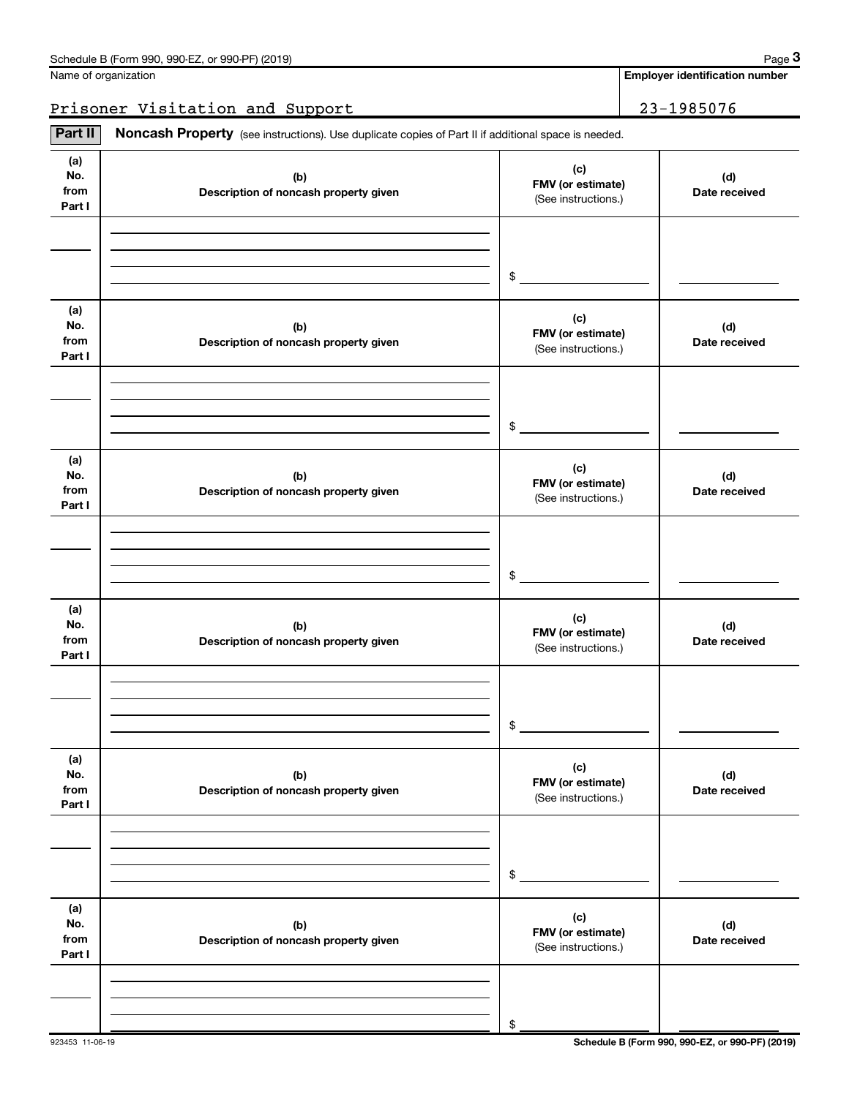|  | Name of organization |  |
|--|----------------------|--|
|  |                      |  |

Employer identification number

# Prisoner Visitation and Support 23-1985076

(a) No. from Part I (c)  $F(M)$   $F(M)$  (or estimate) Description of noncash property given (d) Date received (a) No. from Part I (c)  $F$ MV (or estimate) Description of noncash property given (d) Date received (a) No. from Part I (c)  $F$ MV (or estimate) Description of noncash property given (d) Date received (a) No. from Part I (c)  $F(M)$   $F(M)$  (or estimate) Description of noncash property given (d) Date received (a) No. from Part I (c)  $F$ MV (or estimate) Description of noncash property given (d) Date received (a) No. from Part I (c)  $FMV (or estimate)$ Description of noncash property given (d) Date received Part II | Noncash Property (see instructions). Use duplicate copies of Part II if additional space is needed. (See instructions.) \$ (See instructions.) \$ (See instructions.) \$ (See instructions.) \$ (See instructions.) \$ (See instructions.) \$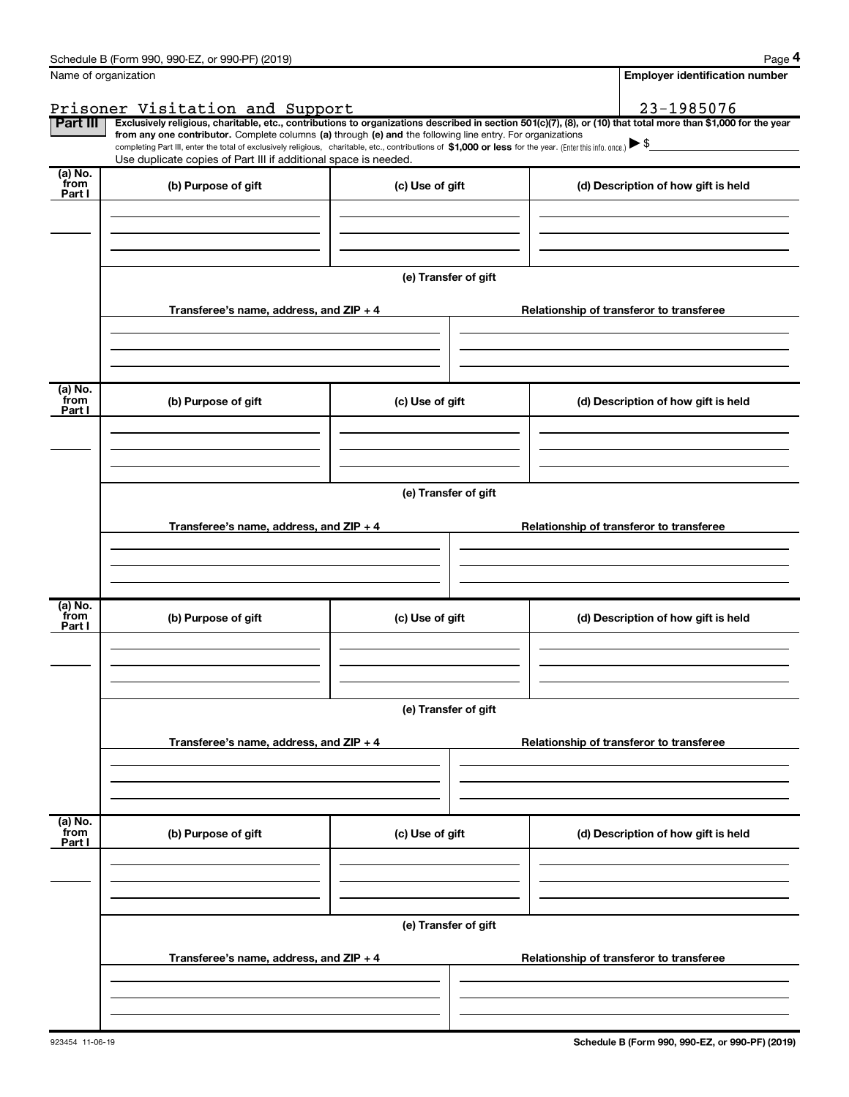|                           | Schedule B (Form 990, 990-EZ, or 990-PF) (2019)                                                                                                                               |                      | Page 4                                                                                                                                                                                                                                                                                                                                              |  |  |
|---------------------------|-------------------------------------------------------------------------------------------------------------------------------------------------------------------------------|----------------------|-----------------------------------------------------------------------------------------------------------------------------------------------------------------------------------------------------------------------------------------------------------------------------------------------------------------------------------------------------|--|--|
|                           | Name of organization                                                                                                                                                          |                      | <b>Employer identification number</b>                                                                                                                                                                                                                                                                                                               |  |  |
|                           | Prisoner Visitation and Support                                                                                                                                               |                      | 23-1985076                                                                                                                                                                                                                                                                                                                                          |  |  |
| Part III                  | from any one contributor. Complete columns (a) through (e) and the following line entry. For organizations<br>Use duplicate copies of Part III if additional space is needed. |                      | Exclusively religious, charitable, etc., contributions to organizations described in section 501(c)(7), (8), or (10) that total more than \$1,000 for the year<br>completing Part III, enter the total of exclusively religious, charitable, etc., contributions of \$1,000 or less for the year. (Enter this info. once.) $\blacktriangleright$ \$ |  |  |
| (a) No.                   |                                                                                                                                                                               |                      |                                                                                                                                                                                                                                                                                                                                                     |  |  |
| from<br>Part I            | (b) Purpose of gift                                                                                                                                                           | (c) Use of gift      | (d) Description of how gift is held                                                                                                                                                                                                                                                                                                                 |  |  |
|                           |                                                                                                                                                                               | (e) Transfer of gift |                                                                                                                                                                                                                                                                                                                                                     |  |  |
|                           | Transferee's name, address, and ZIP + 4                                                                                                                                       |                      | Relationship of transferor to transferee                                                                                                                                                                                                                                                                                                            |  |  |
| (a) No.                   |                                                                                                                                                                               |                      |                                                                                                                                                                                                                                                                                                                                                     |  |  |
| from<br>Part I            | (b) Purpose of gift                                                                                                                                                           | (c) Use of gift      | (d) Description of how gift is held                                                                                                                                                                                                                                                                                                                 |  |  |
|                           |                                                                                                                                                                               |                      |                                                                                                                                                                                                                                                                                                                                                     |  |  |
|                           |                                                                                                                                                                               | (e) Transfer of gift |                                                                                                                                                                                                                                                                                                                                                     |  |  |
|                           | Transferee's name, address, and $ZIP + 4$                                                                                                                                     |                      | Relationship of transferor to transferee                                                                                                                                                                                                                                                                                                            |  |  |
| (a) No.<br>from           |                                                                                                                                                                               |                      |                                                                                                                                                                                                                                                                                                                                                     |  |  |
| Part I                    | (b) Purpose of gift                                                                                                                                                           | (c) Use of gift      | (d) Description of how gift is held                                                                                                                                                                                                                                                                                                                 |  |  |
|                           |                                                                                                                                                                               |                      |                                                                                                                                                                                                                                                                                                                                                     |  |  |
|                           | Transferee's name, address, and $ZIP + 4$                                                                                                                                     | (e) Transfer of gift | Relationship of transferor to transferee                                                                                                                                                                                                                                                                                                            |  |  |
|                           |                                                                                                                                                                               |                      |                                                                                                                                                                                                                                                                                                                                                     |  |  |
|                           |                                                                                                                                                                               |                      |                                                                                                                                                                                                                                                                                                                                                     |  |  |
| (a) No.<br>from<br>Part I | (b) Purpose of gift                                                                                                                                                           | (c) Use of gift      | (d) Description of how gift is held                                                                                                                                                                                                                                                                                                                 |  |  |
|                           |                                                                                                                                                                               |                      |                                                                                                                                                                                                                                                                                                                                                     |  |  |
|                           | (e) Transfer of gift                                                                                                                                                          |                      |                                                                                                                                                                                                                                                                                                                                                     |  |  |
|                           | Transferee's name, address, and ZIP + 4                                                                                                                                       |                      | Relationship of transferor to transferee                                                                                                                                                                                                                                                                                                            |  |  |
|                           |                                                                                                                                                                               |                      |                                                                                                                                                                                                                                                                                                                                                     |  |  |
|                           |                                                                                                                                                                               |                      |                                                                                                                                                                                                                                                                                                                                                     |  |  |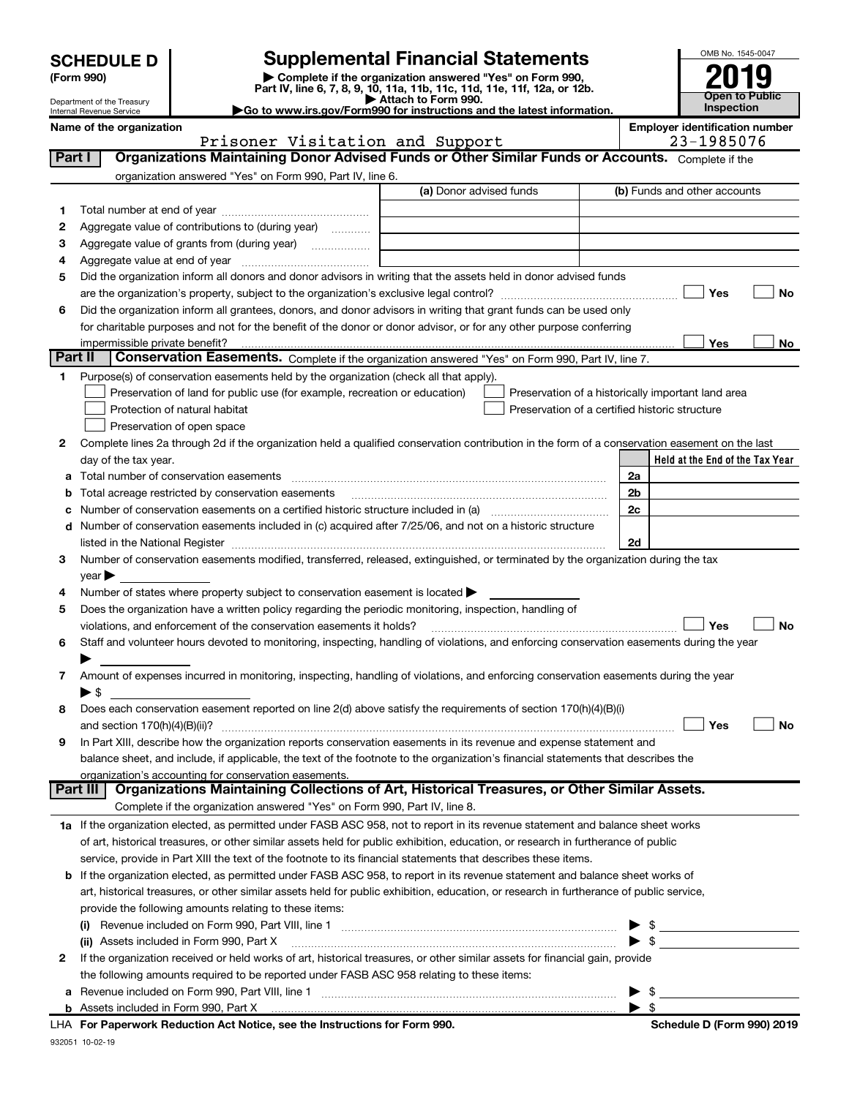| <b>SCHEDULE D</b> |
|-------------------|
|-------------------|

| (Form 990) |  |
|------------|--|
|------------|--|

(Form 990) | Complete if the organization answered "Yes" on Form 990, Part IV, line 6, 7, 8, 9, 10, 11a, 11b, 11c, 11d, 11e, 11f, 12a, or 12b. **SCHEDULE D** Supplemental Financial Statements<br>
Form 990) **Supplemental Financial Statements**<br>
Part IV, line 6, 7, 8, 9, 10, 11a, 11b, 11c, 11d, 11e, 11f, 12a, or 12b.



Department of the Treasury Internal Revenue Service

▶ Attach to Form 990.<br>► Go to www.irs.gov/Form990 for instructions and the latest information.

|        | Name of the organization<br>Prisoner Visitation and Support                                                                                                                                                                   | <b>Employer identification number</b><br>23-1985076 |
|--------|-------------------------------------------------------------------------------------------------------------------------------------------------------------------------------------------------------------------------------|-----------------------------------------------------|
| Part I | Organizations Maintaining Donor Advised Funds or Other Similar Funds or Accounts. Complete if the                                                                                                                             |                                                     |
|        | organization answered "Yes" on Form 990, Part IV, line 6.                                                                                                                                                                     |                                                     |
|        | (a) Donor advised funds                                                                                                                                                                                                       | (b) Funds and other accounts                        |
| 1      |                                                                                                                                                                                                                               |                                                     |
| 2      | Aggregate value of contributions to (during year)                                                                                                                                                                             |                                                     |
| з      | Aggregate value of grants from (during year)                                                                                                                                                                                  |                                                     |
| 4      |                                                                                                                                                                                                                               |                                                     |
| 5      | Did the organization inform all donors and donor advisors in writing that the assets held in donor advised funds                                                                                                              |                                                     |
|        |                                                                                                                                                                                                                               | Yes<br>No                                           |
| 6      | Did the organization inform all grantees, donors, and donor advisors in writing that grant funds can be used only                                                                                                             |                                                     |
|        | for charitable purposes and not for the benefit of the donor or donor advisor, or for any other purpose conferring                                                                                                            |                                                     |
|        | impermissible private benefit?                                                                                                                                                                                                | Yes<br>No                                           |
|        | Part II<br>Conservation Easements. Complete if the organization answered "Yes" on Form 990, Part IV, line 7.                                                                                                                  |                                                     |
| 1      | Purpose(s) of conservation easements held by the organization (check all that apply).                                                                                                                                         |                                                     |
|        | Preservation of land for public use (for example, recreation or education)                                                                                                                                                    | Preservation of a historically important land area  |
|        | Protection of natural habitat                                                                                                                                                                                                 | Preservation of a certified historic structure      |
|        | Preservation of open space                                                                                                                                                                                                    |                                                     |
| 2      | Complete lines 2a through 2d if the organization held a qualified conservation contribution in the form of a conservation easement on the last                                                                                |                                                     |
|        | day of the tax year.                                                                                                                                                                                                          | Held at the End of the Tax Year                     |
| a      |                                                                                                                                                                                                                               | 2a                                                  |
| b      | Total acreage restricted by conservation easements                                                                                                                                                                            | 2b                                                  |
| с      |                                                                                                                                                                                                                               | 2c                                                  |
|        | d Number of conservation easements included in (c) acquired after 7/25/06, and not on a historic structure                                                                                                                    |                                                     |
|        | listed in the National Register [11, 1200] [12] The National Register [11, 1200] [12] The National Register [11, 1200] [12] The National Register [11, 1200] [12] The National Register [11, 1200] [12] The National Register | 2d                                                  |
| 3      | Number of conservation easements modified, transferred, released, extinguished, or terminated by the organization during the tax                                                                                              |                                                     |
|        | $year \blacktriangleright$                                                                                                                                                                                                    |                                                     |
| 4      | Number of states where property subject to conservation easement is located >                                                                                                                                                 |                                                     |
| 5      | Does the organization have a written policy regarding the periodic monitoring, inspection, handling of                                                                                                                        |                                                     |
|        | violations, and enforcement of the conservation easements it holds?                                                                                                                                                           | Yes<br>No                                           |
| 6      | Staff and volunteer hours devoted to monitoring, inspecting, handling of violations, and enforcing conservation easements during the year                                                                                     |                                                     |
|        |                                                                                                                                                                                                                               |                                                     |
| 7      | Amount of expenses incurred in monitoring, inspecting, handling of violations, and enforcing conservation easements during the year                                                                                           |                                                     |
|        | $\blacktriangleright$ \$                                                                                                                                                                                                      |                                                     |
| 8      | Does each conservation easement reported on line 2(d) above satisfy the requirements of section 170(h)(4)(B)(i)                                                                                                               |                                                     |
|        |                                                                                                                                                                                                                               | Yes<br>No                                           |
|        | In Part XIII, describe how the organization reports conservation easements in its revenue and expense statement and                                                                                                           |                                                     |
|        | balance sheet, and include, if applicable, the text of the footnote to the organization's financial statements that describes the                                                                                             |                                                     |
|        | organization's accounting for conservation easements.                                                                                                                                                                         |                                                     |
|        | Organizations Maintaining Collections of Art, Historical Treasures, or Other Similar Assets.<br>Part III                                                                                                                      |                                                     |
|        | Complete if the organization answered "Yes" on Form 990, Part IV, line 8.                                                                                                                                                     |                                                     |
|        | 1a If the organization elected, as permitted under FASB ASC 958, not to report in its revenue statement and balance sheet works                                                                                               |                                                     |
|        | of art, historical treasures, or other similar assets held for public exhibition, education, or research in furtherance of public                                                                                             |                                                     |
|        | service, provide in Part XIII the text of the footnote to its financial statements that describes these items.                                                                                                                |                                                     |
|        | <b>b</b> If the organization elected, as permitted under FASB ASC 958, to report in its revenue statement and balance sheet works of                                                                                          |                                                     |
|        | art, historical treasures, or other similar assets held for public exhibition, education, or research in furtherance of public service,                                                                                       |                                                     |
|        | provide the following amounts relating to these items:                                                                                                                                                                        |                                                     |
|        | (i)                                                                                                                                                                                                                           | $\frac{1}{2}$                                       |
|        | (ii) Assets included in Form 990, Part X                                                                                                                                                                                      | $\blacktriangleright$ \$                            |
| 2      | If the organization received or held works of art, historical treasures, or other similar assets for financial gain, provide                                                                                                  |                                                     |
|        | the following amounts required to be reported under FASB ASC 958 relating to these items:                                                                                                                                     |                                                     |
|        |                                                                                                                                                                                                                               | -\$                                                 |
|        | <b>b</b> Assets included in Form 990, Part X                                                                                                                                                                                  | - \$                                                |

LHA For Paperwork Reduction Act Notice, see the Instructions for Form 990. Shand the Schedule D (Form 990) 2019

j.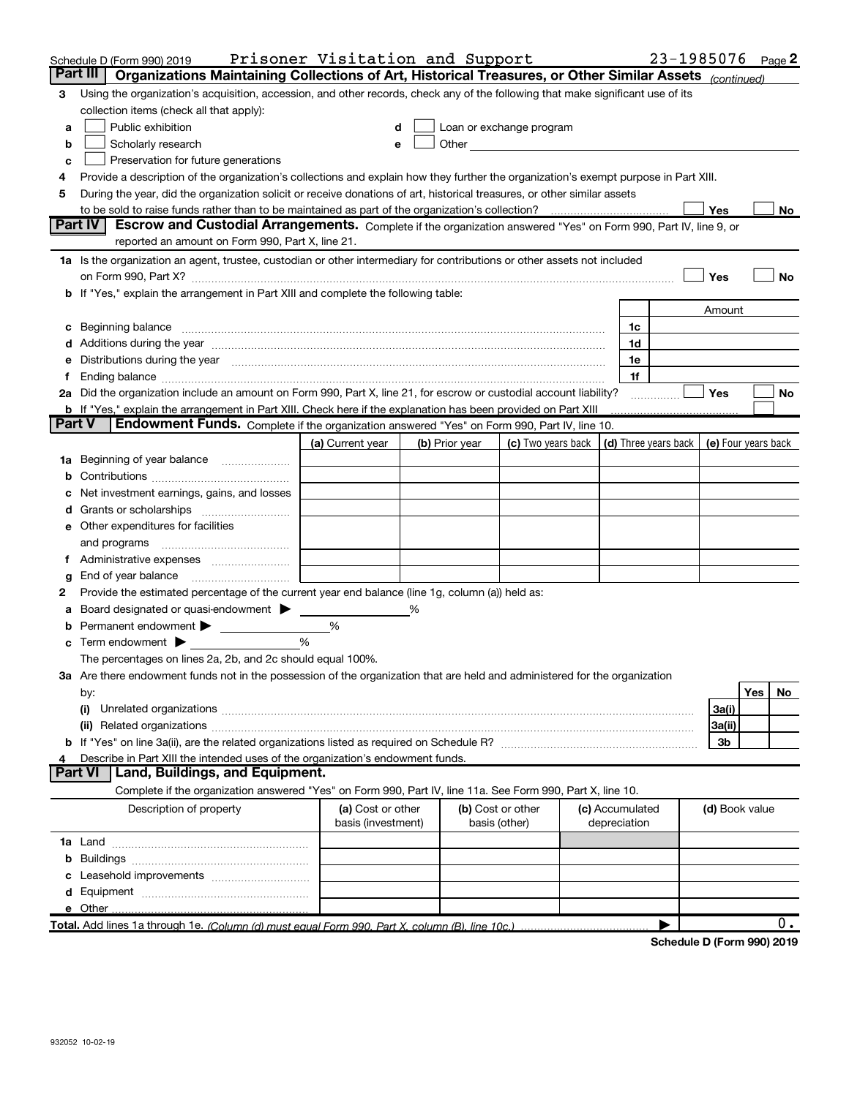|               | Schedule D (Form 990) 2019                                                                                                                                                                                                                  | Prisoner Visitation and Support         |   |                |                                                                                                                                                                                                                               |                                 | 23-1985076 Page 2          |                     |     |    |
|---------------|---------------------------------------------------------------------------------------------------------------------------------------------------------------------------------------------------------------------------------------------|-----------------------------------------|---|----------------|-------------------------------------------------------------------------------------------------------------------------------------------------------------------------------------------------------------------------------|---------------------------------|----------------------------|---------------------|-----|----|
|               | Part III I<br>Organizations Maintaining Collections of Art, Historical Treasures, or Other Similar Assets (continued)                                                                                                                       |                                         |   |                |                                                                                                                                                                                                                               |                                 |                            |                     |     |    |
| 3             | Using the organization's acquisition, accession, and other records, check any of the following that make significant use of its                                                                                                             |                                         |   |                |                                                                                                                                                                                                                               |                                 |                            |                     |     |    |
|               | collection items (check all that apply):                                                                                                                                                                                                    |                                         |   |                |                                                                                                                                                                                                                               |                                 |                            |                     |     |    |
| a             | Public exhibition                                                                                                                                                                                                                           |                                         |   |                | Loan or exchange program                                                                                                                                                                                                      |                                 |                            |                     |     |    |
| b             | Scholarly research                                                                                                                                                                                                                          |                                         |   |                | Other and the contract of the contract of the contract of the contract of the contract of the contract of the contract of the contract of the contract of the contract of the contract of the contract of the contract of the |                                 |                            |                     |     |    |
| с             | Preservation for future generations                                                                                                                                                                                                         |                                         |   |                |                                                                                                                                                                                                                               |                                 |                            |                     |     |    |
|               | Provide a description of the organization's collections and explain how they further the organization's exempt purpose in Part XIII.                                                                                                        |                                         |   |                |                                                                                                                                                                                                                               |                                 |                            |                     |     |    |
| 5             | During the year, did the organization solicit or receive donations of art, historical treasures, or other similar assets                                                                                                                    |                                         |   |                |                                                                                                                                                                                                                               |                                 |                            |                     |     |    |
|               | to be sold to raise funds rather than to be maintained as part of the organization's collection?                                                                                                                                            |                                         |   |                |                                                                                                                                                                                                                               |                                 |                            | Yes                 |     | No |
|               | Escrow and Custodial Arrangements. Complete if the organization answered "Yes" on Form 990, Part IV, line 9, or<br><b>Part IV</b>                                                                                                           |                                         |   |                |                                                                                                                                                                                                                               |                                 |                            |                     |     |    |
|               | reported an amount on Form 990, Part X, line 21.                                                                                                                                                                                            |                                         |   |                |                                                                                                                                                                                                                               |                                 |                            |                     |     |    |
|               | 1a Is the organization an agent, trustee, custodian or other intermediary for contributions or other assets not included                                                                                                                    |                                         |   |                |                                                                                                                                                                                                                               |                                 |                            |                     |     |    |
|               | on Form 990, Part X? [11] matter contracts and contracts and contracts are contracted as a form 990, Part X?                                                                                                                                |                                         |   |                |                                                                                                                                                                                                                               |                                 |                            | Yes                 |     | No |
|               | b If "Yes," explain the arrangement in Part XIII and complete the following table:                                                                                                                                                          |                                         |   |                |                                                                                                                                                                                                                               |                                 |                            |                     |     |    |
|               |                                                                                                                                                                                                                                             |                                         |   |                |                                                                                                                                                                                                                               |                                 |                            | Amount              |     |    |
|               | c Beginning balance entrance and the contract of the balance of the contract of the contract of the contract of the contract of the contract of the contract of the contract of the contract of the contract of the contract o              |                                         |   |                |                                                                                                                                                                                                                               | 1c                              |                            |                     |     |    |
|               | d Additions during the year measurements are all an according to the year.                                                                                                                                                                  |                                         |   |                |                                                                                                                                                                                                                               | 1d                              |                            |                     |     |    |
|               | e Distributions during the year manufactured and an according to the distributions during the year manufactured and the state of the state of the Distributions during the year manufactured and the Distributions of the Dist              |                                         |   |                |                                                                                                                                                                                                                               | 1e                              |                            |                     |     |    |
| t.            |                                                                                                                                                                                                                                             |                                         |   |                |                                                                                                                                                                                                                               | 1f                              |                            |                     |     |    |
|               | 2a Did the organization include an amount on Form 990, Part X, line 21, for escrow or custodial account liability?<br><b>b</b> If "Yes," explain the arrangement in Part XIII. Check here if the explanation has been provided on Part XIII |                                         |   |                |                                                                                                                                                                                                                               |                                 | .                          | Yes                 |     | No |
| <b>Part V</b> | Endowment Funds. Complete if the organization answered "Yes" on Form 990, Part IV, line 10.                                                                                                                                                 |                                         |   |                |                                                                                                                                                                                                                               |                                 |                            |                     |     |    |
|               |                                                                                                                                                                                                                                             | (a) Current year                        |   | (b) Prior year | (c) Two years back $ $ (d) Three years back $ $                                                                                                                                                                               |                                 |                            | (e) Four years back |     |    |
|               | 1a Beginning of year balance                                                                                                                                                                                                                |                                         |   |                |                                                                                                                                                                                                                               |                                 |                            |                     |     |    |
| b             |                                                                                                                                                                                                                                             |                                         |   |                |                                                                                                                                                                                                                               |                                 |                            |                     |     |    |
|               | Net investment earnings, gains, and losses                                                                                                                                                                                                  |                                         |   |                |                                                                                                                                                                                                                               |                                 |                            |                     |     |    |
|               |                                                                                                                                                                                                                                             |                                         |   |                |                                                                                                                                                                                                                               |                                 |                            |                     |     |    |
|               | e Other expenditures for facilities                                                                                                                                                                                                         |                                         |   |                |                                                                                                                                                                                                                               |                                 |                            |                     |     |    |
|               |                                                                                                                                                                                                                                             |                                         |   |                |                                                                                                                                                                                                                               |                                 |                            |                     |     |    |
|               | f Administrative expenses <i>manually communicative</i>                                                                                                                                                                                     |                                         |   |                |                                                                                                                                                                                                                               |                                 |                            |                     |     |    |
| g             |                                                                                                                                                                                                                                             |                                         |   |                |                                                                                                                                                                                                                               |                                 |                            |                     |     |    |
| 2             | Provide the estimated percentage of the current year end balance (line 1g, column (a)) held as:                                                                                                                                             |                                         |   |                |                                                                                                                                                                                                                               |                                 |                            |                     |     |    |
|               | Board designated or quasi-endowment >                                                                                                                                                                                                       |                                         | % |                |                                                                                                                                                                                                                               |                                 |                            |                     |     |    |
|               | <b>b</b> Permanent endowment >                                                                                                                                                                                                              | %                                       |   |                |                                                                                                                                                                                                                               |                                 |                            |                     |     |    |
|               | $\mathbf c$ Term endowment $\blacktriangleright$                                                                                                                                                                                            | %                                       |   |                |                                                                                                                                                                                                                               |                                 |                            |                     |     |    |
|               | The percentages on lines 2a, 2b, and 2c should equal 100%.                                                                                                                                                                                  |                                         |   |                |                                                                                                                                                                                                                               |                                 |                            |                     |     |    |
|               | 3a Are there endowment funds not in the possession of the organization that are held and administered for the organization                                                                                                                  |                                         |   |                |                                                                                                                                                                                                                               |                                 |                            |                     |     |    |
|               | by:                                                                                                                                                                                                                                         |                                         |   |                |                                                                                                                                                                                                                               |                                 |                            |                     | Yes | No |
|               | (i)                                                                                                                                                                                                                                         |                                         |   |                |                                                                                                                                                                                                                               |                                 |                            | 3a(i)               |     |    |
|               |                                                                                                                                                                                                                                             |                                         |   |                |                                                                                                                                                                                                                               |                                 |                            | 3a(ii)              |     |    |
|               |                                                                                                                                                                                                                                             |                                         |   |                |                                                                                                                                                                                                                               |                                 |                            | 3b                  |     |    |
|               | Describe in Part XIII the intended uses of the organization's endowment funds.                                                                                                                                                              |                                         |   |                |                                                                                                                                                                                                                               |                                 |                            |                     |     |    |
|               | Land, Buildings, and Equipment.<br><b>Part VI</b>                                                                                                                                                                                           |                                         |   |                |                                                                                                                                                                                                                               |                                 |                            |                     |     |    |
|               | Complete if the organization answered "Yes" on Form 990, Part IV, line 11a. See Form 990, Part X, line 10.                                                                                                                                  |                                         |   |                |                                                                                                                                                                                                                               |                                 |                            |                     |     |    |
|               | Description of property                                                                                                                                                                                                                     | (a) Cost or other<br>basis (investment) |   |                | (b) Cost or other<br>basis (other)                                                                                                                                                                                            | (c) Accumulated<br>depreciation |                            | (d) Book value      |     |    |
|               |                                                                                                                                                                                                                                             |                                         |   |                |                                                                                                                                                                                                                               |                                 |                            |                     |     |    |
|               |                                                                                                                                                                                                                                             |                                         |   |                |                                                                                                                                                                                                                               |                                 |                            |                     |     |    |
|               |                                                                                                                                                                                                                                             |                                         |   |                |                                                                                                                                                                                                                               |                                 |                            |                     |     |    |
|               |                                                                                                                                                                                                                                             |                                         |   |                |                                                                                                                                                                                                                               |                                 |                            |                     |     |    |
|               | e Other                                                                                                                                                                                                                                     |                                         |   |                |                                                                                                                                                                                                                               |                                 |                            |                     |     |    |
|               | Total. Add lines 1a through 1e. (Column (d) must equal Form 990. Part X, column (B), line 10c.)                                                                                                                                             |                                         |   |                |                                                                                                                                                                                                                               |                                 |                            |                     |     | 0. |
|               |                                                                                                                                                                                                                                             |                                         |   |                |                                                                                                                                                                                                                               |                                 | Schadula D (Form 990) 2019 |                     |     |    |

Schedule D (Form 990) 2019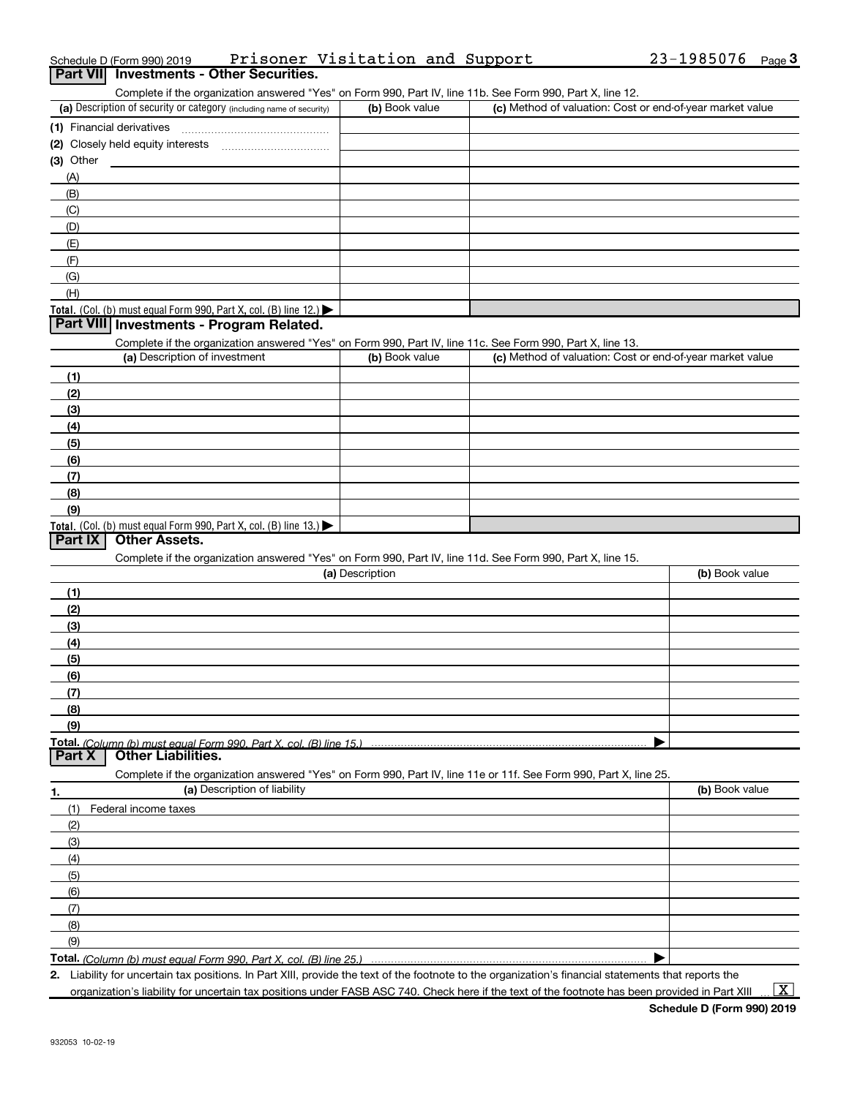| Prisoner Visitation and Support<br>Schedule D (Form 990) 2019                                                     |                 |                                                           | $23 - 1985076$ Page 3 |
|-------------------------------------------------------------------------------------------------------------------|-----------------|-----------------------------------------------------------|-----------------------|
| <b>Investments - Other Securities.</b><br><b>Part VIII</b>                                                        |                 |                                                           |                       |
| Complete if the organization answered "Yes" on Form 990, Part IV, line 11b. See Form 990, Part X, line 12.        |                 |                                                           |                       |
| (a) Description of security or category (including name of security)                                              | (b) Book value  | (c) Method of valuation: Cost or end-of-year market value |                       |
| (1) Financial derivatives                                                                                         |                 |                                                           |                       |
|                                                                                                                   |                 |                                                           |                       |
| $(3)$ Other                                                                                                       |                 |                                                           |                       |
| (A)                                                                                                               |                 |                                                           |                       |
| (B)                                                                                                               |                 |                                                           |                       |
| (C)                                                                                                               |                 |                                                           |                       |
| (D)<br>(E)                                                                                                        |                 |                                                           |                       |
| (F)                                                                                                               |                 |                                                           |                       |
| (G)                                                                                                               |                 |                                                           |                       |
| (H)                                                                                                               |                 |                                                           |                       |
| Total. (Col. (b) must equal Form 990, Part X, col. (B) line $12$ .)                                               |                 |                                                           |                       |
| <b>Part VIII Investments - Program Related.</b>                                                                   |                 |                                                           |                       |
| Complete if the organization answered "Yes" on Form 990, Part IV, line 11c. See Form 990, Part X, line 13.        |                 |                                                           |                       |
| (a) Description of investment                                                                                     | (b) Book value  | (c) Method of valuation: Cost or end-of-year market value |                       |
| (1)                                                                                                               |                 |                                                           |                       |
| (2)                                                                                                               |                 |                                                           |                       |
| (3)                                                                                                               |                 |                                                           |                       |
| (4)                                                                                                               |                 |                                                           |                       |
| (5)                                                                                                               |                 |                                                           |                       |
| (6)                                                                                                               |                 |                                                           |                       |
| (7)                                                                                                               |                 |                                                           |                       |
| (8)                                                                                                               |                 |                                                           |                       |
| (9)                                                                                                               |                 |                                                           |                       |
| Total. (Col. (b) must equal Form 990, Part X, col. (B) line 13.)<br><b>Other Assets.</b>                          |                 |                                                           |                       |
| <b>Part IX</b>                                                                                                    |                 |                                                           |                       |
| Complete if the organization answered "Yes" on Form 990, Part IV, line 11d. See Form 990, Part X, line 15.        | (a) Description |                                                           | (b) Book value        |
|                                                                                                                   |                 |                                                           |                       |
| (1)                                                                                                               |                 |                                                           |                       |
| (2)<br>(3)                                                                                                        |                 |                                                           |                       |
| (4)                                                                                                               |                 |                                                           |                       |
| (5)                                                                                                               |                 |                                                           |                       |
| (6)                                                                                                               |                 |                                                           |                       |
| (7)                                                                                                               |                 |                                                           |                       |
| (8)                                                                                                               |                 |                                                           |                       |
| (9)                                                                                                               |                 |                                                           |                       |
| Total. (Column (b) must equal Form 990, Part X, col. (B) line 15.)                                                |                 |                                                           |                       |
| <b>Other Liabilities.</b><br><b>Part X</b>                                                                        |                 |                                                           |                       |
| Complete if the organization answered "Yes" on Form 990, Part IV, line 11e or 11f. See Form 990, Part X, line 25. |                 |                                                           |                       |
| (a) Description of liability<br>1.                                                                                |                 |                                                           | (b) Book value        |
| Federal income taxes<br>(1)                                                                                       |                 |                                                           |                       |
| (2)                                                                                                               |                 |                                                           |                       |
| (3)                                                                                                               |                 |                                                           |                       |
| (4)                                                                                                               |                 |                                                           |                       |
| (5)                                                                                                               |                 |                                                           |                       |
| (6)                                                                                                               |                 |                                                           |                       |
| (7)                                                                                                               |                 |                                                           |                       |
| (8)                                                                                                               |                 |                                                           |                       |
| (9)<br><b>Total.</b> (Column (b) must equal Form 990. Part X, col. (B) line 25.)                                  |                 |                                                           |                       |
|                                                                                                                   |                 |                                                           |                       |

(Column (b) must equal Form 990, Part X, col. (B) line 25.)

2. Liability for uncertain tax positions. In Part XIII, provide the text of the footnote to the organization's financial statements that reports the

organization's liability for uncertain tax positions under FASB ASC 740. Check here if the text of the footnote has been provided in Part XIII

 $\boxed{\text{X}}$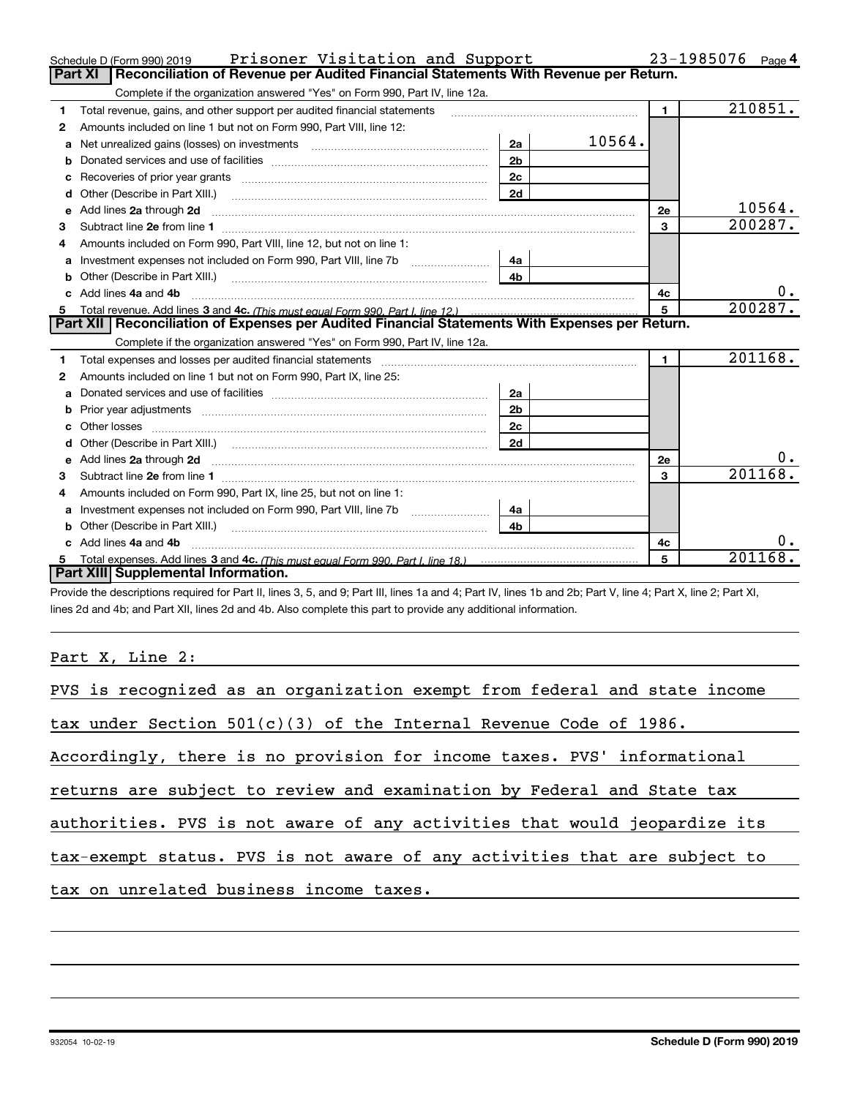|    | Prisoner Visitation and Support<br>Schedule D (Form 990) 2019                                                                                                                                                                       |                |        |                | 23-1985076<br>Page 4 |
|----|-------------------------------------------------------------------------------------------------------------------------------------------------------------------------------------------------------------------------------------|----------------|--------|----------------|----------------------|
|    | Reconciliation of Revenue per Audited Financial Statements With Revenue per Return.<br>Part XI                                                                                                                                      |                |        |                |                      |
|    | Complete if the organization answered "Yes" on Form 990, Part IV, line 12a.                                                                                                                                                         |                |        |                |                      |
| 1  | Total revenue, gains, and other support per audited financial statements                                                                                                                                                            |                |        | $\mathbf{1}$   | 210851.              |
| 2  | Amounts included on line 1 but not on Form 990, Part VIII, line 12:                                                                                                                                                                 |                |        |                |                      |
| a  | Net unrealized gains (losses) on investments [11] matter contracts and the unrealized gains (losses) on investments                                                                                                                 | 2a             | 10564. |                |                      |
|    |                                                                                                                                                                                                                                     | 2 <sub>b</sub> |        |                |                      |
| с  |                                                                                                                                                                                                                                     | 2c             |        |                |                      |
| d  |                                                                                                                                                                                                                                     | 2d             |        |                |                      |
| е  | Add lines 2a through 2d                                                                                                                                                                                                             |                |        | 2e             | 10564.               |
| З. |                                                                                                                                                                                                                                     |                |        | 3              | 200287.              |
|    | Amounts included on Form 990, Part VIII, line 12, but not on line 1:                                                                                                                                                                |                |        |                |                      |
| a  |                                                                                                                                                                                                                                     |                |        |                |                      |
| b  | Other (Describe in Part XIII.) <b>Construction Contract Construction</b> Chemical Construction Chemical Chemical Chemical Chemical Chemical Chemical Chemical Chemical Chemical Chemical Chemical Chemical Chemical Chemical Chemic | 4 <sub>h</sub> |        |                |                      |
|    |                                                                                                                                                                                                                                     |                |        | 4c             | 0.                   |
|    | Add lines 4a and 4b                                                                                                                                                                                                                 |                |        |                |                      |
| 5  |                                                                                                                                                                                                                                     |                |        | $\overline{5}$ | 200287.              |
|    | Part XII   Reconciliation of Expenses per Audited Financial Statements With Expenses per Return.                                                                                                                                    |                |        |                |                      |
|    | Complete if the organization answered "Yes" on Form 990, Part IV, line 12a.                                                                                                                                                         |                |        |                |                      |
| 1  |                                                                                                                                                                                                                                     |                |        | $\blacksquare$ | 201168.              |
| 2  | Amounts included on line 1 but not on Form 990, Part IX, line 25:                                                                                                                                                                   |                |        |                |                      |
| a  |                                                                                                                                                                                                                                     | 2a             |        |                |                      |
| b  |                                                                                                                                                                                                                                     | 2b             |        |                |                      |
|    |                                                                                                                                                                                                                                     |                |        |                |                      |
|    |                                                                                                                                                                                                                                     |                |        |                |                      |
| e  | Add lines 2a through 2d <b>contained a contained a contained a contained a</b> contained a contained a contact the set                                                                                                              |                |        | 2e             | 0.                   |
| З. |                                                                                                                                                                                                                                     |                |        | 3              | 201168.              |
| 4  | Amounts included on Form 990, Part IX, line 25, but not on line 1:                                                                                                                                                                  |                |        |                |                      |
| a  |                                                                                                                                                                                                                                     | 4a             |        |                |                      |
|    | Other (Describe in Part XIII.) <b>Construction</b> and the set of the set of the set of the set of the set of the set of the set of the set of the set of the set of the set of the set of the set of the set of the set of the set |                |        |                |                      |
|    | c Add lines 4a and 4b                                                                                                                                                                                                               |                |        | 4c             | 0.                   |
|    | Part XIII Supplemental Information.                                                                                                                                                                                                 |                |        | 5              | 201168.              |

Provide the descriptions required for Part II, lines 3, 5, and 9; Part III, lines 1a and 4; Part IV, lines 1b and 2b; Part V, line 4; Part X, line 2; Part XI, lines 2d and 4b; and Part XII, lines 2d and 4b. Also complete this part to provide any additional information.

## Part X, Line 2:

| PVS is recognized as an organization exempt from federal and state income |
|---------------------------------------------------------------------------|
| tax under Section $501(c)(3)$ of the Internal Revenue Code of 1986.       |
| Accordingly, there is no provision for income taxes. PVS' informational   |
| returns are subject to review and examination by Federal and State tax    |
| authorities. PVS is not aware of any activities that would jeopardize its |
| tax-exempt status. PVS is not aware of any activities that are subject to |
| tax on unrelated business income taxes.                                   |
|                                                                           |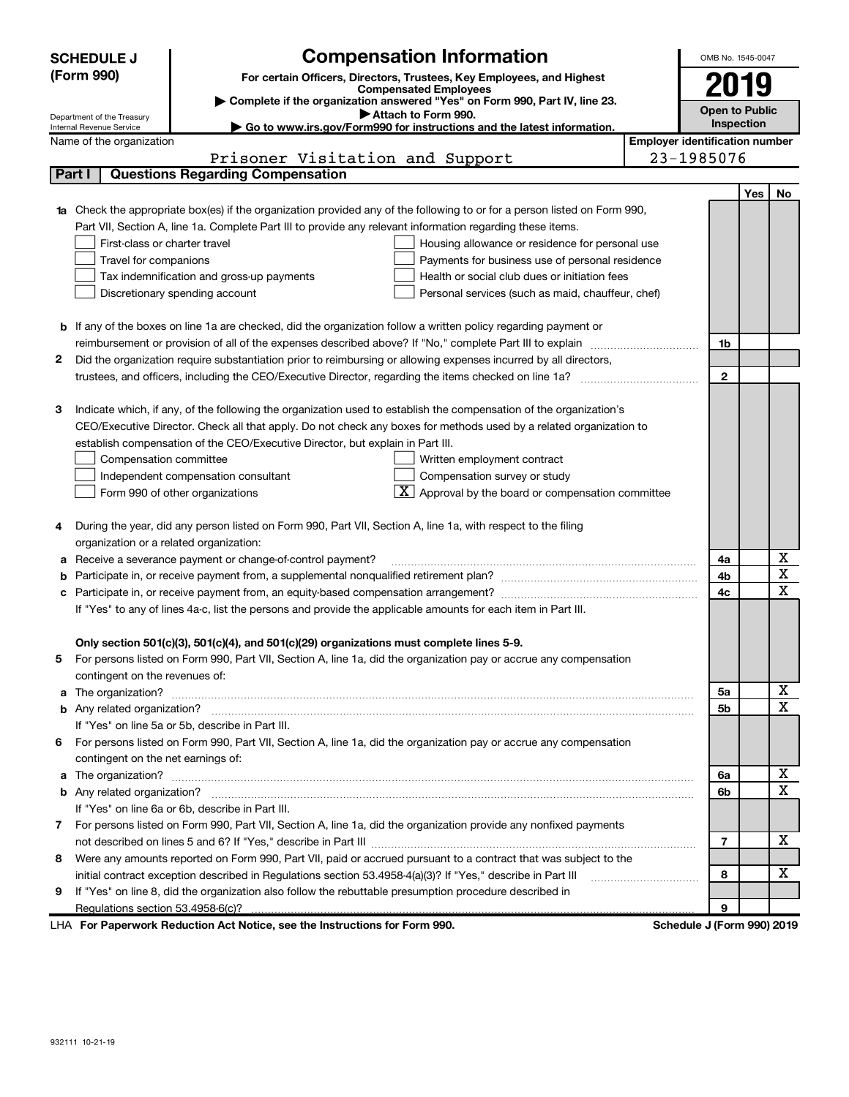|              | <b>Compensation Information</b><br><b>SCHEDULE J</b>                                                                             |                                                                    |                                       | OMB No. 1545-0047     |            |                              |
|--------------|----------------------------------------------------------------------------------------------------------------------------------|--------------------------------------------------------------------|---------------------------------------|-----------------------|------------|------------------------------|
|              | (Form 990)<br>For certain Officers, Directors, Trustees, Key Employees, and Highest                                              |                                                                    |                                       |                       |            |                              |
|              | <b>Compensated Employees</b>                                                                                                     |                                                                    |                                       | 2019                  |            |                              |
|              | Complete if the organization answered "Yes" on Form 990, Part IV, line 23.<br>Attach to Form 990.<br>Department of the Treasury  |                                                                    |                                       | <b>Open to Public</b> |            |                              |
|              | Go to www.irs.gov/Form990 for instructions and the latest information.<br>Internal Revenue Service                               |                                                                    |                                       | <b>Inspection</b>     |            |                              |
|              | Name of the organization                                                                                                         |                                                                    | <b>Employer identification number</b> |                       |            |                              |
|              | Prisoner Visitation and Support                                                                                                  |                                                                    |                                       | 23-1985076            |            |                              |
|              | <b>Questions Regarding Compensation</b><br>Part I                                                                                |                                                                    |                                       |                       |            |                              |
|              |                                                                                                                                  |                                                                    |                                       |                       | <b>Yes</b> | No                           |
|              | <b>1a</b> Check the appropriate box(es) if the organization provided any of the following to or for a person listed on Form 990, |                                                                    |                                       |                       |            |                              |
|              | Part VII, Section A, line 1a. Complete Part III to provide any relevant information regarding these items.                       |                                                                    |                                       |                       |            |                              |
|              | First-class or charter travel                                                                                                    | Housing allowance or residence for personal use                    |                                       |                       |            |                              |
|              | Travel for companions                                                                                                            | Payments for business use of personal residence                    |                                       |                       |            |                              |
|              | Tax indemnification and gross-up payments                                                                                        | Health or social club dues or initiation fees                      |                                       |                       |            |                              |
|              | Discretionary spending account                                                                                                   | Personal services (such as maid, chauffeur, chef)                  |                                       |                       |            |                              |
|              |                                                                                                                                  |                                                                    |                                       |                       |            |                              |
| b            | If any of the boxes on line 1a are checked, did the organization follow a written policy regarding payment or                    |                                                                    |                                       | 1b                    |            |                              |
| 2            | reimbursement or provision of all of the expenses described above? If "No," complete Part III to explain                         |                                                                    |                                       |                       |            |                              |
|              | Did the organization require substantiation prior to reimbursing or allowing expenses incurred by all directors,                 |                                                                    |                                       | $\mathbf{2}$          |            |                              |
|              |                                                                                                                                  |                                                                    |                                       |                       |            |                              |
| 3            | Indicate which, if any, of the following the organization used to establish the compensation of the organization's               |                                                                    |                                       |                       |            |                              |
|              | CEO/Executive Director. Check all that apply. Do not check any boxes for methods used by a related organization to               |                                                                    |                                       |                       |            |                              |
|              | establish compensation of the CEO/Executive Director, but explain in Part III.                                                   |                                                                    |                                       |                       |            |                              |
|              | Compensation committee                                                                                                           | Written employment contract                                        |                                       |                       |            |                              |
|              | Independent compensation consultant                                                                                              | Compensation survey or study                                       |                                       |                       |            |                              |
|              | Form 990 of other organizations                                                                                                  | $\boxed{\text{X}}$ Approval by the board or compensation committee |                                       |                       |            |                              |
|              |                                                                                                                                  |                                                                    |                                       |                       |            |                              |
|              | During the year, did any person listed on Form 990, Part VII, Section A, line 1a, with respect to the filing                     |                                                                    |                                       |                       |            |                              |
|              | organization or a related organization:                                                                                          |                                                                    |                                       |                       |            |                              |
| а            | Receive a severance payment or change-of-control payment?                                                                        |                                                                    |                                       | 4a                    |            | х                            |
| b            |                                                                                                                                  |                                                                    |                                       | 4b                    |            | $\overline{\mathbf{x}}$      |
| с            | Participate in, or receive payment from, an equity-based compensation arrangement?                                               |                                                                    |                                       | 4c                    |            | $\overline{\mathbf{x}}$      |
|              | If "Yes" to any of lines 4a-c, list the persons and provide the applicable amounts for each item in Part III.                    |                                                                    |                                       |                       |            |                              |
|              |                                                                                                                                  |                                                                    |                                       |                       |            |                              |
|              | Only section 501(c)(3), 501(c)(4), and 501(c)(29) organizations must complete lines 5-9.                                         |                                                                    |                                       |                       |            |                              |
|              | For persons listed on Form 990, Part VII, Section A, line 1a, did the organization pay or accrue any compensation                |                                                                    |                                       |                       |            |                              |
|              | contingent on the revenues of:                                                                                                   |                                                                    |                                       |                       |            |                              |
| a            |                                                                                                                                  |                                                                    |                                       | 5a                    |            | X<br>$\overline{\mathbf{x}}$ |
|              |                                                                                                                                  |                                                                    |                                       | 5b                    |            |                              |
|              | If "Yes" on line 5a or 5b, describe in Part III.                                                                                 |                                                                    |                                       |                       |            |                              |
|              | For persons listed on Form 990, Part VII, Section A, line 1a, did the organization pay or accrue any compensation<br>6           |                                                                    |                                       |                       |            |                              |
|              | contingent on the net earnings of:                                                                                               |                                                                    |                                       | 6a                    |            | х                            |
| a            |                                                                                                                                  |                                                                    |                                       | 6b                    |            | $\mathbf x$                  |
| b            | If "Yes" on line 6a or 6b, describe in Part III.                                                                                 |                                                                    |                                       |                       |            |                              |
| $\mathbf{7}$ | For persons listed on Form 990, Part VII, Section A, line 1a, did the organization provide any nonfixed payments                 |                                                                    |                                       |                       |            |                              |
|              |                                                                                                                                  |                                                                    |                                       | $\overline{7}$        |            | х                            |
| 8            | Were any amounts reported on Form 990, Part VII, paid or accrued pursuant to a contract that was subject to the                  |                                                                    |                                       |                       |            |                              |
|              | initial contract exception described in Regulations section 53.4958-4(a)(3)? If "Yes," describe in Part III                      |                                                                    |                                       | 8                     |            | х                            |
| 9            | If "Yes" on line 8, did the organization also follow the rebuttable presumption procedure described in                           |                                                                    |                                       |                       |            |                              |
|              | Regulations section 53.4958-6(c)?                                                                                                |                                                                    |                                       | 9                     |            |                              |
|              |                                                                                                                                  |                                                                    |                                       |                       |            |                              |

LHA For Paperwork Reduction Act Notice, see the Instructions for Form 990. Schedule J (Form 990) 2019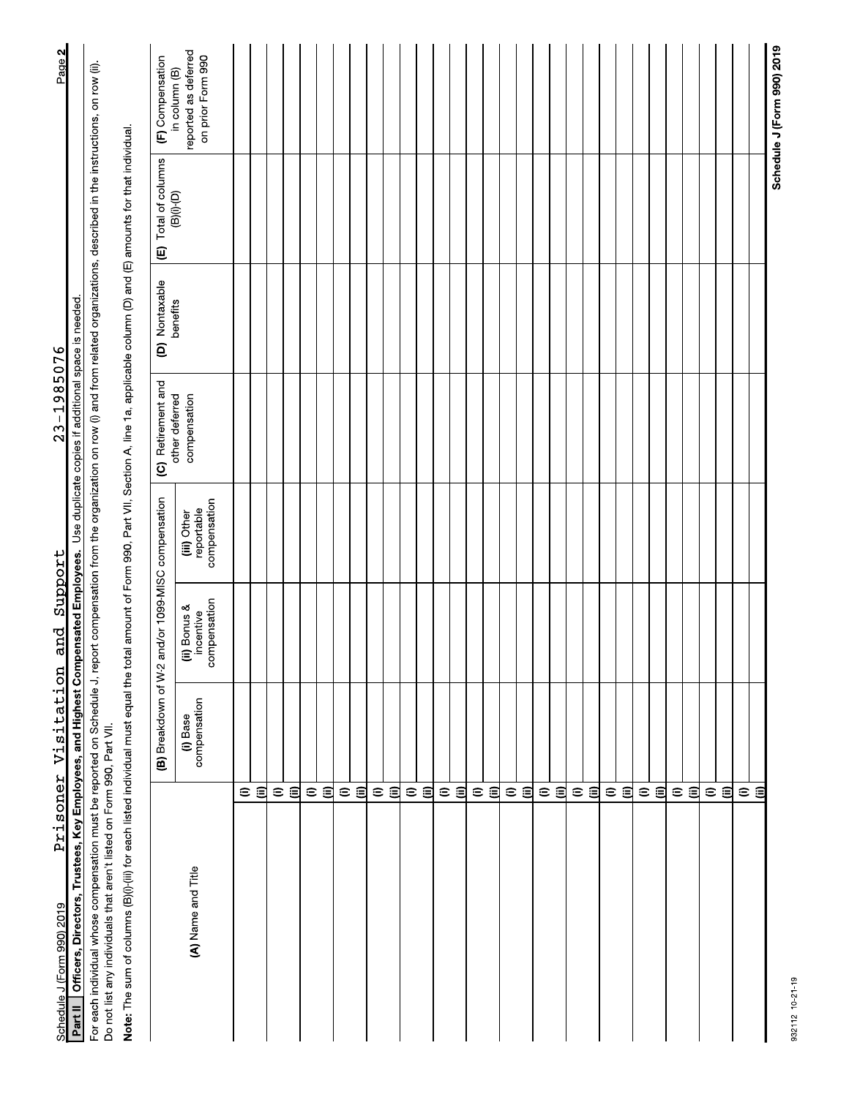| Schedule J (Form 990) 2019                                                                                                                                                                                                                                                       | Prisoner Visitation      | and                                      | Support                                   | $23 - 1985076$                                     |                |                             | Page 2                                                     |
|----------------------------------------------------------------------------------------------------------------------------------------------------------------------------------------------------------------------------------------------------------------------------------|--------------------------|------------------------------------------|-------------------------------------------|----------------------------------------------------|----------------|-----------------------------|------------------------------------------------------------|
| Officers, Directors, Trustees, Key Employees, and Highest Compensated Employees.<br>Part II                                                                                                                                                                                      |                          |                                          |                                           | Use duplicate copies if additional space is needed |                |                             |                                                            |
| For each individual whose compensation must be reported on Schedule J, report compensation from the organization on row (i) and from related organizations, described in the instructions, on row (ii).<br>Do not list any individuals that aren't listed on Form 990, Part VII. |                          |                                          |                                           |                                                    |                |                             |                                                            |
| Note: The sum of columns (B)(i)-(iii) for each listed individual must equal the total amount of Form 990, Part VII, Section A, line 1a, applicable column (D) and (E) amounts for that individual.                                                                               |                          |                                          |                                           |                                                    |                |                             |                                                            |
|                                                                                                                                                                                                                                                                                  | (B) Breakdown of W-2     |                                          | and/or 1099-MISC compensation             | (C) Retirement and                                 | (D) Nontaxable | (E) Total of columns        | (F) Compensation                                           |
| (A) Name and Title                                                                                                                                                                                                                                                               | compensation<br>(i) Base | compensation<br>ii) Bonus &<br>incentive | compensation<br>reportable<br>(iii) Other | other deferred<br>compensation                     | benefits       | $(B)(i)$ <sup>-</sup> $(D)$ | reported as deferred<br>on prior Form 990<br>in column (B) |
| $\mathrel{\widehat{=}}$                                                                                                                                                                                                                                                          |                          |                                          |                                           |                                                    |                |                             |                                                            |
| €                                                                                                                                                                                                                                                                                |                          |                                          |                                           |                                                    |                |                             |                                                            |
| $\widehat{\phantom{a}}$                                                                                                                                                                                                                                                          |                          |                                          |                                           |                                                    |                |                             |                                                            |
| €                                                                                                                                                                                                                                                                                |                          |                                          |                                           |                                                    |                |                             |                                                            |
| $\mathrel{\widehat{=}}$<br>$\widehat{=}$                                                                                                                                                                                                                                         |                          |                                          |                                           |                                                    |                |                             |                                                            |
| $\mathrel{\widehat{=}}$                                                                                                                                                                                                                                                          |                          |                                          |                                           |                                                    |                |                             |                                                            |
|                                                                                                                                                                                                                                                                                  | $\widehat{\Xi}$          |                                          |                                           |                                                    |                |                             |                                                            |
| $\mathrel{\widehat{=}}$                                                                                                                                                                                                                                                          |                          |                                          |                                           |                                                    |                |                             |                                                            |
| 目                                                                                                                                                                                                                                                                                |                          |                                          |                                           |                                                    |                |                             |                                                            |
| $\mathrel{\widehat{=}}$<br>€                                                                                                                                                                                                                                                     |                          |                                          |                                           |                                                    |                |                             |                                                            |
| $\widehat{=}$                                                                                                                                                                                                                                                                    |                          |                                          |                                           |                                                    |                |                             |                                                            |
| $\widehat{\epsilon}$                                                                                                                                                                                                                                                             |                          |                                          |                                           |                                                    |                |                             |                                                            |
| $\mathrel{\widehat{=}}$                                                                                                                                                                                                                                                          |                          |                                          |                                           |                                                    |                |                             |                                                            |
| $\widehat{\Xi}$                                                                                                                                                                                                                                                                  |                          |                                          |                                           |                                                    |                |                             |                                                            |
| $\mathrel{\widehat{=}}$                                                                                                                                                                                                                                                          |                          |                                          |                                           |                                                    |                |                             |                                                            |
| 回                                                                                                                                                                                                                                                                                |                          |                                          |                                           |                                                    |                |                             |                                                            |
| $\oplus$<br>€                                                                                                                                                                                                                                                                    |                          |                                          |                                           |                                                    |                |                             |                                                            |
| $\widehat{=}$                                                                                                                                                                                                                                                                    |                          |                                          |                                           |                                                    |                |                             |                                                            |
| $\widehat{\epsilon}$                                                                                                                                                                                                                                                             |                          |                                          |                                           |                                                    |                |                             |                                                            |
| $\mathrel{\mathop{\oplus}}$                                                                                                                                                                                                                                                      |                          |                                          |                                           |                                                    |                |                             |                                                            |
| $\widehat{=}$                                                                                                                                                                                                                                                                    |                          |                                          |                                           |                                                    |                |                             |                                                            |
| $\widehat{=}$                                                                                                                                                                                                                                                                    |                          |                                          |                                           |                                                    |                |                             |                                                            |
| 闾                                                                                                                                                                                                                                                                                |                          |                                          |                                           |                                                    |                |                             |                                                            |
| $\widehat{=}$                                                                                                                                                                                                                                                                    |                          |                                          |                                           |                                                    |                |                             |                                                            |
| ิฮ                                                                                                                                                                                                                                                                               |                          |                                          |                                           |                                                    |                |                             |                                                            |
| $\mathrel{\widehat{=}}$                                                                                                                                                                                                                                                          |                          |                                          |                                           |                                                    |                |                             |                                                            |
| $\widehat{=}$                                                                                                                                                                                                                                                                    |                          |                                          |                                           |                                                    |                |                             |                                                            |
| $\widehat{\phantom{a}}$                                                                                                                                                                                                                                                          |                          |                                          |                                           |                                                    |                |                             |                                                            |
| €                                                                                                                                                                                                                                                                                |                          |                                          |                                           |                                                    |                |                             |                                                            |
|                                                                                                                                                                                                                                                                                  |                          |                                          |                                           |                                                    |                |                             | Schedule J (Form 990) 2019                                 |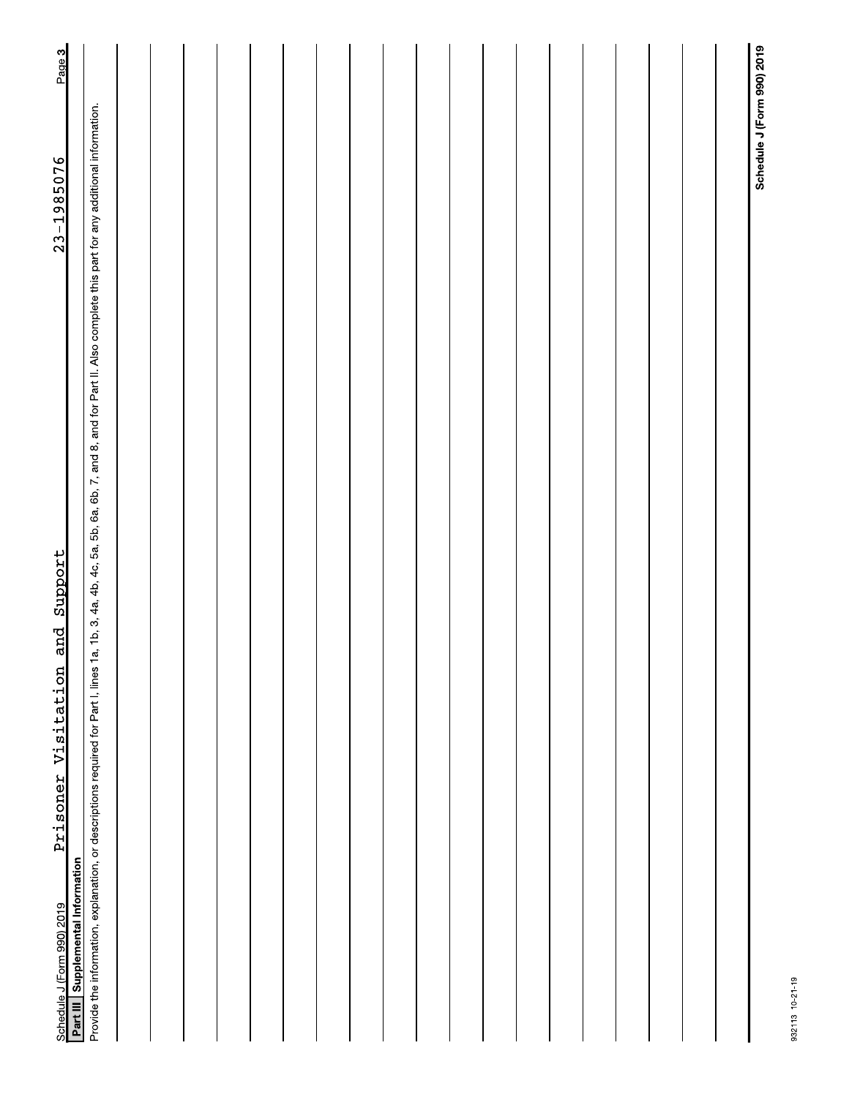| Support<br>and<br>Prisoner Visitation<br>Part III Supplemental Information<br>Schedule J (Form 990) 2019                                                                                                   | $23 - 1985076$             | Page 3 |
|------------------------------------------------------------------------------------------------------------------------------------------------------------------------------------------------------------|----------------------------|--------|
| Provide the information, explanation, or descriptions required for Part I, lines 1a, 1b, 3, 4a, 4b, 4c, 5a, 5b, 6a, 6b, 7, and 8, and for Part II. Also complete this part for any additional information. |                            |        |
|                                                                                                                                                                                                            |                            |        |
|                                                                                                                                                                                                            |                            |        |
|                                                                                                                                                                                                            |                            |        |
|                                                                                                                                                                                                            |                            |        |
|                                                                                                                                                                                                            |                            |        |
|                                                                                                                                                                                                            |                            |        |
|                                                                                                                                                                                                            |                            |        |
|                                                                                                                                                                                                            |                            |        |
|                                                                                                                                                                                                            |                            |        |
|                                                                                                                                                                                                            |                            |        |
|                                                                                                                                                                                                            |                            |        |
|                                                                                                                                                                                                            |                            |        |
|                                                                                                                                                                                                            |                            |        |
|                                                                                                                                                                                                            |                            |        |
|                                                                                                                                                                                                            |                            |        |
|                                                                                                                                                                                                            |                            |        |
|                                                                                                                                                                                                            |                            |        |
|                                                                                                                                                                                                            |                            |        |
|                                                                                                                                                                                                            |                            |        |
|                                                                                                                                                                                                            | Schedule J (Form 990) 2019 |        |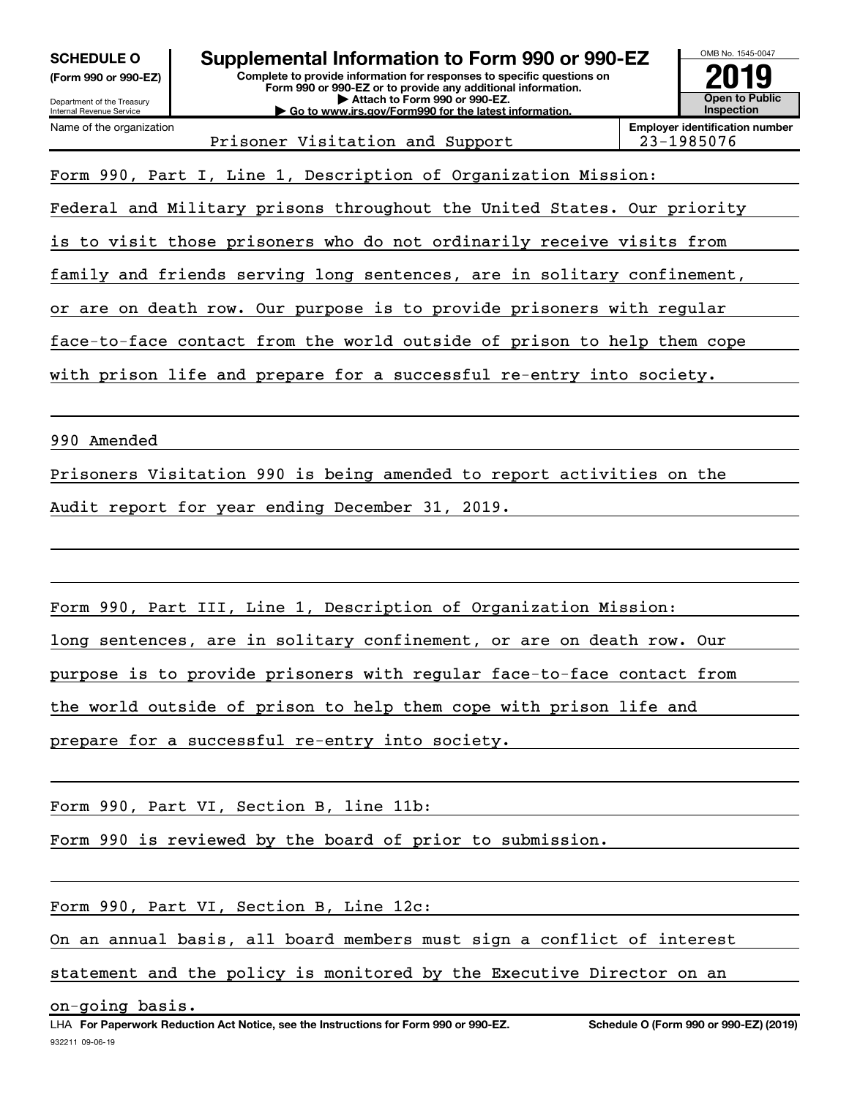| <b>SCHEDULE O</b><br>(Form 990 or 990-EZ)<br>Department of the Treasury<br>Internal Revenue Service | Supplemental Information to Form 990 or 990-EZ<br>Complete to provide information for responses to specific questions on<br>Form 990 or 990-EZ or to provide any additional information.<br>Attach to Form 990 or 990-EZ.<br>Go to www.irs.gov/Form990 for the latest information. |  | OMB No. 1545-0047<br>y<br>Open to Public<br>Inspection |  |  |
|-----------------------------------------------------------------------------------------------------|------------------------------------------------------------------------------------------------------------------------------------------------------------------------------------------------------------------------------------------------------------------------------------|--|--------------------------------------------------------|--|--|
| Name of the organization                                                                            | <b>Employer identification number</b><br>Prisoner Visitation and Support<br>23-1985076                                                                                                                                                                                             |  |                                                        |  |  |
|                                                                                                     | Form 990, Part I, Line 1, Description of Organization Mission:                                                                                                                                                                                                                     |  |                                                        |  |  |
|                                                                                                     | Federal and Military prisons throughout the United States. Our priority                                                                                                                                                                                                            |  |                                                        |  |  |
|                                                                                                     | is to visit those prisoners who do not ordinarily receive visits from                                                                                                                                                                                                              |  |                                                        |  |  |
|                                                                                                     | family and friends serving long sentences, are in solitary confinement,                                                                                                                                                                                                            |  |                                                        |  |  |
|                                                                                                     | or are on death row. Our purpose is to provide prisoners with regular                                                                                                                                                                                                              |  |                                                        |  |  |
|                                                                                                     | face-to-face contact from the world outside of prison to help them cope                                                                                                                                                                                                            |  |                                                        |  |  |
| with prison life and prepare for a successful re-entry into society.                                |                                                                                                                                                                                                                                                                                    |  |                                                        |  |  |
|                                                                                                     |                                                                                                                                                                                                                                                                                    |  |                                                        |  |  |
| 990 Amended                                                                                         |                                                                                                                                                                                                                                                                                    |  |                                                        |  |  |
|                                                                                                     | Prisoners Visitation 990 is being amended to report activities on the                                                                                                                                                                                                              |  |                                                        |  |  |
|                                                                                                     | Audit report for year ending December 31, 2019.                                                                                                                                                                                                                                    |  |                                                        |  |  |
|                                                                                                     |                                                                                                                                                                                                                                                                                    |  |                                                        |  |  |
|                                                                                                     |                                                                                                                                                                                                                                                                                    |  |                                                        |  |  |
|                                                                                                     | Form 990, Part III, Line 1, Description of Organization Mission:                                                                                                                                                                                                                   |  |                                                        |  |  |
|                                                                                                     | long sentences, are in solitary confinement, or are on death row. Our                                                                                                                                                                                                              |  |                                                        |  |  |
|                                                                                                     | purpose is to provide prisoners with regular face-to-face contact from                                                                                                                                                                                                             |  |                                                        |  |  |
|                                                                                                     | the world outside of prison to help them cope with prison life and                                                                                                                                                                                                                 |  |                                                        |  |  |
| prepare for a successful re-entry into society.                                                     |                                                                                                                                                                                                                                                                                    |  |                                                        |  |  |
|                                                                                                     |                                                                                                                                                                                                                                                                                    |  |                                                        |  |  |
|                                                                                                     | Form 990, Part VI, Section B, line 11b:                                                                                                                                                                                                                                            |  |                                                        |  |  |
|                                                                                                     | Form 990 is reviewed by the board of prior to submission.                                                                                                                                                                                                                          |  |                                                        |  |  |
|                                                                                                     |                                                                                                                                                                                                                                                                                    |  |                                                        |  |  |
|                                                                                                     | Form 990, Part VI, Section B, Line 12c:                                                                                                                                                                                                                                            |  |                                                        |  |  |
|                                                                                                     | On an annual basis, all board members must sign a conflict of interest                                                                                                                                                                                                             |  |                                                        |  |  |

statement and the policy is monitored by the Executive Director on an

on-going basis.